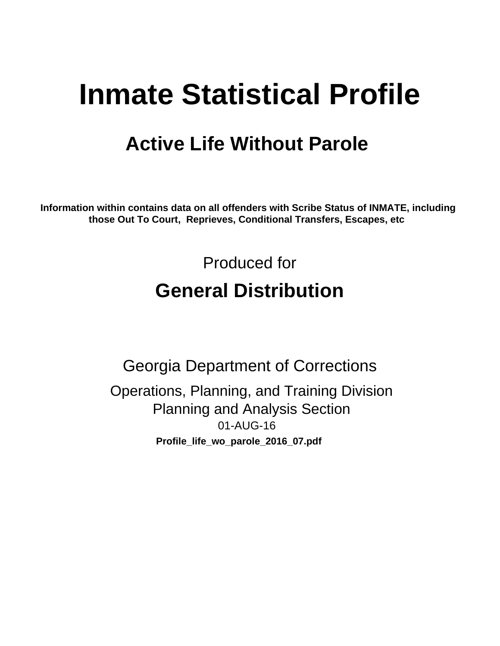# **Inmate Statistical Profile**

## **Active Life Without Parole**

Information within contains data on all offenders with Scribe Status of INMATE, including those Out To Court, Reprieves, Conditional Transfers, Escapes, etc

> Produced for **General Distribution**

**Georgia Department of Corrections** Operations, Planning, and Training Division **Planning and Analysis Section** 01-AUG-16 Profile\_life\_wo\_parole\_2016\_07.pdf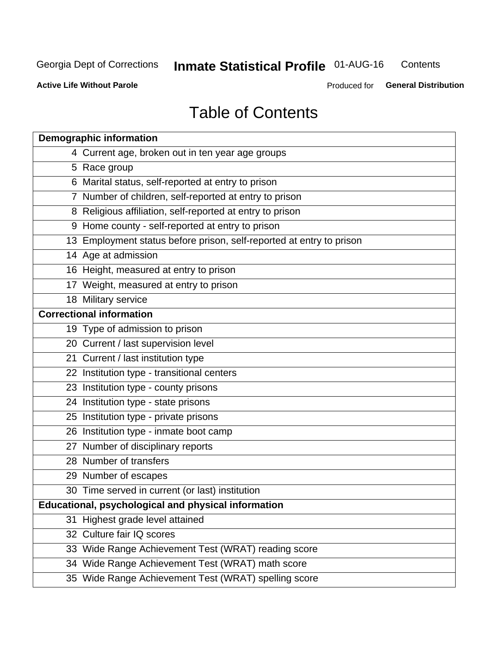#### **Inmate Statistical Profile 01-AUG-16** Contents

**Active Life Without Parole** 

Produced for General Distribution

## **Table of Contents**

| <b>Demographic information</b>                                       |
|----------------------------------------------------------------------|
| 4 Current age, broken out in ten year age groups                     |
| 5 Race group                                                         |
| 6 Marital status, self-reported at entry to prison                   |
| 7 Number of children, self-reported at entry to prison               |
| 8 Religious affiliation, self-reported at entry to prison            |
| 9 Home county - self-reported at entry to prison                     |
| 13 Employment status before prison, self-reported at entry to prison |
| 14 Age at admission                                                  |
| 16 Height, measured at entry to prison                               |
| 17 Weight, measured at entry to prison                               |
| 18 Military service                                                  |
| <b>Correctional information</b>                                      |
| 19 Type of admission to prison                                       |
| 20 Current / last supervision level                                  |
| 21 Current / last institution type                                   |
| 22 Institution type - transitional centers                           |
| 23 Institution type - county prisons                                 |
| 24 Institution type - state prisons                                  |
| 25 Institution type - private prisons                                |
| 26 Institution type - inmate boot camp                               |
| 27 Number of disciplinary reports                                    |
| 28 Number of transfers                                               |
| 29 Number of escapes                                                 |
| 30 Time served in current (or last) institution                      |
| Educational, psychological and physical information                  |
| 31 Highest grade level attained                                      |
| 32 Culture fair IQ scores                                            |
| 33 Wide Range Achievement Test (WRAT) reading score                  |
| 34 Wide Range Achievement Test (WRAT) math score                     |
| 35 Wide Range Achievement Test (WRAT) spelling score                 |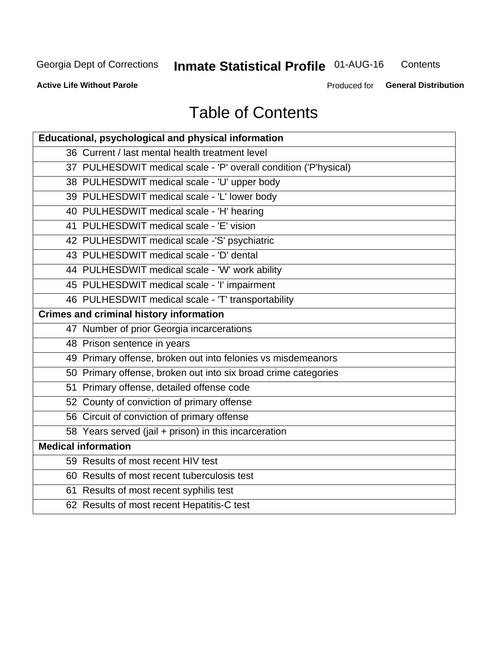## **Inmate Statistical Profile 01-AUG-16**

Contents

**Active Life Without Parole** 

Produced for General Distribution

## **Table of Contents**

| Educational, psychological and physical information              |
|------------------------------------------------------------------|
| 36 Current / last mental health treatment level                  |
| 37 PULHESDWIT medical scale - 'P' overall condition ('P'hysical) |
| 38 PULHESDWIT medical scale - 'U' upper body                     |
| 39 PULHESDWIT medical scale - 'L' lower body                     |
| 40 PULHESDWIT medical scale - 'H' hearing                        |
| 41 PULHESDWIT medical scale - 'E' vision                         |
| 42 PULHESDWIT medical scale -'S' psychiatric                     |
| 43 PULHESDWIT medical scale - 'D' dental                         |
| 44 PULHESDWIT medical scale - 'W' work ability                   |
| 45 PULHESDWIT medical scale - 'I' impairment                     |
| 46 PULHESDWIT medical scale - 'T' transportability               |
| <b>Crimes and criminal history information</b>                   |
| 47 Number of prior Georgia incarcerations                        |
| 48 Prison sentence in years                                      |
| 49 Primary offense, broken out into felonies vs misdemeanors     |
| 50 Primary offense, broken out into six broad crime categories   |
| 51 Primary offense, detailed offense code                        |
| 52 County of conviction of primary offense                       |
| 56 Circuit of conviction of primary offense                      |
| 58 Years served (jail + prison) in this incarceration            |
| <b>Medical information</b>                                       |
| 59 Results of most recent HIV test                               |
| 60 Results of most recent tuberculosis test                      |
| 61 Results of most recent syphilis test                          |
| 62 Results of most recent Hepatitis-C test                       |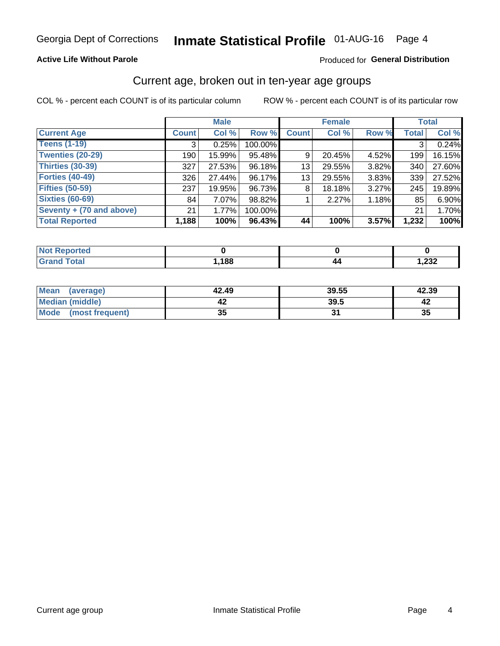#### **Active Life Without Parole**

#### Produced for General Distribution

### Current age, broken out in ten-year age groups

COL % - percent each COUNT is of its particular column

|                          | <b>Male</b>  |        |         | <b>Female</b>   |        |       | <b>Total</b> |        |
|--------------------------|--------------|--------|---------|-----------------|--------|-------|--------------|--------|
| <b>Current Age</b>       | <b>Count</b> | Col %  | Row %   | <b>Count</b>    | Col %  | Row % | <b>Total</b> | Col %  |
| <b>Teens (1-19)</b>      | 3            | 0.25%  | 100.00% |                 |        |       | 3            | 0.24%  |
| <b>Twenties (20-29)</b>  | 190          | 15.99% | 95.48%  | 9               | 20.45% | 4.52% | 199          | 16.15% |
| Thirties (30-39)         | 327          | 27.53% | 96.18%  | 13 <sub>1</sub> | 29.55% | 3.82% | 340          | 27.60% |
| <b>Forties (40-49)</b>   | 326          | 27.44% | 96.17%  | 13              | 29.55% | 3.83% | 339          | 27.52% |
| <b>Fifties (50-59)</b>   | 237          | 19.95% | 96.73%  | 8               | 18.18% | 3.27% | 245          | 19.89% |
| <b>Sixties (60-69)</b>   | 84           | 7.07%  | 98.82%  |                 | 2.27%  | 1.18% | 85           | 6.90%  |
| Seventy + (70 and above) | 21           | 1.77%  | 100.00% |                 |        |       | 21           | 1.70%  |
| <b>Total Reported</b>    | 1,188        | 100%   | 96.43%  | 44              | 100%   | 3.57% | 1,232        | 100%   |

| <b>Enorted</b><br>m. |      |               |
|----------------------|------|---------------|
| $C0+0$               | ,188 | າາາ<br>∡د∡, י |

| <b>Mean</b><br>(average) | 42.49    | 39.55 | 42.39 |
|--------------------------|----------|-------|-------|
| Median (middle)          |          | 39.5  |       |
| Mode<br>(most frequent)  | 25<br>vu |       | 35    |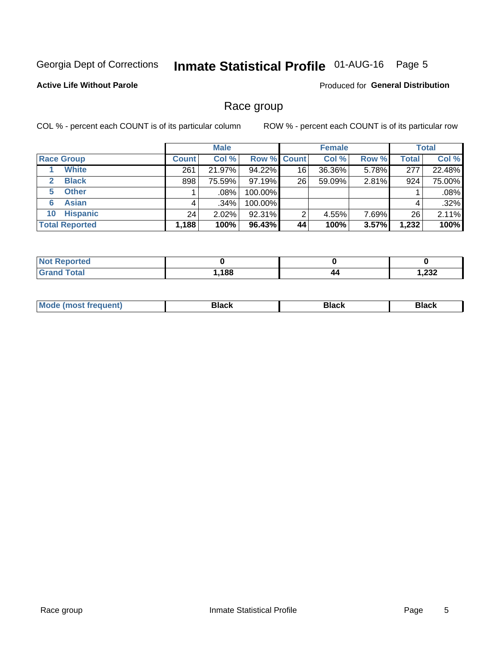## Inmate Statistical Profile 01-AUG-16 Page 5

#### **Active Life Without Parole**

Produced for General Distribution

### Race group

COL % - percent each COUNT is of its particular column

|                              |              | <b>Male</b> |         |                    | <b>Female</b> |       |              | <b>Total</b> |  |
|------------------------------|--------------|-------------|---------|--------------------|---------------|-------|--------------|--------------|--|
| <b>Race Group</b>            | <b>Count</b> | Col %       |         | <b>Row % Count</b> | Col %         | Row % | <b>Total</b> | Col %        |  |
| <b>White</b>                 | 261          | 21.97%      | 94.22%  | 16                 | 36.36%        | 5.78% | 277          | 22.48%       |  |
| <b>Black</b><br>$\mathbf{2}$ | 898          | 75.59%      | 97.19%  | 26                 | 59.09%        | 2.81% | 924          | 75.00%       |  |
| <b>Other</b><br>5.           |              | .08%        | 100.00% |                    |               |       |              | .08%         |  |
| <b>Asian</b><br>6            | 4            | ا 34%.      | 100.00% |                    |               |       | 4            | .32%         |  |
| <b>Hispanic</b><br>10        | 24           | $2.02\%$    | 92.31%  | 2                  | 4.55%         | 7.69% | 26           | 2.11%        |  |
| <b>Total Reported</b>        | 1,188        | 100%        | 96.43%  | 44                 | 100%          | 3.57% | 1,232        | 100%         |  |

| .<br>rreo<br>NO |      |    |       |
|-----------------|------|----|-------|
| $T0+0$          | ,188 | 44 | המה ו |

| –•••• |  | M |  |  |  |
|-------|--|---|--|--|--|
|-------|--|---|--|--|--|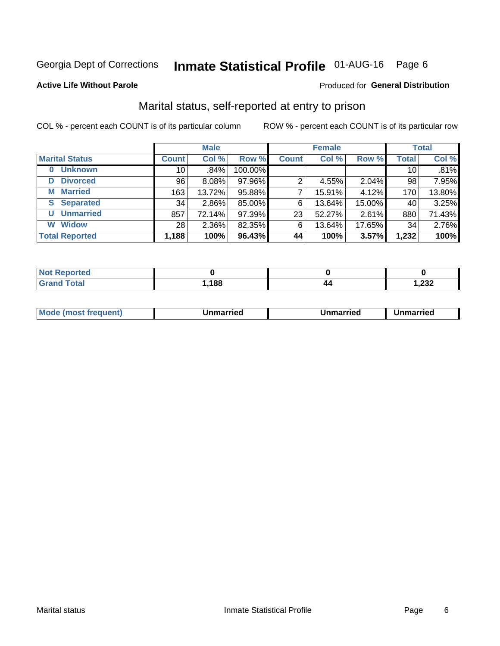## Inmate Statistical Profile 01-AUG-16 Page 6

#### **Active Life Without Parole**

#### Produced for General Distribution

### Marital status, self-reported at entry to prison

COL % - percent each COUNT is of its particular column

|                        | <b>Male</b>     |        |         | <b>Female</b> |        |        | <b>Total</b> |        |
|------------------------|-----------------|--------|---------|---------------|--------|--------|--------------|--------|
| <b>Marital Status</b>  | <b>Count</b>    | Col %  | Row %   | <b>Count</b>  | Col %  | Row %  | <b>Total</b> | Col %  |
| <b>Unknown</b><br>0    | 10              | .84%   | 100.00% |               |        |        | 10           | .81%   |
| <b>Divorced</b><br>D   | 96              | 8.08%  | 97.96%  | 2             | 4.55%  | 2.04%  | 98           | 7.95%  |
| <b>Married</b><br>М    | 163             | 13.72% | 95.88%  | ⇁             | 15.91% | 4.12%  | 170          | 13.80% |
| <b>Separated</b><br>S. | 34              | 2.86%  | 85.00%  | 6             | 13.64% | 15.00% | 40           | 3.25%  |
| <b>Unmarried</b><br>U  | 857             | 72.14% | 97.39%  | 23            | 52.27% | 2.61%  | 880          | 71.43% |
| <b>Widow</b><br>W      | 28 <sub>1</sub> | 2.36%  | 82.35%  | 6             | 13.64% | 17.65% | 34           | 2.76%  |
| <b>Total Reported</b>  | 1,188           | 100%   | 96.43%  | 44            | 100%   | 3.57%  | 1,232        | 100%   |

| <b>Not Reported</b><br>$\sim$ . The set of $\sim$ |      |                        |
|---------------------------------------------------|------|------------------------|
| Total                                             | ,188 | າາາ<br><i>ے دے</i> , ו |

|--|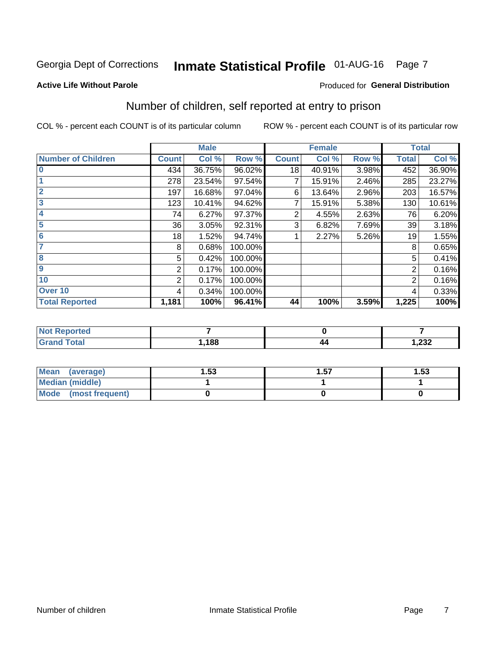## Inmate Statistical Profile 01-AUG-16 Page 7

#### **Active Life Without Parole**

#### **Produced for General Distribution**

## Number of children, self reported at entry to prison

COL % - percent each COUNT is of its particular column

|                           |              | <b>Male</b> |         |              | <b>Female</b> |       |                | <b>Total</b> |
|---------------------------|--------------|-------------|---------|--------------|---------------|-------|----------------|--------------|
| <b>Number of Children</b> | <b>Count</b> | Col %       | Row %   | <b>Count</b> | Col %         | Row % | <b>Total</b>   | Col %        |
| $\bf{0}$                  | 434          | 36.75%      | 96.02%  | 18           | 40.91%        | 3.98% | 452            | 36.90%       |
|                           | 278          | 23.54%      | 97.54%  |              | 15.91%        | 2.46% | 285            | 23.27%       |
| $\overline{2}$            | 197          | 16.68%      | 97.04%  | 6            | 13.64%        | 2.96% | 203            | 16.57%       |
| 3                         | 123          | 10.41%      | 94.62%  |              | 15.91%        | 5.38% | 130            | 10.61%       |
| 4                         | 74           | 6.27%       | 97.37%  | 2            | 4.55%         | 2.63% | 76             | 6.20%        |
| 5                         | 36           | 3.05%       | 92.31%  | 3            | 6.82%         | 7.69% | 39             | 3.18%        |
| $6\phantom{1}6$           | 18           | 1.52%       | 94.74%  |              | 2.27%         | 5.26% | 19             | 1.55%        |
| 7                         | 8            | 0.68%       | 100.00% |              |               |       | 8              | 0.65%        |
| $\overline{\mathbf{8}}$   | 5            | 0.42%       | 100.00% |              |               |       | 5              | 0.41%        |
| $\boldsymbol{9}$          | 2            | 0.17%       | 100.00% |              |               |       | 2              | 0.16%        |
| 10                        | 2            | 0.17%       | 100.00% |              |               |       | $\overline{2}$ | 0.16%        |
| Over 10                   | 4            | 0.34%       | 100.00% |              |               |       | 4              | 0.33%        |
| <b>Total Reported</b>     | 1,181        | 100%        | 96.41%  | 44           | 100%          | 3.59% | 1,225          | 100%         |

| rreo              |      |    |                 |
|-------------------|------|----|-----------------|
| المقماد<br>$\sim$ | ,188 | 44 | ົດດດ<br>ـ∡د∡, ا |

| <b>Mean</b><br>(average) | 1.53 | 1.57 | l.53 |
|--------------------------|------|------|------|
| <b>Median (middle)</b>   |      |      |      |
| Mode<br>(most frequent)  |      |      |      |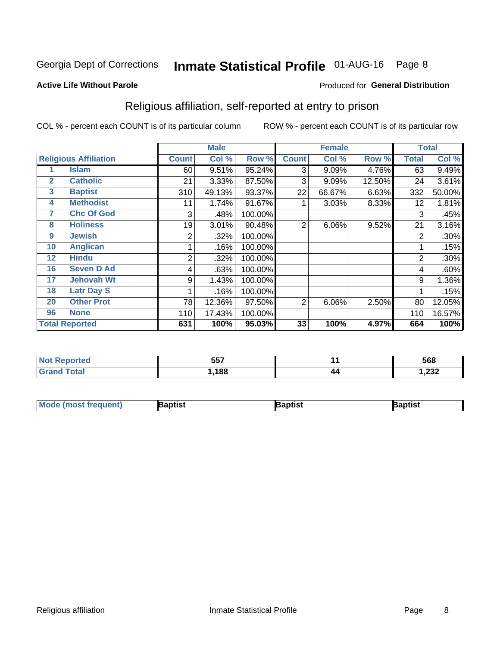## Inmate Statistical Profile 01-AUG-16 Page 8

#### **Active Life Without Parole**

#### Produced for General Distribution

### Religious affiliation, self-reported at entry to prison

COL % - percent each COUNT is of its particular column

|              |                              |                | <b>Male</b> |         |              | <b>Female</b> |        | <b>Total</b>   |        |
|--------------|------------------------------|----------------|-------------|---------|--------------|---------------|--------|----------------|--------|
|              | <b>Religious Affiliation</b> | <b>Count</b>   | Col %       | Row %   | <b>Count</b> | Col %         | Row %  | <b>Total</b>   | Col %  |
|              | <b>Islam</b>                 | 60             | 9.51%       | 95.24%  | 3            | 9.09%         | 4.76%  | 63             | 9.49%  |
| $\mathbf{2}$ | <b>Catholic</b>              | 21             | 3.33%       | 87.50%  | 3            | 9.09%         | 12.50% | 24             | 3.61%  |
| 3            | <b>Baptist</b>               | 310            | 49.13%      | 93.37%  | 22           | 66.67%        | 6.63%  | 332            | 50.00% |
| 4            | <b>Methodist</b>             | 11             | 1.74%       | 91.67%  |              | 3.03%         | 8.33%  | 12             | 1.81%  |
| 7            | <b>Chc Of God</b>            | 3              | .48%        | 100.00% |              |               |        | 3              | .45%   |
| 8            | <b>Holiness</b>              | 19             | 3.01%       | 90.48%  | 2            | 6.06%         | 9.52%  | 21             | 3.16%  |
| 9            | <b>Jewish</b>                | 2              | .32%        | 100.00% |              |               |        | 2              | .30%   |
| 10           | <b>Anglican</b>              |                | .16%        | 100.00% |              |               |        |                | .15%   |
| 12           | <b>Hindu</b>                 | $\overline{2}$ | .32%        | 100.00% |              |               |        | $\overline{2}$ | .30%   |
| 16           | <b>Seven D Ad</b>            | 4              | .63%        | 100.00% |              |               |        | 4              | .60%   |
| 17           | <b>Jehovah Wt</b>            | 9              | 1.43%       | 100.00% |              |               |        | 9              | 1.36%  |
| 18           | <b>Latr Day S</b>            |                | .16%        | 100.00% |              |               |        |                | .15%   |
| 20           | <b>Other Prot</b>            | 78             | 12.36%      | 97.50%  | 2            | 6.06%         | 2.50%  | 80             | 12.05% |
| 96           | <b>None</b>                  | 110            | 17.43%      | 100.00% |              |               |        | 110            | 16.57% |
|              | <b>Total Reported</b>        | 631            | 100%        | 95.03%  | 33           | 100%          | 4.97%  | 664            | 100%   |

| ı teu<br>. | 557<br>ו טע |    | 568                      |
|------------|-------------|----|--------------------------|
|            | 188         | 44 | $\sim$<br><i>ے</i> ت∠, ا |

| <b>Mode (most frequent)</b> | 3aptist | 3aptist | Baptist |
|-----------------------------|---------|---------|---------|
|-----------------------------|---------|---------|---------|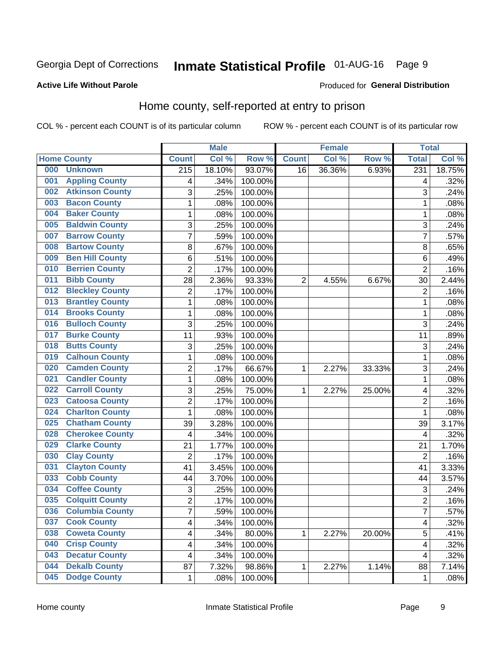## Inmate Statistical Profile 01-AUG-16 Page 9

#### **Active Life Without Parole**

#### Produced for General Distribution

### Home county, self-reported at entry to prison

COL % - percent each COUNT is of its particular column

|     |                        |                  | <b>Male</b> |         |                | <b>Female</b> |        | <b>Total</b>   |        |
|-----|------------------------|------------------|-------------|---------|----------------|---------------|--------|----------------|--------|
|     | <b>Home County</b>     | <b>Count</b>     | Col %       | Row %   | <b>Count</b>   | Col %         | Row %  | <b>Total</b>   | Col %  |
| 000 | <b>Unknown</b>         | $\overline{215}$ | 18.10%      | 93.07%  | 16             | 36.36%        | 6.93%  | 231            | 18.75% |
| 001 | <b>Appling County</b>  | 4                | .34%        | 100.00% |                |               |        | 4              | .32%   |
| 002 | <b>Atkinson County</b> | 3                | .25%        | 100.00% |                |               |        | 3              | .24%   |
| 003 | <b>Bacon County</b>    | $\mathbf{1}$     | .08%        | 100.00% |                |               |        | 1              | .08%   |
| 004 | <b>Baker County</b>    | $\mathbf 1$      | .08%        | 100.00% |                |               |        | 1              | .08%   |
| 005 | <b>Baldwin County</b>  | 3                | .25%        | 100.00% |                |               |        | 3              | .24%   |
| 007 | <b>Barrow County</b>   | $\overline{7}$   | .59%        | 100.00% |                |               |        | $\overline{7}$ | .57%   |
| 008 | <b>Bartow County</b>   | 8                | .67%        | 100.00% |                |               |        | 8              | .65%   |
| 009 | <b>Ben Hill County</b> | 6                | .51%        | 100.00% |                |               |        | 6              | .49%   |
| 010 | <b>Berrien County</b>  | $\overline{2}$   | .17%        | 100.00% |                |               |        | $\overline{2}$ | .16%   |
| 011 | <b>Bibb County</b>     | 28               | 2.36%       | 93.33%  | $\overline{2}$ | 4.55%         | 6.67%  | 30             | 2.44%  |
| 012 | <b>Bleckley County</b> | 2                | .17%        | 100.00% |                |               |        | $\overline{2}$ | .16%   |
| 013 | <b>Brantley County</b> | $\mathbf{1}$     | .08%        | 100.00% |                |               |        | 1              | .08%   |
| 014 | <b>Brooks County</b>   | $\mathbf 1$      | .08%        | 100.00% |                |               |        | 1              | .08%   |
| 016 | <b>Bulloch County</b>  | 3                | .25%        | 100.00% |                |               |        | 3              | .24%   |
| 017 | <b>Burke County</b>    | 11               | .93%        | 100.00% |                |               |        | 11             | .89%   |
| 018 | <b>Butts County</b>    | 3                | .25%        | 100.00% |                |               |        | 3              | .24%   |
| 019 | <b>Calhoun County</b>  | $\mathbf 1$      | .08%        | 100.00% |                |               |        | 1              | .08%   |
| 020 | <b>Camden County</b>   | $\overline{2}$   | .17%        | 66.67%  | 1              | 2.27%         | 33.33% | 3              | .24%   |
| 021 | <b>Candler County</b>  | $\mathbf 1$      | .08%        | 100.00% |                |               |        | 1              | .08%   |
| 022 | <b>Carroll County</b>  | 3                | .25%        | 75.00%  | 1              | 2.27%         | 25.00% | 4              | .32%   |
| 023 | <b>Catoosa County</b>  | $\overline{c}$   | .17%        | 100.00% |                |               |        | $\overline{2}$ | .16%   |
| 024 | <b>Charlton County</b> | $\mathbf{1}$     | .08%        | 100.00% |                |               |        | 1              | .08%   |
| 025 | <b>Chatham County</b>  | 39               | 3.28%       | 100.00% |                |               |        | 39             | 3.17%  |
| 028 | <b>Cherokee County</b> | 4                | .34%        | 100.00% |                |               |        | 4              | .32%   |
| 029 | <b>Clarke County</b>   | 21               | 1.77%       | 100.00% |                |               |        | 21             | 1.70%  |
| 030 | <b>Clay County</b>     | $\overline{2}$   | .17%        | 100.00% |                |               |        | $\overline{2}$ | .16%   |
| 031 | <b>Clayton County</b>  | 41               | 3.45%       | 100.00% |                |               |        | 41             | 3.33%  |
| 033 | <b>Cobb County</b>     | 44               | 3.70%       | 100.00% |                |               |        | 44             | 3.57%  |
| 034 | <b>Coffee County</b>   | 3                | .25%        | 100.00% |                |               |        | 3              | .24%   |
| 035 | <b>Colquitt County</b> | $\overline{2}$   | .17%        | 100.00% |                |               |        | $\overline{2}$ | .16%   |
| 036 | <b>Columbia County</b> | 7                | .59%        | 100.00% |                |               |        | $\overline{7}$ | .57%   |
| 037 | <b>Cook County</b>     | 4                | .34%        | 100.00% |                |               |        | 4              | .32%   |
| 038 | <b>Coweta County</b>   | 4                | .34%        | 80.00%  | 1              | 2.27%         | 20.00% | $\overline{5}$ | .41%   |
| 040 | <b>Crisp County</b>    | 4                | .34%        | 100.00% |                |               |        | 4              | .32%   |
| 043 | <b>Decatur County</b>  | 4                | .34%        | 100.00% |                |               |        | 4              | .32%   |
| 044 | <b>Dekalb County</b>   | 87               | 7.32%       | 98.86%  | 1              | 2.27%         | 1.14%  | 88             | 7.14%  |
| 045 | <b>Dodge County</b>    | 1                | .08%        | 100.00% |                |               |        | 1              | .08%   |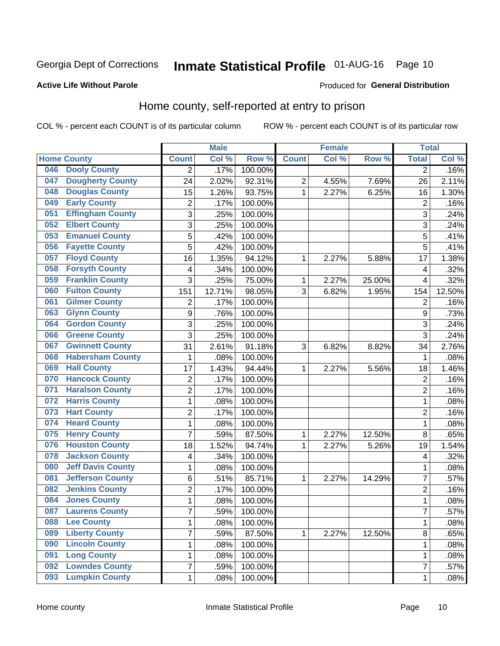## Inmate Statistical Profile 01-AUG-16 Page 10

#### **Active Life Without Parole**

#### Produced for General Distribution

### Home county, self-reported at entry to prison

COL % - percent each COUNT is of its particular column

|     |                          |                | <b>Male</b> |                  |                | <b>Female</b> |        | <b>Total</b>   |        |
|-----|--------------------------|----------------|-------------|------------------|----------------|---------------|--------|----------------|--------|
|     | <b>Home County</b>       | <b>Count</b>   | Col %       | Row <sup>%</sup> | <b>Count</b>   | Col %         | Row %  | <b>Total</b>   | Col %  |
| 046 | <b>Dooly County</b>      | $\overline{2}$ | .17%        | 100.00%          |                |               |        | $\overline{2}$ | .16%   |
| 047 | <b>Dougherty County</b>  | 24             | 2.02%       | 92.31%           | $\overline{c}$ | 4.55%         | 7.69%  | 26             | 2.11%  |
| 048 | <b>Douglas County</b>    | 15             | 1.26%       | 93.75%           | 1              | 2.27%         | 6.25%  | 16             | 1.30%  |
| 049 | <b>Early County</b>      | 2              | .17%        | 100.00%          |                |               |        | $\overline{2}$ | .16%   |
| 051 | <b>Effingham County</b>  | 3              | .25%        | 100.00%          |                |               |        | 3              | .24%   |
| 052 | <b>Elbert County</b>     | 3              | .25%        | 100.00%          |                |               |        | 3              | .24%   |
| 053 | <b>Emanuel County</b>    | 5              | .42%        | 100.00%          |                |               |        | 5              | .41%   |
| 056 | <b>Fayette County</b>    | 5              | .42%        | 100.00%          |                |               |        | 5              | .41%   |
| 057 | <b>Floyd County</b>      | 16             | 1.35%       | 94.12%           | 1              | 2.27%         | 5.88%  | 17             | 1.38%  |
| 058 | <b>Forsyth County</b>    | 4              | .34%        | 100.00%          |                |               |        | 4              | .32%   |
| 059 | <b>Franklin County</b>   | 3              | .25%        | 75.00%           | 1              | 2.27%         | 25.00% | 4              | .32%   |
| 060 | <b>Fulton County</b>     | 151            | 12.71%      | 98.05%           | 3              | 6.82%         | 1.95%  | 154            | 12.50% |
| 061 | <b>Gilmer County</b>     | $\overline{2}$ | .17%        | 100.00%          |                |               |        | $\overline{2}$ | .16%   |
| 063 | <b>Glynn County</b>      | 9              | .76%        | 100.00%          |                |               |        | 9              | .73%   |
| 064 | <b>Gordon County</b>     | 3              | .25%        | 100.00%          |                |               |        | 3              | .24%   |
| 066 | <b>Greene County</b>     | 3              | .25%        | 100.00%          |                |               |        | 3              | .24%   |
| 067 | <b>Gwinnett County</b>   | 31             | 2.61%       | 91.18%           | 3              | 6.82%         | 8.82%  | 34             | 2.76%  |
| 068 | <b>Habersham County</b>  | 1              | .08%        | 100.00%          |                |               |        | 1              | .08%   |
| 069 | <b>Hall County</b>       | 17             | 1.43%       | 94.44%           | 1              | 2.27%         | 5.56%  | 18             | 1.46%  |
| 070 | <b>Hancock County</b>    | $\overline{2}$ | .17%        | 100.00%          |                |               |        | $\overline{2}$ | .16%   |
| 071 | <b>Haralson County</b>   | $\overline{2}$ | .17%        | 100.00%          |                |               |        | $\overline{2}$ | .16%   |
| 072 | <b>Harris County</b>     | $\mathbf{1}$   | .08%        | 100.00%          |                |               |        | 1              | .08%   |
| 073 | <b>Hart County</b>       | $\overline{2}$ | .17%        | 100.00%          |                |               |        | $\overline{2}$ | .16%   |
| 074 | <b>Heard County</b>      | 1              | .08%        | 100.00%          |                |               |        | 1              | .08%   |
| 075 | <b>Henry County</b>      | $\overline{7}$ | .59%        | 87.50%           | 1              | 2.27%         | 12.50% | 8              | .65%   |
| 076 | <b>Houston County</b>    | 18             | 1.52%       | 94.74%           | 1              | 2.27%         | 5.26%  | 19             | 1.54%  |
| 078 | <b>Jackson County</b>    | 4              | .34%        | 100.00%          |                |               |        | 4              | .32%   |
| 080 | <b>Jeff Davis County</b> | 1              | .08%        | 100.00%          |                |               |        | 1              | .08%   |
| 081 | <b>Jefferson County</b>  | 6              | .51%        | 85.71%           | 1              | 2.27%         | 14.29% | 7              | .57%   |
| 082 | <b>Jenkins County</b>    | $\overline{2}$ | .17%        | 100.00%          |                |               |        | $\overline{2}$ | .16%   |
| 084 | <b>Jones County</b>      | $\mathbf{1}$   | .08%        | 100.00%          |                |               |        | 1              | .08%   |
| 087 | <b>Laurens County</b>    | $\overline{7}$ | .59%        | 100.00%          |                |               |        | 7              | .57%   |
| 088 | <b>Lee County</b>        | $\mathbf{1}$   | .08%        | 100.00%          |                |               |        | 1              | .08%   |
| 089 | <b>Liberty County</b>    | $\overline{7}$ | .59%        | 87.50%           | $\mathbf{1}$   | 2.27%         | 12.50% | 8              | .65%   |
| 090 | <b>Lincoln County</b>    | $\mathbf 1$    | .08%        | 100.00%          |                |               |        | 1              | .08%   |
| 091 | <b>Long County</b>       | 1              | .08%        | 100.00%          |                |               |        | 1              | .08%   |
| 092 | <b>Lowndes County</b>    | $\overline{7}$ | .59%        | 100.00%          |                |               |        | 7              | .57%   |
| 093 | <b>Lumpkin County</b>    | $\mathbf{1}$   | .08%        | 100.00%          |                |               |        | 1              | .08%   |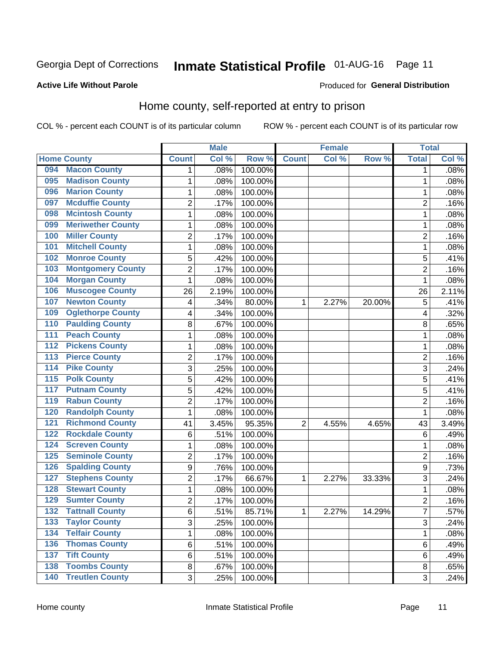## Inmate Statistical Profile 01-AUG-16 Page 11

#### **Active Life Without Parole**

#### Produced for General Distribution

### Home county, self-reported at entry to prison

COL % - percent each COUNT is of its particular column

|                                        |                          |                  | <b>Male</b> |         |              | <b>Female</b> |        | <b>Total</b>   |       |
|----------------------------------------|--------------------------|------------------|-------------|---------|--------------|---------------|--------|----------------|-------|
| <b>Home County</b>                     |                          | <b>Count</b>     | Col %       | Row %   | <b>Count</b> | Col %         | Row %  | <b>Total</b>   | Col % |
| 094                                    | <b>Macon County</b>      | 1                | .08%        | 100.00% |              |               |        | 1              | .08%  |
| 095                                    | <b>Madison County</b>    | 1                | .08%        | 100.00% |              |               |        | 1              | .08%  |
| 096                                    | <b>Marion County</b>     | $\mathbf 1$      | .08%        | 100.00% |              |               |        | 1              | .08%  |
| 097                                    | <b>Mcduffie County</b>   | $\overline{2}$   | .17%        | 100.00% |              |               |        | 2              | .16%  |
| 098                                    | <b>Mcintosh County</b>   | $\mathbf 1$      | .08%        | 100.00% |              |               |        | 1              | .08%  |
| 099                                    | <b>Meriwether County</b> | 1                | .08%        | 100.00% |              |               |        | 1              | .08%  |
| <b>Miller County</b><br>100            |                          | $\overline{2}$   | .17%        | 100.00% |              |               |        | 2              | .16%  |
| 101                                    | <b>Mitchell County</b>   | 1                | .08%        | 100.00% |              |               |        | 1              | .08%  |
| 102                                    | <b>Monroe County</b>     | 5                | .42%        | 100.00% |              |               |        | 5              | .41%  |
| 103                                    | <b>Montgomery County</b> | $\overline{2}$   | .17%        | 100.00% |              |               |        | $\overline{2}$ | .16%  |
| 104                                    | <b>Morgan County</b>     | $\mathbf{1}$     | .08%        | 100.00% |              |               |        | 1              | .08%  |
| 106                                    | <b>Muscogee County</b>   | 26               | 2.19%       | 100.00% |              |               |        | 26             | 2.11% |
| 107                                    | <b>Newton County</b>     | 4                | .34%        | 80.00%  | 1            | 2.27%         | 20.00% | 5              | .41%  |
| 109                                    | <b>Oglethorpe County</b> | 4                | .34%        | 100.00% |              |               |        | 4              | .32%  |
| 110                                    | <b>Paulding County</b>   | 8                | .67%        | 100.00% |              |               |        | 8              | .65%  |
| 111                                    | <b>Peach County</b>      | 1                | .08%        | 100.00% |              |               |        | 1              | .08%  |
| 112                                    | <b>Pickens County</b>    | $\mathbf 1$      | .08%        | 100.00% |              |               |        | 1              | .08%  |
| $\overline{113}$                       | <b>Pierce County</b>     | $\overline{2}$   | .17%        | 100.00% |              |               |        | $\overline{c}$ | .16%  |
| <b>Pike County</b><br>$\overline{114}$ |                          | 3                | .25%        | 100.00% |              |               |        | 3              | .24%  |
| <b>Polk County</b><br>$\overline{115}$ |                          | 5                | .42%        | 100.00% |              |               |        | 5              | .41%  |
| 117                                    | <b>Putnam County</b>     | 5                | .42%        | 100.00% |              |               |        | 5              | .41%  |
| 119                                    | <b>Rabun County</b>      | $\overline{2}$   | .17%        | 100.00% |              |               |        | $\overline{2}$ | .16%  |
| 120                                    | <b>Randolph County</b>   | $\mathbf{1}$     | .08%        | 100.00% |              |               |        | 1              | .08%  |
| 121                                    | <b>Richmond County</b>   | 41               | 3.45%       | 95.35%  | 2            | 4.55%         | 4.65%  | 43             | 3.49% |
| 122                                    | <b>Rockdale County</b>   | 6                | .51%        | 100.00% |              |               |        | 6              | .49%  |
| 124                                    | <b>Screven County</b>    | 1                | .08%        | 100.00% |              |               |        | 1              | .08%  |
| 125                                    | <b>Seminole County</b>   | $\overline{2}$   | .17%        | 100.00% |              |               |        | $\overline{2}$ | .16%  |
| 126                                    | <b>Spalding County</b>   | $\boldsymbol{9}$ | .76%        | 100.00% |              |               |        | 9              | .73%  |
| 127                                    | <b>Stephens County</b>   | $\overline{2}$   | .17%        | 66.67%  | 1            | 2.27%         | 33.33% | 3              | .24%  |
| 128                                    | <b>Stewart County</b>    | 1                | .08%        | 100.00% |              |               |        | 1              | .08%  |
| 129                                    | <b>Sumter County</b>     | $\overline{2}$   | .17%        | 100.00% |              |               |        | $\overline{2}$ | .16%  |
| 132                                    | <b>Tattnall County</b>   | 6                | .51%        | 85.71%  | 1            | 2.27%         | 14.29% | 7              | .57%  |
| 133                                    | <b>Taylor County</b>     | 3                | .25%        | 100.00% |              |               |        | 3              | .24%  |
| 134                                    | <b>Telfair County</b>    | 1                | .08%        | 100.00% |              |               |        | 1              | .08%  |
| 136                                    | <b>Thomas County</b>     | $\,6$            | .51%        | 100.00% |              |               |        | 6              | .49%  |
| <b>Tift County</b><br>137              |                          | 6                | .51%        | 100.00% |              |               |        | 6              | .49%  |
| 138                                    | <b>Toombs County</b>     | 8                | .67%        | 100.00% |              |               |        | 8              | .65%  |
| $\overline{140}$                       | <b>Treutlen County</b>   | 3                | .25%        | 100.00% |              |               |        | 3              | .24%  |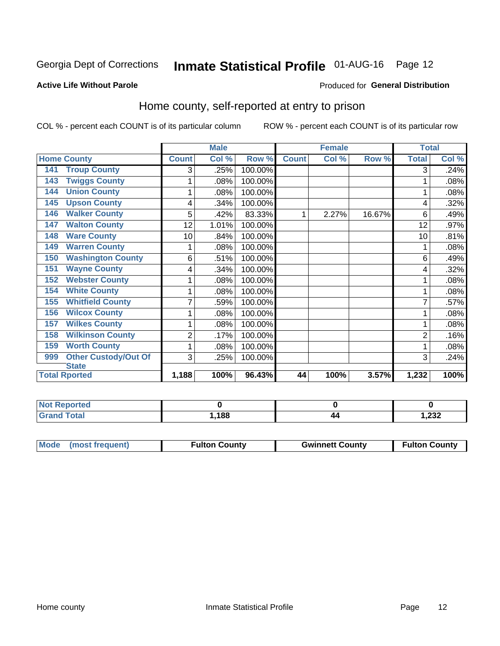## Inmate Statistical Profile 01-AUG-16 Page 12

#### **Active Life Without Parole**

#### Produced for General Distribution

### Home county, self-reported at entry to prison

COL % - percent each COUNT is of its particular column

|                                    |                | <b>Male</b> |         |              | <b>Female</b> |        | <b>Total</b>   |       |
|------------------------------------|----------------|-------------|---------|--------------|---------------|--------|----------------|-------|
| <b>Home County</b>                 | <b>Count</b>   | Col %       | Row %   | <b>Count</b> | Col %         | Row %  | <b>Total</b>   | Col % |
| <b>Troup County</b><br>141         | 3              | .25%        | 100.00% |              |               |        | 3              | .24%  |
| <b>Twiggs County</b><br>143        | 1              | .08%        | 100.00% |              |               |        |                | .08%  |
| <b>Union County</b><br>144         | 1              | .08%        | 100.00% |              |               |        |                | .08%  |
| <b>Upson County</b><br>145         | 4              | .34%        | 100.00% |              |               |        | 4              | .32%  |
| <b>Walker County</b><br>146        | 5              | .42%        | 83.33%  | 1            | 2.27%         | 16.67% | 6              | .49%  |
| <b>Walton County</b><br>147        | 12             | 1.01%       | 100.00% |              |               |        | 12             | .97%  |
| <b>Ware County</b><br>148          | 10             | .84%        | 100.00% |              |               |        | 10             | .81%  |
| <b>Warren County</b><br>149        | 1              | .08%        | 100.00% |              |               |        |                | .08%  |
| <b>Washington County</b><br>150    | 6              | .51%        | 100.00% |              |               |        | 6              | .49%  |
| <b>Wayne County</b><br>151         | 4              | .34%        | 100.00% |              |               |        | 4              | .32%  |
| <b>Webster County</b><br>152       | 1              | .08%        | 100.00% |              |               |        |                | .08%  |
| <b>White County</b><br>154         | 1              | .08%        | 100.00% |              |               |        |                | .08%  |
| <b>Whitfield County</b><br>155     | 7              | .59%        | 100.00% |              |               |        |                | .57%  |
| <b>Wilcox County</b><br>156        | 1              | .08%        | 100.00% |              |               |        |                | .08%  |
| <b>Wilkes County</b><br>157        | 1              | .08%        | 100.00% |              |               |        |                | .08%  |
| <b>Wilkinson County</b><br>158     | $\overline{c}$ | .17%        | 100.00% |              |               |        | $\overline{2}$ | .16%  |
| <b>Worth County</b><br>159         | 1              | $.08\%$     | 100.00% |              |               |        |                | .08%  |
| <b>Other Custody/Out Of</b><br>999 | 3              | .25%        | 100.00% |              |               |        | 3              | .24%  |
| <b>State</b>                       |                |             |         |              |               |        |                |       |
| <b>Total Rported</b>               | 1,188          | 100%        | 96.43%  | 44           | 100%          | 3.57%  | 1,232          | 100%  |

| <b>Not Reported</b> |       |    |        |
|---------------------|-------|----|--------|
| <b>Total</b>        | 188،، | 44 | 232, ا |

| Mode (most frequent) | <b>Fulton County</b> | <b>Gwinnett County</b> | <b>Fulton County</b> |
|----------------------|----------------------|------------------------|----------------------|
|                      |                      |                        |                      |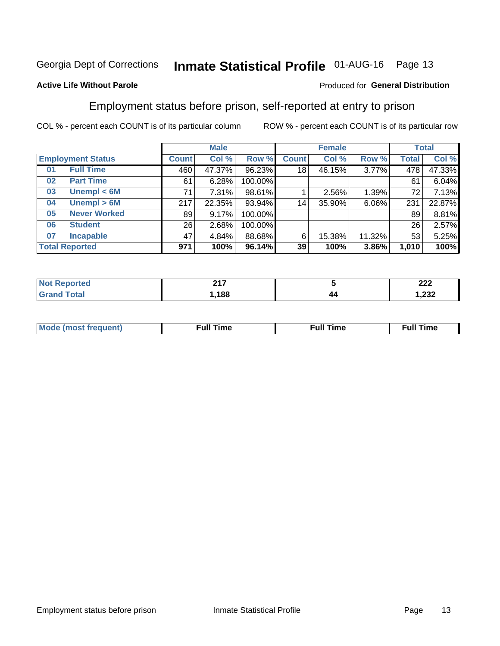## Inmate Statistical Profile 01-AUG-16 Page 13

#### **Active Life Without Parole**

#### Produced for General Distribution

### Employment status before prison, self-reported at entry to prison

COL % - percent each COUNT is of its particular column

|                           | <b>Male</b>  |          |         | <b>Female</b> |        |        | <b>Total</b> |        |
|---------------------------|--------------|----------|---------|---------------|--------|--------|--------------|--------|
| <b>Employment Status</b>  | <b>Count</b> | Col %    | Row %   | <b>Count</b>  | Col %  | Row %  | Total        | Col %  |
| <b>Full Time</b><br>01    | 460          | 47.37%   | 96.23%  | 18            | 46.15% | 3.77%  | 478          | 47.33% |
| <b>Part Time</b><br>02    | 61           | 6.28%    | 100.00% |               |        |        | 61           | 6.04%  |
| Unempl $<$ 6M<br>03       | 71           | $7.31\%$ | 98.61%  |               | 2.56%  | 1.39%  | 72           | 7.13%  |
| Unempl > 6M<br>04         | 217          | 22.35%   | 93.94%  | 14            | 35.90% | 6.06%  | 231          | 22.87% |
| <b>Never Worked</b><br>05 | 89           | 9.17%    | 100.00% |               |        |        | 89           | 8.81%  |
| <b>Student</b><br>06      | 26           | 2.68%    | 100.00% |               |        |        | 26           | 2.57%  |
| <b>Incapable</b><br>07    | 47           | 4.84%    | 88.68%  | 6             | 15.38% | 11.32% | 53           | 5.25%  |
| <b>Total Reported</b>     | 971          | 100%     | 96.14%  | 39            | 100%   | 3.86%  | 1,010        | 100%   |

| 247  |          | ົດດດ<br>LLL              |
|------|----------|--------------------------|
| ,188 | 47<br>-- | $\sim$<br><i>ےد</i> ∡, ו |

| Mc | ∙u∥<br>----<br>ıme | ίuΙ<br>Πmε |
|----|--------------------|------------|
|    |                    |            |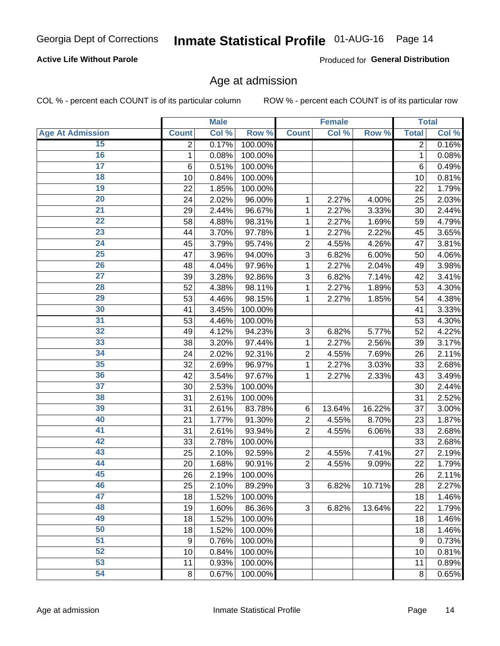#### **Active Life Without Parole**

Produced for General Distribution

### Age at admission

COL % - percent each COUNT is of its particular column

|                         |                 | <b>Male</b> |         |                | <b>Female</b> |        |                  | <b>Total</b> |
|-------------------------|-----------------|-------------|---------|----------------|---------------|--------|------------------|--------------|
| <b>Age At Admission</b> | <b>Count</b>    | Col %       | Row %   | <b>Count</b>   | Col %         | Row %  | <b>Total</b>     | Col %        |
| 15                      | 2               | 0.17%       | 100.00% |                |               |        | 2                | 0.16%        |
| 16                      | 1               | 0.08%       | 100.00% |                |               |        | 1                | 0.08%        |
| $\overline{17}$         | $6\phantom{1}6$ | 0.51%       | 100.00% |                |               |        | 6                | 0.49%        |
| 18                      | 10              | 0.84%       | 100.00% |                |               |        | 10               | 0.81%        |
| 19                      | 22              | 1.85%       | 100.00% |                |               |        | 22               | 1.79%        |
| $\overline{20}$         | 24              | 2.02%       | 96.00%  | 1              | 2.27%         | 4.00%  | 25               | 2.03%        |
| 21                      | 29              | 2.44%       | 96.67%  | 1              | 2.27%         | 3.33%  | 30               | 2.44%        |
| 22                      | 58              | 4.88%       | 98.31%  | 1              | 2.27%         | 1.69%  | 59               | 4.79%        |
| 23                      | 44              | 3.70%       | 97.78%  | 1              | 2.27%         | 2.22%  | 45               | 3.65%        |
| 24                      | 45              | 3.79%       | 95.74%  | $\overline{2}$ | 4.55%         | 4.26%  | 47               | 3.81%        |
| $\overline{25}$         | 47              | 3.96%       | 94.00%  | 3              | 6.82%         | 6.00%  | 50               | 4.06%        |
| 26                      | 48              | 4.04%       | 97.96%  | 1              | 2.27%         | 2.04%  | 49               | 3.98%        |
| $\overline{27}$         | 39              | 3.28%       | 92.86%  | 3              | 6.82%         | 7.14%  | 42               | 3.41%        |
| 28                      | 52              | 4.38%       | 98.11%  | 1              | 2.27%         | 1.89%  | 53               | 4.30%        |
| 29                      | 53              | 4.46%       | 98.15%  | 1              | 2.27%         | 1.85%  | 54               | 4.38%        |
| 30                      | 41              | 3.45%       | 100.00% |                |               |        | 41               | 3.33%        |
| $\overline{31}$         | 53              | 4.46%       | 100.00% |                |               |        | 53               | 4.30%        |
| 32                      | 49              | 4.12%       | 94.23%  | 3              | 6.82%         | 5.77%  | 52               | 4.22%        |
| 33                      | 38              | 3.20%       | 97.44%  | 1              | 2.27%         | 2.56%  | 39               | 3.17%        |
| 34                      | 24              | 2.02%       | 92.31%  | $\overline{2}$ | 4.55%         | 7.69%  | 26               | 2.11%        |
| 35                      | 32              | 2.69%       | 96.97%  | 1              | 2.27%         | 3.03%  | 33               | 2.68%        |
| 36                      | 42              | 3.54%       | 97.67%  | 1              | 2.27%         | 2.33%  | 43               | 3.49%        |
| $\overline{37}$         | 30              | 2.53%       | 100.00% |                |               |        | 30               | 2.44%        |
| 38                      | 31              | 2.61%       | 100.00% |                |               |        | 31               | 2.52%        |
| 39                      | 31              | 2.61%       | 83.78%  | 6              | 13.64%        | 16.22% | 37               | 3.00%        |
| 40                      | 21              | 1.77%       | 91.30%  | $\overline{2}$ | 4.55%         | 8.70%  | 23               | 1.87%        |
| 41                      | 31              | 2.61%       | 93.94%  | $\overline{2}$ | 4.55%         | 6.06%  | 33               | 2.68%        |
| 42                      | 33              | 2.78%       | 100.00% |                |               |        | 33               | 2.68%        |
| 43                      | 25              | 2.10%       | 92.59%  | $\overline{2}$ | 4.55%         | 7.41%  | 27               | 2.19%        |
| 44                      | 20              | 1.68%       | 90.91%  | $\overline{2}$ | 4.55%         | 9.09%  | 22               | 1.79%        |
| 45                      | 26              | 2.19%       | 100.00% |                |               |        | 26               | 2.11%        |
| 46                      | 25              | 2.10%       | 89.29%  | 3              | 6.82%         | 10.71% | 28               | 2.27%        |
| 47                      | 18              | 1.52%       | 100.00% |                |               |        | 18               | 1.46%        |
| 48                      | 19              | 1.60%       | 86.36%  | 3              | 6.82%         | 13.64% | 22               | 1.79%        |
| 49                      | 18              | 1.52%       | 100.00% |                |               |        | 18               | 1.46%        |
| 50                      | 18              | 1.52%       | 100.00% |                |               |        | 18               | 1.46%        |
| $\overline{51}$         | 9               | 0.76%       | 100.00% |                |               |        | $\boldsymbol{9}$ | 0.73%        |
| 52                      | 10              | 0.84%       | 100.00% |                |               |        | 10               | 0.81%        |
| 53                      | 11              | 0.93%       | 100.00% |                |               |        | 11               | 0.89%        |
| 54                      | 8               | 0.67%       | 100.00% |                |               |        | 8                | 0.65%        |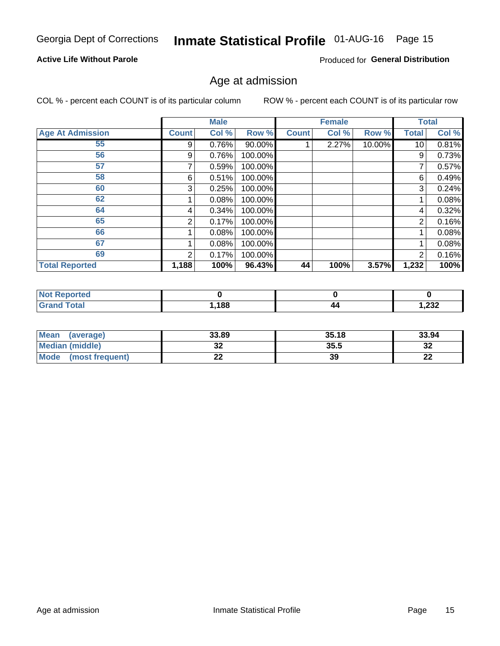## Inmate Statistical Profile 01-AUG-16 Page 15

#### **Active Life Without Parole**

Produced for General Distribution

### Age at admission

COL % - percent each COUNT is of its particular column

|                         |              | <b>Male</b> |           |              | <b>Female</b> |        |                 | <b>Total</b> |
|-------------------------|--------------|-------------|-----------|--------------|---------------|--------|-----------------|--------------|
| <b>Age At Admission</b> | <b>Count</b> | Col %       | Row %     | <b>Count</b> | Col %         | Row %  | Total           | Col %        |
| 55                      | 9            | 0.76%       | $90.00\%$ |              | 2.27%         | 10.00% | 10 <sup>1</sup> | 0.81%        |
| 56                      | 9            | 0.76%       | 100.00%   |              |               |        | 9               | 0.73%        |
| 57                      |              | 0.59%       | 100.00%   |              |               |        | 7               | 0.57%        |
| 58                      | 6            | 0.51%       | 100.00%   |              |               |        | 6               | 0.49%        |
| 60                      | 3            | 0.25%       | 100.00%   |              |               |        | 3               | 0.24%        |
| 62                      |              | 0.08%       | 100.00%   |              |               |        |                 | 0.08%        |
| 64                      | 4            | 0.34%       | 100.00%   |              |               |        | 4               | 0.32%        |
| 65                      | 2            | 0.17%       | 100.00%   |              |               |        | 2               | 0.16%        |
| 66                      |              | 0.08%       | 100.00%   |              |               |        |                 | 0.08%        |
| 67                      |              | 0.08%       | 100.00%   |              |               |        |                 | 0.08%        |
| 69                      | 2            | 0.17%       | 100.00%   |              |               |        | 2               | 0.16%        |
| <b>Total Reported</b>   | 1,188        | 100%        | 96.43%    | 44           | 100%          | 3.57%  | 1,232           | 100%         |

| prteol |      |    |               |
|--------|------|----|---------------|
|        | ,188 | 44 | າາາ<br>∡د∡, ا |

| <b>Mean</b><br>(average)       | 33.89             | 35.18 | 33.94    |
|--------------------------------|-------------------|-------|----------|
| Median (middle)                | JŁ                | 35.5  | ົາ<br>∠ت |
| <b>Mode</b><br>(most frequent) | ^^<br><u>. . </u> | 39    | n.<br>LL |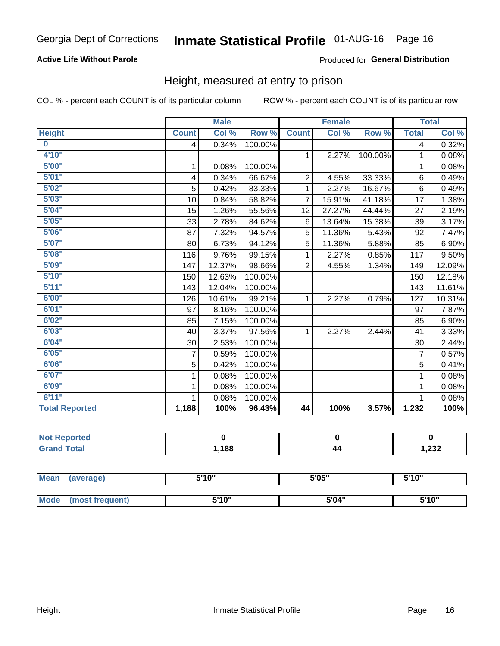#### **Active Life Without Parole**

#### Produced for General Distribution

### Height, measured at entry to prison

COL % - percent each COUNT is of its particular column

|                         |              | <b>Male</b> |         |                | <b>Female</b> |         |                | <b>Total</b> |
|-------------------------|--------------|-------------|---------|----------------|---------------|---------|----------------|--------------|
| <b>Height</b>           | <b>Count</b> | Col %       | Row %   | <b>Count</b>   | Col %         | Row %   | <b>Total</b>   | Col %        |
| $\overline{\mathbf{0}}$ | 4            | 0.34%       | 100.00% |                |               |         | 4              | 0.32%        |
| 4'10"                   |              |             |         | $\mathbf{1}$   | 2.27%         | 100.00% | 1              | 0.08%        |
| 5'00''                  | 1            | 0.08%       | 100.00% |                |               |         | 1              | 0.08%        |
| 5'01"                   | 4            | 0.34%       | 66.67%  | $\overline{2}$ | 4.55%         | 33.33%  | 6              | 0.49%        |
| 5'02"                   | 5            | 0.42%       | 83.33%  | 1              | 2.27%         | 16.67%  | 6              | 0.49%        |
| 5'03''                  | 10           | 0.84%       | 58.82%  | $\overline{7}$ | 15.91%        | 41.18%  | 17             | 1.38%        |
| 5'04"                   | 15           | 1.26%       | 55.56%  | 12             | 27.27%        | 44.44%  | 27             | 2.19%        |
| 5'05"                   | 33           | 2.78%       | 84.62%  | 6              | 13.64%        | 15.38%  | 39             | 3.17%        |
| 5'06''                  | 87           | 7.32%       | 94.57%  | 5              | 11.36%        | 5.43%   | 92             | 7.47%        |
| 5'07''                  | 80           | 6.73%       | 94.12%  | 5              | 11.36%        | 5.88%   | 85             | 6.90%        |
| 5'08''                  | 116          | 9.76%       | 99.15%  | 1              | 2.27%         | 0.85%   | 117            | 9.50%        |
| 5'09''                  | 147          | 12.37%      | 98.66%  | $\overline{2}$ | 4.55%         | 1.34%   | 149            | 12.09%       |
| 5'10''                  | 150          | 12.63%      | 100.00% |                |               |         | 150            | 12.18%       |
| 5'11''                  | 143          | 12.04%      | 100.00% |                |               |         | 143            | 11.61%       |
| 6'00''                  | 126          | 10.61%      | 99.21%  | $\mathbf{1}$   | 2.27%         | 0.79%   | 127            | 10.31%       |
| 6'01''                  | 97           | 8.16%       | 100.00% |                |               |         | 97             | 7.87%        |
| 6'02"                   | 85           | 7.15%       | 100.00% |                |               |         | 85             | 6.90%        |
| 6'03''                  | 40           | 3.37%       | 97.56%  | $\mathbf{1}$   | 2.27%         | 2.44%   | 41             | 3.33%        |
| 6'04"                   | 30           | 2.53%       | 100.00% |                |               |         | 30             | 2.44%        |
| 6'05"                   | 7            | 0.59%       | 100.00% |                |               |         | $\overline{7}$ | 0.57%        |
| 6'06''                  | 5            | 0.42%       | 100.00% |                |               |         | 5              | 0.41%        |
| 6'07''                  | 1            | 0.08%       | 100.00% |                |               |         | 1              | 0.08%        |
| 6'09''                  | 1            | 0.08%       | 100.00% |                |               |         | 1              | 0.08%        |
| 6'11''                  |              | 0.08%       | 100.00% |                |               |         |                | 0.08%        |
| <b>Total Reported</b>   | 1,188        | 100%        | 96.43%  | 44             | 100%          | 3.57%   | 1,232          | 100%         |

| NOT.<br>Reported<br>$\sim$ |      |    |                |
|----------------------------|------|----|----------------|
| $f$ $f \circ f \circ f$    | ,188 | 44 | າາາ<br>ـ∕دع, ا |

| <b>Mean</b> | (average)       | 5'10" | 5'05" | 5'10"<br>ັ |  |
|-------------|-----------------|-------|-------|------------|--|
|             |                 |       |       |            |  |
| Mode        | (most frequent) | 5'10" | 5'04" | 5'10"      |  |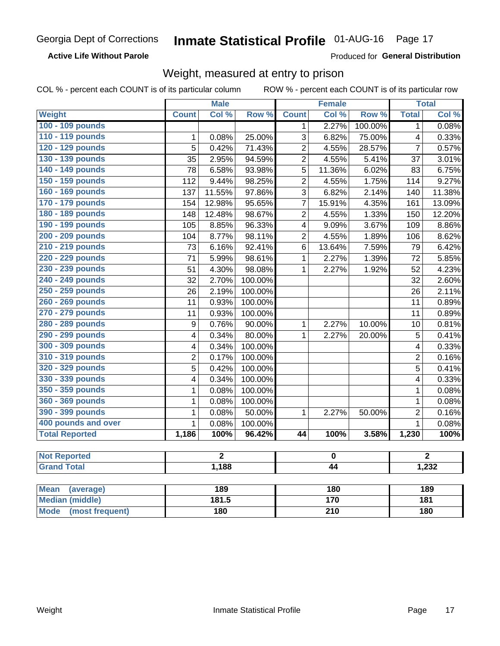**Active Life Without Parole** 

Produced for General Distribution

### Weight, measured at entry to prison

COL % - percent each COUNT is of its particular column

ROW % - percent each COUNT is of its particular row

|                                |                  | <b>Male</b>    |         |                  | <b>Female</b>    |         |                | <b>Total</b>     |  |
|--------------------------------|------------------|----------------|---------|------------------|------------------|---------|----------------|------------------|--|
| <b>Weight</b>                  | <b>Count</b>     | Col %          | Row %   | <b>Count</b>     | Col %            | Row %   | <b>Total</b>   | Col %            |  |
| 100 - 109 pounds               |                  |                |         | 1                | 2.27%            | 100.00% | $\mathbf 1$    | 0.08%            |  |
| 110 - 119 pounds               | 1                | 0.08%          | 25.00%  | 3                | 6.82%            | 75.00%  | 4              | 0.33%            |  |
| 120 - 129 pounds               | $\overline{5}$   | 0.42%          | 71.43%  | $\overline{c}$   | 4.55%            | 28.57%  | $\overline{7}$ | 0.57%            |  |
| 130 - 139 pounds               | $\overline{35}$  | 2.95%          | 94.59%  | $\overline{2}$   | 4.55%            | 5.41%   | 37             | 3.01%            |  |
| 140 - 149 pounds               | $\overline{78}$  | 6.58%          | 93.98%  | 5                | 11.36%           | 6.02%   | 83             | 6.75%            |  |
| 150 - 159 pounds               | 112              | 9.44%          | 98.25%  | $\overline{2}$   | 4.55%            | 1.75%   | 114            | 9.27%            |  |
| 160 - 169 pounds               | 137              | 11.55%         | 97.86%  | $\overline{3}$   | 6.82%            | 2.14%   | 140            | 11.38%           |  |
| 170 - 179 pounds               | 154              | 12.98%         | 95.65%  | $\overline{7}$   | 15.91%           | 4.35%   | 161            | 13.09%           |  |
| 180 - 189 pounds               | 148              | 12.48%         | 98.67%  | $\overline{2}$   | 4.55%            | 1.33%   | 150            | 12.20%           |  |
| 190 - 199 pounds               | 105              | 8.85%          | 96.33%  | 4                | 9.09%            | 3.67%   | 109            | 8.86%            |  |
| 200 - 209 pounds               | 104              | 8.77%          | 98.11%  | $\overline{2}$   | 4.55%            | 1.89%   | 106            | 8.62%            |  |
| 210 - 219 pounds               | 73               | 6.16%          | 92.41%  | 6                | 13.64%           | 7.59%   | 79             | 6.42%            |  |
| 220 - 229 pounds               | 71               | 5.99%          | 98.61%  | $\mathbf{1}$     | 2.27%            | 1.39%   | 72             | 5.85%            |  |
| 230 - 239 pounds               | 51               | 4.30%          | 98.08%  | $\mathbf{1}$     | 2.27%            | 1.92%   | 52             | 4.23%            |  |
| 240 - 249 pounds               | 32               | 2.70%          | 100.00% |                  |                  |         | 32             | 2.60%            |  |
| 250 - 259 pounds               | 26               | 2.19%          | 100.00% |                  |                  |         | 26             | 2.11%            |  |
| 260 - 269 pounds               | 11               | 0.93%          | 100.00% |                  |                  |         | 11             | 0.89%            |  |
| 270 - 279 pounds               | 11               | 0.93%          | 100.00% |                  |                  |         | 11             | 0.89%            |  |
| 280 - 289 pounds               | $\boldsymbol{9}$ | 0.76%          | 90.00%  | $\mathbf 1$      | 2.27%            | 10.00%  | 10             | 0.81%            |  |
| 290 - 299 pounds               | 4                | 0.34%          | 80.00%  | $\mathbf{1}$     | 2.27%            | 20.00%  | 5              | 0.41%            |  |
| 300 - 309 pounds               | 4                | 0.34%          | 100.00% |                  |                  |         | 4              | 0.33%            |  |
| 310 - 319 pounds               | $\overline{2}$   | 0.17%          | 100.00% |                  |                  |         | $\overline{2}$ | 0.16%            |  |
| 320 - 329 pounds               | 5                | 0.42%          | 100.00% |                  |                  |         | 5              | 0.41%            |  |
| 330 - 339 pounds               | 4                | 0.34%          | 100.00% |                  |                  |         | 4              | 0.33%            |  |
| 350 - 359 pounds               | 1                | 0.08%          | 100.00% |                  |                  |         | $\mathbf{1}$   | 0.08%            |  |
| 360 - 369 pounds               | 1                | 0.08%          | 100.00% |                  |                  |         | $\mathbf{1}$   | 0.08%            |  |
| 390 - 399 pounds               | 1                | 0.08%          | 50.00%  | 1                | 2.27%            | 50.00%  | $\overline{2}$ | 0.16%            |  |
| 400 pounds and over            | $\mathbf{1}$     | 0.08%          | 100.00% |                  |                  |         | $\mathbf{1}$   | 0.08%            |  |
| <b>Total Reported</b>          | 1,186            | 100%           | 96.42%  | 44               | 100%             | 3.58%   | 1,230          | 100%             |  |
| <b>Not Reported</b>            |                  | $\overline{2}$ |         |                  | 0                |         |                | $\overline{2}$   |  |
| <b>Grand Total</b>             |                  | 1,188          |         | 44               |                  |         |                |                  |  |
|                                |                  |                |         |                  |                  |         | 1,232          |                  |  |
| <b>Mean</b><br>(average)       |                  | 189            |         |                  | 180              |         | 189            |                  |  |
| <b>Median (middle)</b>         |                  | 181.5          |         |                  | $\overline{170}$ |         |                | $\overline{181}$ |  |
| <b>Mode</b><br>(most frequent) |                  | <b>180</b>     |         | $\overline{210}$ |                  |         | 180            |                  |  |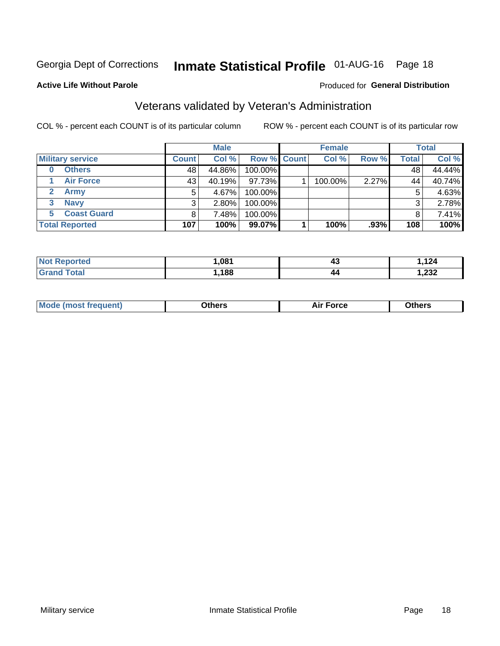## Inmate Statistical Profile 01-AUG-16 Page 18

#### **Active Life Without Parole**

#### Produced for General Distribution

### Veterans validated by Veteran's Administration

COL % - percent each COUNT is of its particular column

|                         |              | <b>Male</b> |             | <b>Female</b> |       |              | <b>Total</b> |
|-------------------------|--------------|-------------|-------------|---------------|-------|--------------|--------------|
| <b>Military service</b> | <b>Count</b> | Col %       | Row % Count | Col %         | Row % | <b>Total</b> | Col %        |
| <b>Others</b><br>0      | 48           | 44.86%      | 100.00%     |               |       | 48           | 44.44%       |
| <b>Air Force</b>        | 43           | 40.19%      | 97.73%      | 100.00%       | 2.27% | 44           | 40.74%       |
| Army                    | 5            | 4.67%       | 100.00%     |               |       | 5            | 4.63%        |
| <b>Navy</b><br>3        | 3            | $2.80\%$    | 100.00%     |               |       | 3            | 2.78%        |
| <b>Coast Guard</b><br>5 |              | 7.48%       | 100.00%     |               |       |              | 7.41%        |
| <b>Total Reported</b>   | 107          | 100%        | 99.07%      | 100%          | .93%  | 108          | 100%         |

| rtea -       | .081 | 40 | 124          |
|--------------|------|----|--------------|
| <b>Fotal</b> | .188 | 44 | ົດລດ<br>∡د∡, |

| ____<br>____ |
|--------------|
|--------------|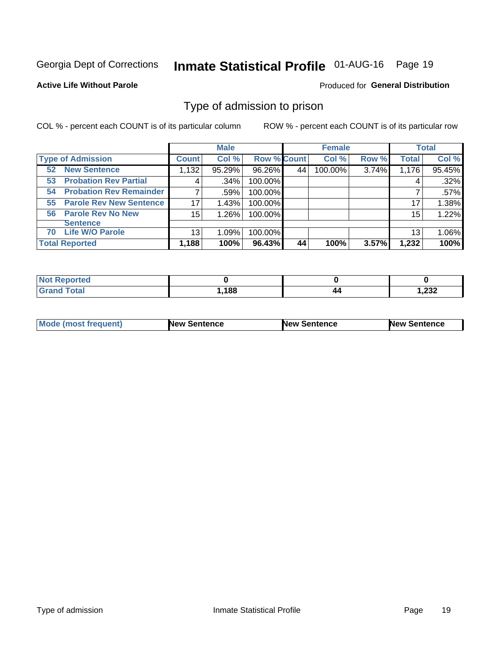## Inmate Statistical Profile 01-AUG-16 Page 19

#### **Active Life Without Parole**

#### Produced for General Distribution

### Type of admission to prison

COL % - percent each COUNT is of its particular column

|                                      |                  | <b>Male</b> |                    |    | <b>Female</b> |       |              | <b>Total</b> |
|--------------------------------------|------------------|-------------|--------------------|----|---------------|-------|--------------|--------------|
| <b>Type of Admission</b>             | <b>Count</b>     | Col %       | <b>Row % Count</b> |    | Col %         | Row % | <b>Total</b> | Col %        |
| <b>New Sentence</b><br>52            | 1,132            | 95.29%      | 96.26%             | 44 | 100.00%       | 3.74% | 1,176        | 95.45%       |
| <b>Probation Rev Partial</b><br>53   | 4                | .34%        | 100.00%            |    |               |       |              | .32%         |
| <b>Probation Rev Remainder</b><br>54 |                  | .59%        | 100.00%            |    |               |       |              | .57%         |
| <b>Parole Rev New Sentence</b><br>55 | 17               | 1.43%       | 100.00%            |    |               |       | 17           | 1.38%        |
| <b>Parole Rev No New</b><br>56       | 15 <sub>15</sub> | 1.26%       | 100.00%            |    |               |       | 15           | 1.22%        |
| <b>Sentence</b>                      |                  |             |                    |    |               |       |              |              |
| <b>Life W/O Parole</b><br>70         | 13               | 1.09%       | 100.00%            |    |               |       | 13           | 1.06%        |
| <b>Total Reported</b>                | 1,188            | 100%        | 96.43%             | 44 | 100%          | 3.57% | 1,232        | 100%         |

| Reported<br>N. |       |    |                        |
|----------------|-------|----|------------------------|
| <b>c</b> otal  | 1,188 | 44 | ົດລດ<br><i>ےد</i> ے, ا |

| <b>Mode (most frequent)</b> | <b>New Sentence</b> | <b>New Sentence</b> | <b>New Sentence</b> |
|-----------------------------|---------------------|---------------------|---------------------|
|                             |                     |                     |                     |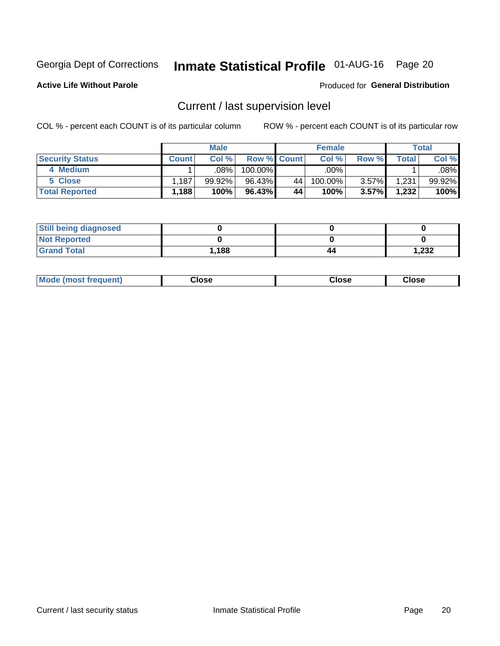## Inmate Statistical Profile 01-AUG-16 Page 20

**Active Life Without Parole** 

#### Produced for General Distribution

## Current / last supervision level

COL % - percent each COUNT is of its particular column

|                        |              | <b>Male</b> |                    |    | <b>Female</b> |       |       | <b>Total</b> |
|------------------------|--------------|-------------|--------------------|----|---------------|-------|-------|--------------|
| <b>Security Status</b> | <b>Count</b> | Col%        | <b>Row % Count</b> |    | Col %         | Row % | Total | Col %        |
| 4 Medium               |              | .08%        | 100.00%            |    | .00%          |       |       | .08%         |
| 5 Close                | .187         | 99.92%      | 96.43%             | 44 | 100.00%       | 3.57% | 1,231 | 99.92%       |
| <b>Total Reported</b>  | $.188+$      | 100%        | 96.43%             | 44 | 100%          | 3.57% | 1,232 | 100%         |

| <b>Still being diagnosed</b> |      |    |      |
|------------------------------|------|----|------|
| <b>Not Reported</b>          |      |    |      |
| <b>Grand Total</b>           | .188 | 44 | .232 |

| <b>Mode (most frequent)</b> | Close | ∵lose | Close |
|-----------------------------|-------|-------|-------|
|                             |       |       |       |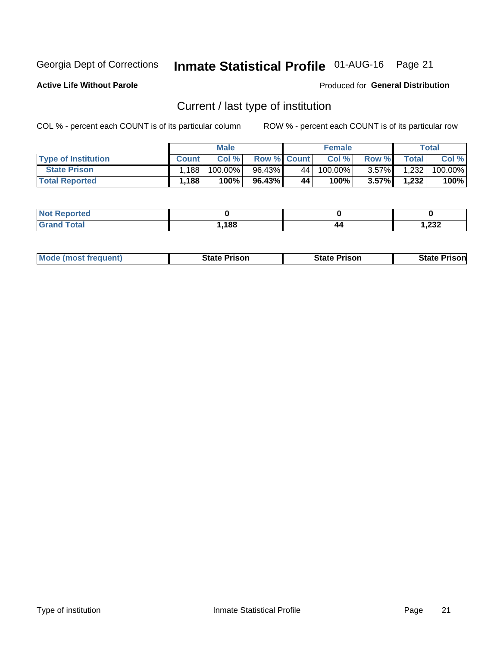## Inmate Statistical Profile 01-AUG-16 Page 21

**Active Life Without Parole** 

Produced for General Distribution

## Current / last type of institution

COL % - percent each COUNT is of its particular column

|                            |              | <b>Male</b> |                    |    | <b>Female</b> |          |       | <b>Total</b> |
|----------------------------|--------------|-------------|--------------------|----|---------------|----------|-------|--------------|
| <b>Type of Institution</b> | <b>Count</b> | Col%        | <b>Row % Count</b> |    | Col %         | Row %    | Total | Col %        |
| <b>State Prison</b>        | 1.188        | $100.00\%$  | 96.43%             | 44 | 100.00%       | $3.57\%$ | 1,232 | 100.00%      |
| <b>Total Reported</b>      | 1,188        | 100%        | $96.43\%$          | 44 | $100\%$ .     | $3.57\%$ | 1,232 | 100%         |

| тес             |      |    |       |
|-----------------|------|----|-------|
| $\sim$ - $\sim$ | ,188 | 44 | 1,232 |

| <b>Mode (most frequent)</b> | State Prison | <b>State Prison</b> | State<br>⊦ Prisonl |
|-----------------------------|--------------|---------------------|--------------------|
|                             |              |                     |                    |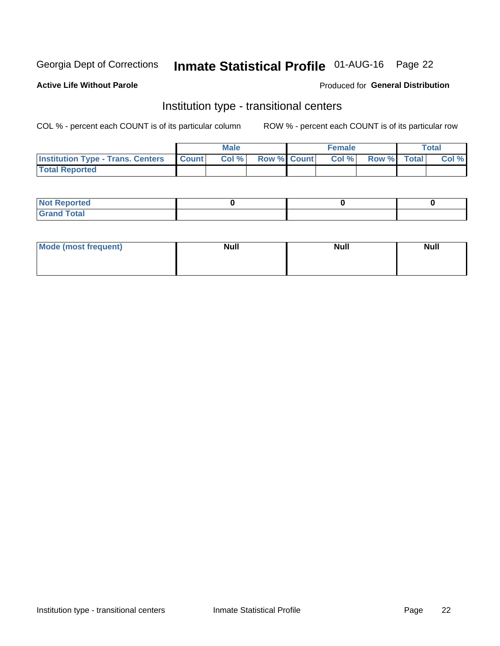## Inmate Statistical Profile 01-AUG-16 Page 22

#### **Active Life Without Parole**

#### Produced for General Distribution

### Institution type - transitional centers

COL % - percent each COUNT is of its particular column

|                                                  | <b>Male</b> |                    | <b>Female</b> |             | Total |
|--------------------------------------------------|-------------|--------------------|---------------|-------------|-------|
| <b>Institution Type - Trans. Centers Count  </b> | Col%        | <b>Row % Count</b> | Col %         | Row % Total | Col % |
| <b>Total Reported</b>                            |             |                    |               |             |       |

| <b>Reported</b><br><b>NOT</b><br>$\sim$            |  |  |
|----------------------------------------------------|--|--|
| $f$ $f \circ f \circ f$<br>$C = 1$<br><b>TULAI</b> |  |  |

| Mode (most frequent) | <b>Null</b> | <b>Null</b> | <b>Null</b> |
|----------------------|-------------|-------------|-------------|
|                      |             |             |             |
|                      |             |             |             |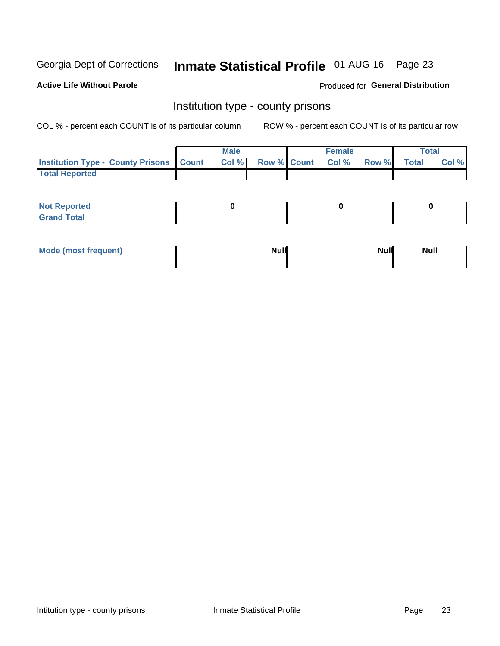## Inmate Statistical Profile 01-AUG-16 Page 23

**Active Life Without Parole** 

Produced for General Distribution

### Institution type - county prisons

COL % - percent each COUNT is of its particular column

|                                                    | <b>Male</b> |       |  | <b>Female</b> |                          |             | <b>Total</b> |       |  |
|----------------------------------------------------|-------------|-------|--|---------------|--------------------------|-------------|--------------|-------|--|
| <b>Institution Type - County Prisons   Count  </b> |             | Col % |  |               | <b>Row % Count Col %</b> | Row % Total |              | Col % |  |
| <b>Total Reported</b>                              |             |       |  |               |                          |             |              |       |  |

| <b>Not</b><br>: Reported<br> |  |  |
|------------------------------|--|--|
| <b>Total</b><br>---          |  |  |

| Mode (most frequent) | <b>Null</b> | <b>Null</b><br><b>Null</b> |
|----------------------|-------------|----------------------------|
|                      |             |                            |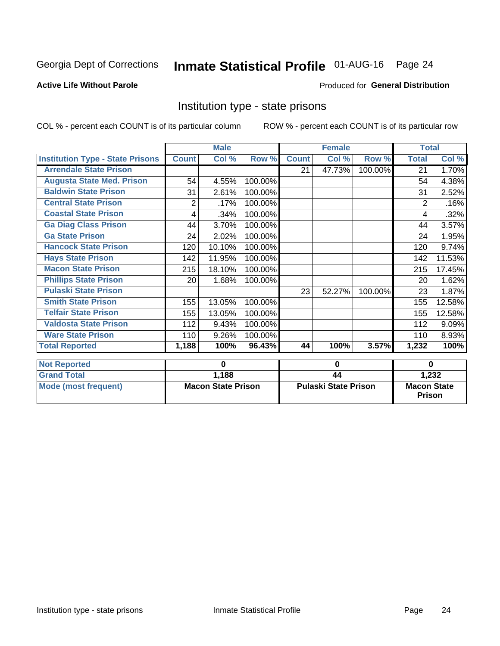## Inmate Statistical Profile 01-AUG-16 Page 24

#### **Active Life Without Parole**

#### Produced for General Distribution

### Institution type - state prisons

COL % - percent each COUNT is of its particular column

|                                         | <b>Male</b>               |          |         |                             | <b>Female</b> |         | <b>Total</b>                        |          |
|-----------------------------------------|---------------------------|----------|---------|-----------------------------|---------------|---------|-------------------------------------|----------|
| <b>Institution Type - State Prisons</b> | <b>Count</b>              | Col %    | Row %   | <b>Count</b>                | Col %         | Row %   | <b>Total</b>                        | Col %    |
| <b>Arrendale State Prison</b>           |                           |          |         | 21                          | 47.73%        | 100.00% | 21                                  | 1.70%    |
| <b>Augusta State Med. Prison</b>        | 54                        | 4.55%    | 100.00% |                             |               |         | 54                                  | 4.38%    |
| <b>Baldwin State Prison</b>             | 31                        | 2.61%    | 100.00% |                             |               |         | 31                                  | 2.52%    |
| <b>Central State Prison</b>             | 2                         | .17%     | 100.00% |                             |               |         | $\overline{2}$                      | .16%     |
| <b>Coastal State Prison</b>             | 4                         | .34%     | 100.00% |                             |               |         | 4                                   | .32%     |
| <b>Ga Diag Class Prison</b>             | 44                        | 3.70%    | 100.00% |                             |               |         | 44                                  | 3.57%    |
| <b>Ga State Prison</b>                  | 24                        | 2.02%    | 100.00% |                             |               |         | 24                                  | 1.95%    |
| <b>Hancock State Prison</b>             | 120                       | 10.10%   | 100.00% |                             |               |         | 120                                 | 9.74%    |
| <b>Hays State Prison</b>                | 142                       | 11.95%   | 100.00% |                             |               |         | 142                                 | 11.53%   |
| <b>Macon State Prison</b>               | 215                       | 18.10%   | 100.00% |                             |               |         | 215                                 | 17.45%   |
| <b>Phillips State Prison</b>            | 20                        | 1.68%    | 100.00% |                             |               |         | 20                                  | 1.62%    |
| <b>Pulaski State Prison</b>             |                           |          |         | 23                          | 52.27%        | 100.00% | 23                                  | 1.87%    |
| <b>Smith State Prison</b>               | 155                       | 13.05%   | 100.00% |                             |               |         | 155                                 | 12.58%   |
| <b>Telfair State Prison</b>             | 155                       | 13.05%   | 100.00% |                             |               |         | 155                                 | 12.58%   |
| <b>Valdosta State Prison</b>            | 112                       | 9.43%    | 100.00% |                             |               |         | 112                                 | 9.09%    |
| <b>Ware State Prison</b>                | 110                       | 9.26%    | 100.00% |                             |               |         | 110                                 | 8.93%    |
| <b>Total Reported</b>                   | 1,188                     | 100%     | 96.43%  | 44                          | 100%          | 3.57%   | 1,232                               | 100%     |
| <b>Not Reported</b>                     |                           | $\bf{0}$ |         |                             | 0             |         |                                     | $\bf{0}$ |
| <b>Grand Total</b>                      | 1,188                     |          |         | 44                          |               |         |                                     | 1,232    |
| <b>Mode (most frequent)</b>             | <b>Macon State Prison</b> |          |         | <b>Pulaski State Prison</b> |               |         | <b>Macon State</b><br><b>Prison</b> |          |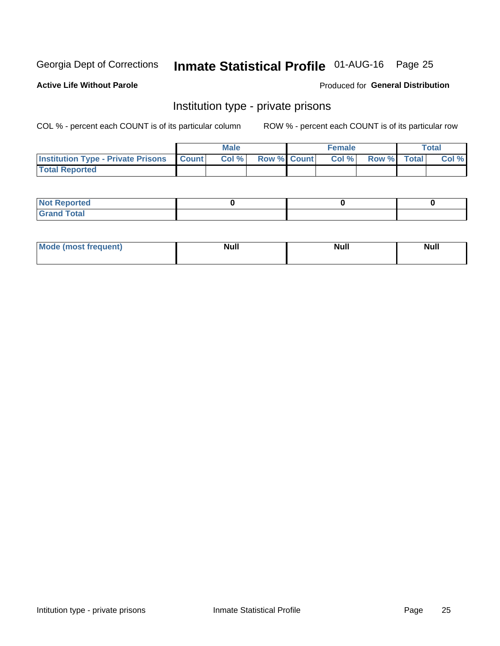## Inmate Statistical Profile 01-AUG-16 Page 25

#### **Active Life Without Parole**

#### Produced for General Distribution

### Institution type - private prisons

COL % - percent each COUNT is of its particular column

|                                                     | <b>Male</b> |      |                    | <b>Female</b> | <b>Total</b> |  |       |
|-----------------------------------------------------|-------------|------|--------------------|---------------|--------------|--|-------|
| <b>Institution Type - Private Prisons   Count  </b> |             | Col% | <b>Row % Count</b> | Col %         | Row % Total  |  | Col % |
| <b>Total Reported</b>                               |             |      |                    |               |              |  |       |

| <b>Not Reported</b>         |  |  |
|-----------------------------|--|--|
| <b>Total</b><br><b>Crar</b> |  |  |

| M <sub>o</sub><br>ాguent) <b>a</b><br>re d<br>поэ | M. II<br>ичин | <b>Null</b> | <b>Null</b><br>------ |
|---------------------------------------------------|---------------|-------------|-----------------------|
|                                                   |               |             |                       |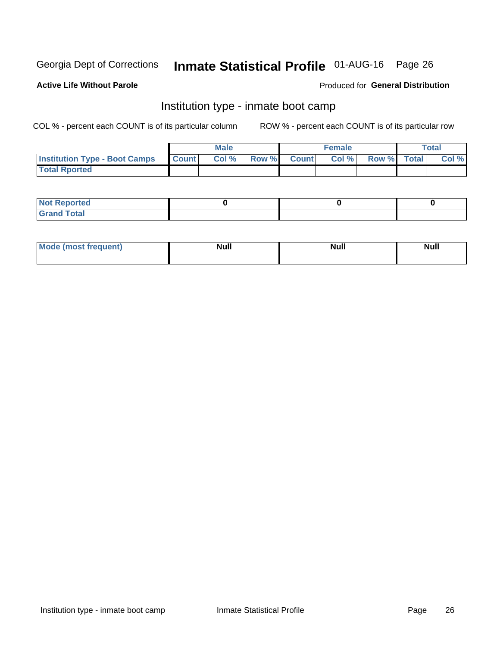## Inmate Statistical Profile 01-AUG-16 Page 26

#### **Active Life Without Parole**

#### Produced for General Distribution

### Institution type - inmate boot camp

COL % - percent each COUNT is of its particular column

|                                      | <b>Male</b>  |       |               |              | <b>Female</b> | <b>Total</b> |  |       |
|--------------------------------------|--------------|-------|---------------|--------------|---------------|--------------|--|-------|
| <b>Institution Type - Boot Camps</b> | <b>Count</b> | Col % | <b>Row %I</b> | <b>Count</b> | Col %         | Row % Total  |  | Col % |
| <b>Total Rported</b>                 |              |       |               |              |               |              |  |       |

| <b>Not Reported</b>            |  |  |
|--------------------------------|--|--|
| <b>Total</b><br>C <sub>r</sub> |  |  |

| Mode (most f<br>*requent) | Nul.<br>------ | <b>Null</b> | <b>Null</b> |
|---------------------------|----------------|-------------|-------------|
|                           |                |             |             |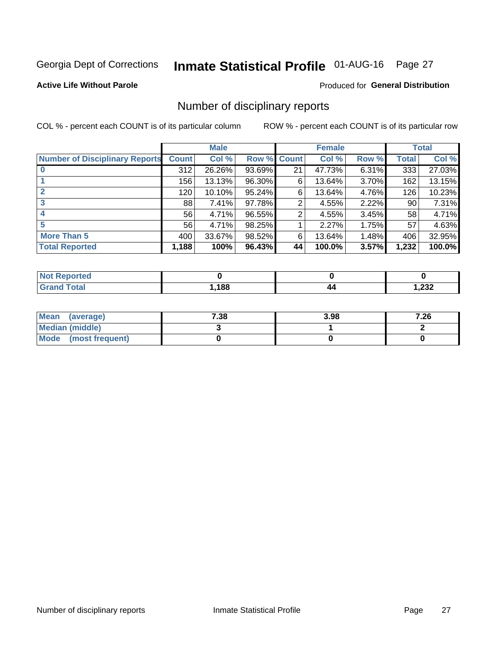## Inmate Statistical Profile 01-AUG-16 Page 27

#### **Active Life Without Parole**

#### Produced for General Distribution

### Number of disciplinary reports

COL % - percent each COUNT is of its particular column

|                                       | <b>Male</b>  |          |        | <b>Female</b>   |        |       | <b>Total</b> |        |
|---------------------------------------|--------------|----------|--------|-----------------|--------|-------|--------------|--------|
| <b>Number of Disciplinary Reports</b> | <b>Count</b> | Col %    | Row %  | <b>Count</b>    | Col %  | Row % | <b>Total</b> | Col %  |
|                                       | 312          | 26.26%   | 93.69% | 21              | 47.73% | 6.31% | 333          | 27.03% |
|                                       | 156          | 13.13%   | 96.30% | 6               | 13.64% | 3.70% | 162          | 13.15% |
| $\mathbf{2}$                          | 120          | 10.10%   | 95.24% | 6               | 13.64% | 4.76% | 126          | 10.23% |
| 3                                     | 88           | $7.41\%$ | 97.78% | 2               | 4.55%  | 2.22% | 90           | 7.31%  |
|                                       | 56           | 4.71%    | 96.55% | 2               | 4.55%  | 3.45% | 58           | 4.71%  |
| 5                                     | 56           | 4.71%    | 98.25% |                 | 2.27%  | 1.75% | 57           | 4.63%  |
| <b>More Than 5</b>                    | 400          | 33.67%   | 98.52% | 6               | 13.64% | 1.48% | 406          | 32.95% |
| <b>Total Reported</b>                 | 1,188        | 100%     | 96.43% | 44 <sup>1</sup> | 100.0% | 3.57% | 1,232        | 100.0% |

| <b>Not Reported</b> |      |    |                        |
|---------------------|------|----|------------------------|
| <sup>-</sup> otal   | ,188 | 44 | າາາ<br><i>ے دے</i> , ו |

| Mean (average)       | 7.38 | 3.98 | 7.26 |
|----------------------|------|------|------|
| Median (middle)      |      |      |      |
| Mode (most frequent) |      |      |      |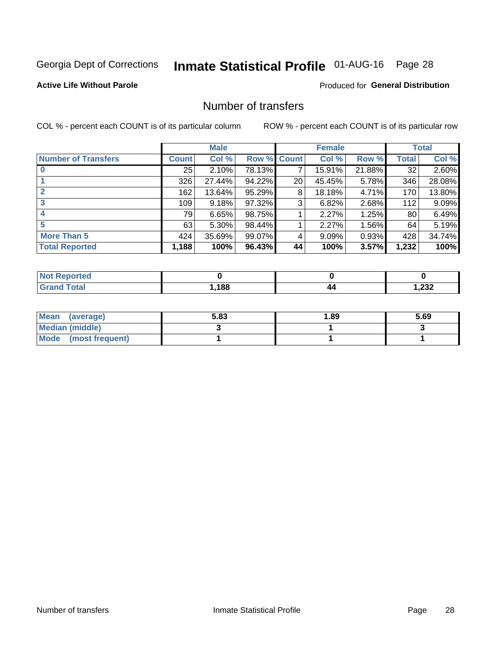## Inmate Statistical Profile 01-AUG-16 Page 28

#### **Active Life Without Parole**

#### **Produced for General Distribution**

### Number of transfers

COL % - percent each COUNT is of its particular column

|                            |         | <b>Male</b> |        | <b>Female</b>   |        |        | <b>Total</b> |        |
|----------------------------|---------|-------------|--------|-----------------|--------|--------|--------------|--------|
| <b>Number of Transfers</b> | Count l | Col %       | Row %  | <b>Count</b>    | Col %  | Row %  | <b>Total</b> | Col %  |
|                            | 25      | 2.10%       | 78.13% | 7               | 15.91% | 21.88% | 32           | 2.60%  |
|                            | 326     | 27.44%      | 94.22% | 20 <sup>°</sup> | 45.45% | 5.78%  | 346          | 28.08% |
| 2                          | 162     | 13.64%      | 95.29% | 8               | 18.18% | 4.71%  | 170          | 13.80% |
| 3                          | 109     | 9.18%       | 97.32% | 3               | 6.82%  | 2.68%  | 112          | 9.09%  |
|                            | 79      | 6.65%       | 98.75% |                 | 2.27%  | 1.25%  | 80           | 6.49%  |
| 5                          | 63      | $5.30\%$    | 98.44% |                 | 2.27%  | 1.56%  | 64           | 5.19%  |
| <b>More Than 5</b>         | 424     | 35.69%      | 99.07% | 4               | 9.09%  | 0.93%  | 428          | 34.74% |
| <b>Total Reported</b>      | 1,188   | 100%        | 96.43% | 44              | 100%   | 3.57%  | 1,232        | 100%   |

| prtea<br>NOT F |      |    |                        |
|----------------|------|----|------------------------|
| `otal          | ,188 | 44 | າາາ<br><i>ے د</i> ے, ا |

| Mean (average)       | 5.83 | 1.89 | 5.69 |
|----------------------|------|------|------|
| Median (middle)      |      |      |      |
| Mode (most frequent) |      |      |      |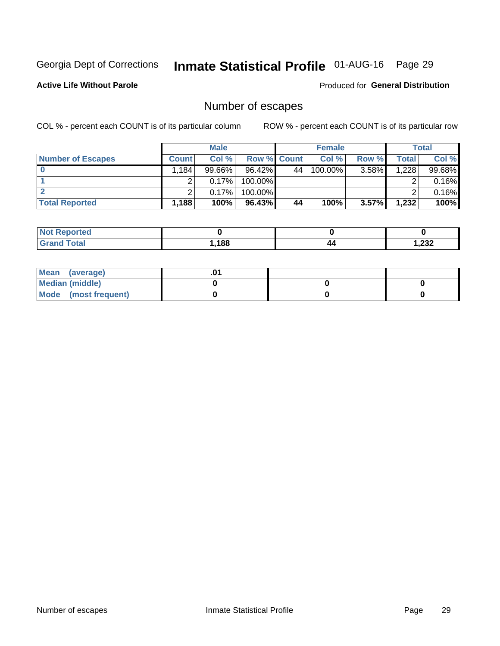## Inmate Statistical Profile 01-AUG-16 Page 29

**Active Life Without Parole** 

Produced for General Distribution

## Number of escapes

COL % - percent each COUNT is of its particular column

|                          | <b>Male</b>                      |           |                    | <b>Female</b> |         |       | Total |        |
|--------------------------|----------------------------------|-----------|--------------------|---------------|---------|-------|-------|--------|
| <b>Number of Escapes</b> | <b>Count</b>                     | Col %     | <b>Row % Count</b> |               | Col %   | Row % | Total | Col %  |
|                          | $.184$ <sup><math>+</math></sup> | $99.66\%$ | $96.42\%$          | 44            | 100.00% | 3.58% | 1,228 | 99.68% |
|                          |                                  | 0.17%     | $100.00\%$         |               |         |       |       | 0.16%  |
|                          |                                  | 0.17%     | $100.00\%$         |               |         |       |       | 0.16%  |
| <b>Total Reported</b>    | 1,188                            | 100%      | 96.43%             | 44            | 100%    | 3.57% | 1,232 | 100%   |

| <b>Reported</b><br>NOT |      |    |       |
|------------------------|------|----|-------|
| Total                  | .188 | 44 | 1,232 |

| Mean (average)       |  |  |
|----------------------|--|--|
| Median (middle)      |  |  |
| Mode (most frequent) |  |  |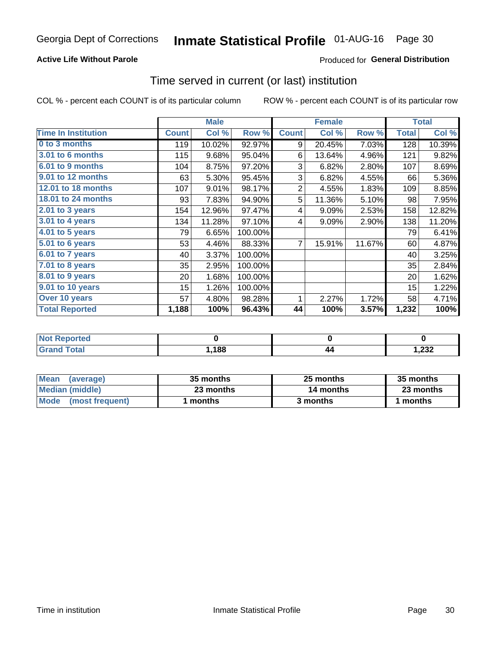#### **Active Life Without Parole**

#### Produced for General Distribution

### Time served in current (or last) institution

COL % - percent each COUNT is of its particular column

|                            |              | <b>Male</b> |         | <b>Female</b>  |        |        | <b>Total</b> |        |
|----------------------------|--------------|-------------|---------|----------------|--------|--------|--------------|--------|
| <b>Time In Institution</b> | <b>Count</b> | Col %       | Row %   | <b>Count</b>   | Col %  | Row %  | <b>Total</b> | Col %  |
| 0 to 3 months              | 119          | 10.02%      | 92.97%  | 9              | 20.45% | 7.03%  | 128          | 10.39% |
| 3.01 to 6 months           | 115          | 9.68%       | 95.04%  | 6              | 13.64% | 4.96%  | 121          | 9.82%  |
| 6.01 to 9 months           | 104          | 8.75%       | 97.20%  | 3              | 6.82%  | 2.80%  | 107          | 8.69%  |
| 9.01 to 12 months          | 63           | 5.30%       | 95.45%  | 3              | 6.82%  | 4.55%  | 66           | 5.36%  |
| 12.01 to 18 months         | 107          | 9.01%       | 98.17%  | $\overline{2}$ | 4.55%  | 1.83%  | 109          | 8.85%  |
| <b>18.01 to 24 months</b>  | 93           | 7.83%       | 94.90%  | 5              | 11.36% | 5.10%  | 98           | 7.95%  |
| 2.01 to 3 years            | 154          | 12.96%      | 97.47%  | 4              | 9.09%  | 2.53%  | 158          | 12.82% |
| 3.01 to 4 years            | 134          | 11.28%      | 97.10%  | 4              | 9.09%  | 2.90%  | 138          | 11.20% |
| $4.01$ to 5 years          | 79           | 6.65%       | 100.00% |                |        |        | 79           | 6.41%  |
| 5.01 to 6 years            | 53           | 4.46%       | 88.33%  | $\overline{7}$ | 15.91% | 11.67% | 60           | 4.87%  |
| 6.01 to 7 years            | 40           | 3.37%       | 100.00% |                |        |        | 40           | 3.25%  |
| $7.01$ to 8 years          | 35           | 2.95%       | 100.00% |                |        |        | 35           | 2.84%  |
| 8.01 to 9 years            | 20           | 1.68%       | 100.00% |                |        |        | 20           | 1.62%  |
| 9.01 to 10 years           | 15           | 1.26%       | 100.00% |                |        |        | 15           | 1.22%  |
| Over 10 years              | 57           | 4.80%       | 98.28%  | 1              | 2.27%  | 1.72%  | 58           | 4.71%  |
| <b>Total Reported</b>      | 1,188        | 100%        | 96.43%  | 44             | 100%   | 3.57%  | 1,232        | 100%   |

| <b>Not Reported</b> |      |    |       |
|---------------------|------|----|-------|
| <b>Grand Total</b>  | ,188 | 44 | 1,232 |

| <b>Mean</b><br>(average) | 35 months | 25 months | 35 months |  |  |
|--------------------------|-----------|-----------|-----------|--|--|
| Median (middle)          | 23 months | 14 months | 23 months |  |  |
| Mode (most frequent)     | months    | 3 months  | 1 months  |  |  |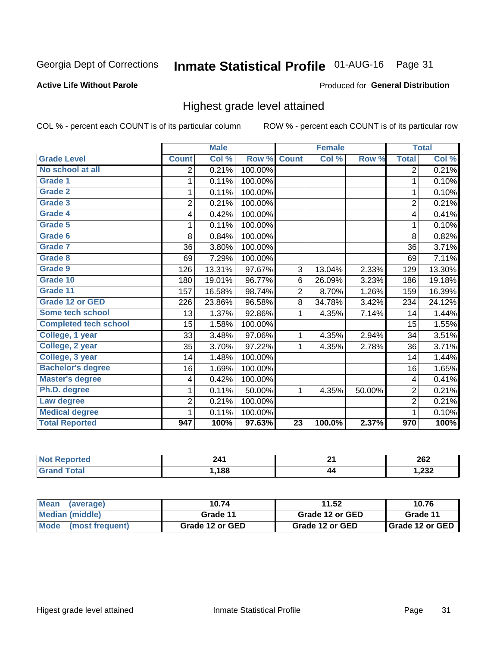## Inmate Statistical Profile 01-AUG-16 Page 31

#### **Active Life Without Parole**

#### Produced for General Distribution

### Highest grade level attained

COL % - percent each COUNT is of its particular column

|                              |                | <b>Male</b> |         |                 | <b>Female</b> |        |                  | <b>Total</b> |
|------------------------------|----------------|-------------|---------|-----------------|---------------|--------|------------------|--------------|
| <b>Grade Level</b>           | <b>Count</b>   | Col %       | Row %   | <b>Count</b>    | Col %         | Row %  | <b>Total</b>     | Col %        |
| No school at all             | $\overline{2}$ | 0.21%       | 100.00% |                 |               |        | $\overline{2}$   | 0.21%        |
| Grade 1                      | 1              | 0.11%       | 100.00% |                 |               |        | 1                | 0.10%        |
| <b>Grade 2</b>               | 1              | 0.11%       | 100.00% |                 |               |        | 1                | 0.10%        |
| Grade 3                      | $\overline{2}$ | 0.21%       | 100.00% |                 |               |        | $\overline{2}$   | 0.21%        |
| <b>Grade 4</b>               | 4              | 0.42%       | 100.00% |                 |               |        | 4                | 0.41%        |
| Grade 5                      | 1              | 0.11%       | 100.00% |                 |               |        | 1                | 0.10%        |
| Grade 6                      | 8              | 0.84%       | 100.00% |                 |               |        | 8                | 0.82%        |
| Grade 7                      | 36             | 3.80%       | 100.00% |                 |               |        | 36               | 3.71%        |
| Grade 8                      | 69             | 7.29%       | 100.00% |                 |               |        | 69               | 7.11%        |
| Grade 9                      | 126            | 13.31%      | 97.67%  | 3               | 13.04%        | 2.33%  | 129              | 13.30%       |
| Grade 10                     | 180            | 19.01%      | 96.77%  | 6               | 26.09%        | 3.23%  | 186              | 19.18%       |
| Grade 11                     | 157            | 16.58%      | 98.74%  | $\overline{2}$  | 8.70%         | 1.26%  | 159              | 16.39%       |
| <b>Grade 12 or GED</b>       | 226            | 23.86%      | 96.58%  | 8               | 34.78%        | 3.42%  | 234              | 24.12%       |
| Some tech school             | 13             | 1.37%       | 92.86%  | 1               | 4.35%         | 7.14%  | 14               | 1.44%        |
| <b>Completed tech school</b> | 15             | 1.58%       | 100.00% |                 |               |        | 15               | 1.55%        |
| College, 1 year              | 33             | 3.48%       | 97.06%  | 1               | 4.35%         | 2.94%  | 34               | 3.51%        |
| College, 2 year              | 35             | 3.70%       | 97.22%  | 1               | 4.35%         | 2.78%  | 36               | 3.71%        |
| College, 3 year              | 14             | 1.48%       | 100.00% |                 |               |        | 14               | 1.44%        |
| <b>Bachelor's degree</b>     | 16             | 1.69%       | 100.00% |                 |               |        | 16               | 1.65%        |
| <b>Master's degree</b>       | 4              | 0.42%       | 100.00% |                 |               |        | 4                | 0.41%        |
| Ph.D. degree                 | 1              | 0.11%       | 50.00%  | 1               | 4.35%         | 50.00% | $\overline{2}$   | 0.21%        |
| Law degree                   | $\overline{2}$ | 0.21%       | 100.00% |                 |               |        | $\overline{2}$   | 0.21%        |
| <b>Medical degree</b>        | 1              | 0.11%       | 100.00% |                 |               |        | 1                | 0.10%        |
| <b>Total Reported</b>        | 947            | 100%        | 97.63%  | $\overline{23}$ | 100.0%        | 2.37%  | $\overline{970}$ | 100%         |

| mer | <b>DA4</b> | п.  | າຂາ           |
|-----|------------|-----|---------------|
|     |            | - - | ZUZ           |
| .   | 188        | 44  | ົດລດ<br>∡د∡,⊧ |

| <b>Mean</b><br>(average)       | 10.74           | 11.52           | 10.76             |
|--------------------------------|-----------------|-----------------|-------------------|
| Median (middle)                | Grade 11        | Grade 12 or GED | Grade 11          |
| <b>Mode</b><br>(most frequent) | Grade 12 or GED | Grade 12 or GED | I Grade 12 or GED |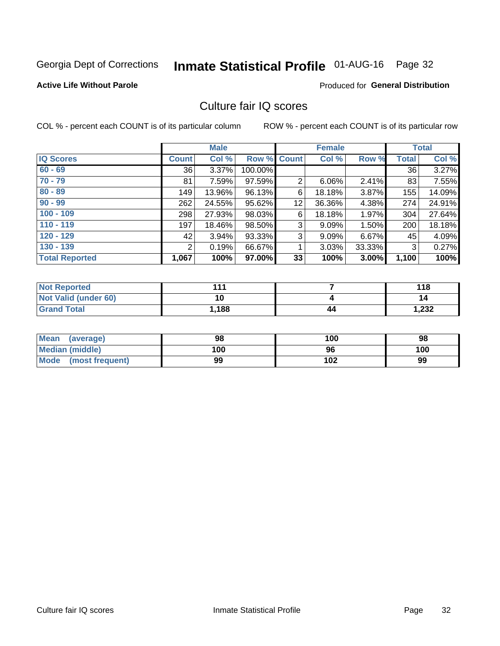## Inmate Statistical Profile 01-AUG-16 Page 32

#### **Active Life Without Parole**

#### **Produced for General Distribution**

### Culture fair IQ scores

COL % - percent each COUNT is of its particular column

|                       |              | <b>Male</b> |                    |    | <b>Female</b> |          |              | <b>Total</b> |
|-----------------------|--------------|-------------|--------------------|----|---------------|----------|--------------|--------------|
| <b>IQ Scores</b>      | <b>Count</b> | Col %       | <b>Row % Count</b> |    | Col %         | Row %    | <b>Total</b> | Col %        |
| $60 - 69$             | 36           | 3.37%       | 100.00%            |    |               |          | 36           | 3.27%        |
| $70 - 79$             | 81           | 7.59%       | 97.59%             | 2  | 6.06%         | $2.41\%$ | 83           | 7.55%        |
| $80 - 89$             | 149          | 13.96%      | 96.13%             | 6  | 18.18%        | 3.87%    | 155          | 14.09%       |
| $90 - 99$             | 262          | 24.55%      | 95.62%             | 12 | 36.36%        | 4.38%    | 274          | 24.91%       |
| $100 - 109$           | 298          | 27.93%      | 98.03%             | 6  | 18.18%        | 1.97%    | 304          | 27.64%       |
| $110 - 119$           | 197          | 18.46%      | 98.50%             | 3  | 9.09%         | 1.50%    | 200          | 18.18%       |
| $120 - 129$           | 42           | 3.94%       | 93.33%             | 3  | 9.09%         | $6.67\%$ | 45           | 4.09%        |
| $130 - 139$           | 2            | 0.19%       | 66.67%             | 1  | 3.03%         | 33.33%   | 3            | 0.27%        |
| <b>Total Reported</b> | 1,067        | 100%        | 97.00%             | 33 | 100%          | 3.00%    | 1,100        | 100%         |

| <b>Not Reported</b>  | 444   |    | 118   |
|----------------------|-------|----|-------|
| Not Valid (under 60) | 10    |    | 14    |
| <b>Grand Total</b>   | 1,188 | 44 | 1,232 |

| Mean<br>(average)      | 98  | 100 | 98  |
|------------------------|-----|-----|-----|
| <b>Median (middle)</b> | 100 | 96  | 100 |
| Mode (most frequent)   | 99  | 102 | 99  |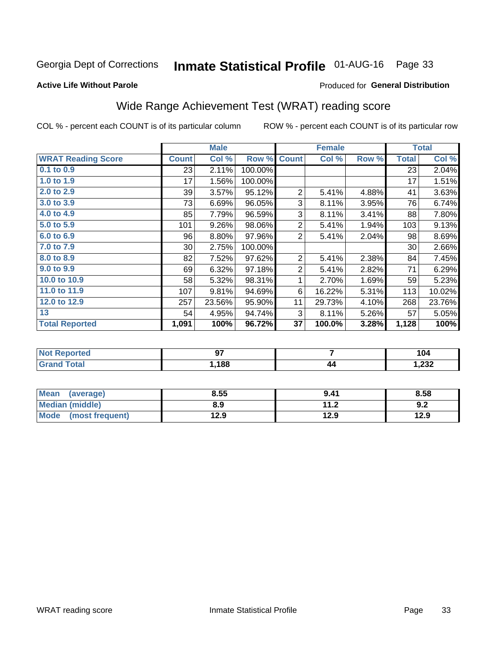## Inmate Statistical Profile 01-AUG-16 Page 33

#### **Active Life Without Parole**

#### Produced for General Distribution

## Wide Range Achievement Test (WRAT) reading score

COL % - percent each COUNT is of its particular column

|                           | <b>Male</b>     |        | <b>Female</b> |                |        | <b>Total</b> |              |        |
|---------------------------|-----------------|--------|---------------|----------------|--------|--------------|--------------|--------|
| <b>WRAT Reading Score</b> | <b>Count</b>    | Col %  | Row %         | <b>Count</b>   | Col %  | Row %        | <b>Total</b> | Col %  |
| $0.1$ to $0.9$            | 23              | 2.11%  | 100.00%       |                |        |              | 23           | 2.04%  |
| 1.0 to 1.9                | 17              | 1.56%  | 100.00%       |                |        |              | 17           | 1.51%  |
| 2.0 to 2.9                | 39              | 3.57%  | 95.12%        | $\overline{2}$ | 5.41%  | 4.88%        | 41           | 3.63%  |
| 3.0 to 3.9                | 73              | 6.69%  | 96.05%        | 3              | 8.11%  | 3.95%        | 76           | 6.74%  |
| 4.0 to 4.9                | 85              | 7.79%  | 96.59%        | 3              | 8.11%  | 3.41%        | 88           | 7.80%  |
| 5.0 to 5.9                | 101             | 9.26%  | 98.06%        | $\overline{2}$ | 5.41%  | 1.94%        | 103          | 9.13%  |
| 6.0 to 6.9                | 96              | 8.80%  | 97.96%        | $\overline{2}$ | 5.41%  | 2.04%        | 98           | 8.69%  |
| 7.0 to 7.9                | 30 <sup>°</sup> | 2.75%  | 100.00%       |                |        |              | 30           | 2.66%  |
| 8.0 to 8.9                | 82              | 7.52%  | 97.62%        | $\overline{2}$ | 5.41%  | 2.38%        | 84           | 7.45%  |
| 9.0 to 9.9                | 69              | 6.32%  | 97.18%        | $\overline{2}$ | 5.41%  | 2.82%        | 71           | 6.29%  |
| 10.0 to 10.9              | 58              | 5.32%  | 98.31%        | 1              | 2.70%  | 1.69%        | 59           | 5.23%  |
| 11.0 to 11.9              | 107             | 9.81%  | 94.69%        | 6              | 16.22% | 5.31%        | 113          | 10.02% |
| 12.0 to 12.9              | 257             | 23.56% | 95.90%        | 11             | 29.73% | 4.10%        | 268          | 23.76% |
| 13                        | 54              | 4.95%  | 94.74%        | 3              | 8.11%  | 5.26%        | 57           | 5.05%  |
| <b>Total Reported</b>     | 1,091           | 100%   | 96.72%        | 37             | 100.0% | 3.28%        | 1,128        | 100%   |
|                           |                 |        |               |                |        |              |              |        |

| <b>Not Reported</b>   | ~-<br>JI |    | 104   |
|-----------------------|----------|----|-------|
| <b>Total</b><br>Grand | ,188     | 44 | 1,232 |

| Mean (average)         | 8.55 | 9.41 | 8.58 |
|------------------------|------|------|------|
| <b>Median (middle)</b> | 8.9  | 11.2 | 9.2  |
| Mode (most frequent)   | 12.9 | 12.9 | 12.9 |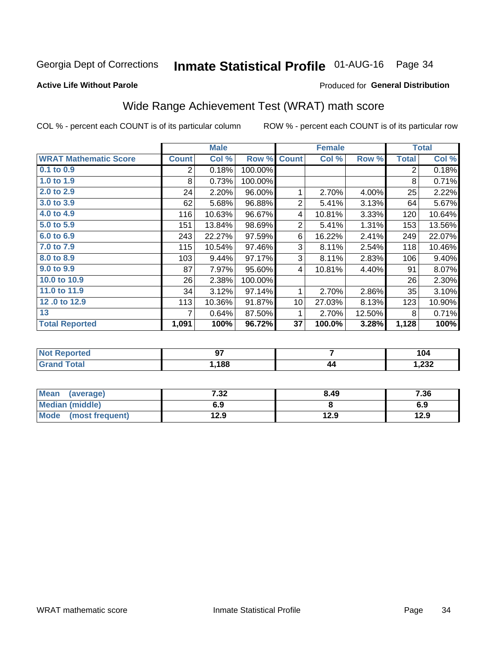## Inmate Statistical Profile 01-AUG-16 Page 34

#### **Active Life Without Parole**

#### Produced for General Distribution

## Wide Range Achievement Test (WRAT) math score

COL % - percent each COUNT is of its particular column

|                              |              | <b>Male</b> |         |                 | <b>Female</b> |        |                | <b>Total</b> |
|------------------------------|--------------|-------------|---------|-----------------|---------------|--------|----------------|--------------|
| <b>WRAT Mathematic Score</b> | <b>Count</b> | Col %       | Row %   | <b>Count</b>    | Col %         | Row %  | <b>Total</b>   | Col %        |
| $0.1$ to $0.9$               | 2            | 0.18%       | 100.00% |                 |               |        | $\overline{2}$ | 0.18%        |
| 1.0 to 1.9                   | 8            | 0.73%       | 100.00% |                 |               |        | 8              | 0.71%        |
| 2.0 to 2.9                   | 24           | 2.20%       | 96.00%  | 1               | 2.70%         | 4.00%  | 25             | 2.22%        |
| 3.0 to 3.9                   | 62           | 5.68%       | 96.88%  | $\overline{2}$  | 5.41%         | 3.13%  | 64             | 5.67%        |
| 4.0 to 4.9                   | 116          | 10.63%      | 96.67%  | 4               | 10.81%        | 3.33%  | 120            | 10.64%       |
| 5.0 to 5.9                   | 151          | 13.84%      | 98.69%  | $\overline{2}$  | 5.41%         | 1.31%  | 153            | 13.56%       |
| 6.0 to 6.9                   | 243          | 22.27%      | 97.59%  | 6               | 16.22%        | 2.41%  | 249            | 22.07%       |
| 7.0 to 7.9                   | 115          | 10.54%      | 97.46%  | 3               | 8.11%         | 2.54%  | 118            | 10.46%       |
| 8.0 to 8.9                   | 103          | 9.44%       | 97.17%  | 3               | 8.11%         | 2.83%  | 106            | 9.40%        |
| 9.0 to 9.9                   | 87           | 7.97%       | 95.60%  | 4               | 10.81%        | 4.40%  | 91             | 8.07%        |
| 10.0 to 10.9                 | 26           | 2.38%       | 100.00% |                 |               |        | 26             | 2.30%        |
| 11.0 to 11.9                 | 34           | 3.12%       | 97.14%  | 1               | 2.70%         | 2.86%  | 35             | 3.10%        |
| 12.0 to 12.9                 | 113          | 10.36%      | 91.87%  | 10 <sup>1</sup> | 27.03%        | 8.13%  | 123            | 10.90%       |
| 13                           | 7            | 0.64%       | 87.50%  | 1               | 2.70%         | 12.50% | 8              | 0.71%        |
| <b>Total Reported</b>        | 1,091        | 100%        | 96.72%  | 37              | 100.0%        | 3.28%  | 1,128          | 100%         |

| Reported<br>'NOT              | ~-<br>JI |    | 104   |
|-------------------------------|----------|----|-------|
| <b>c</b> otal<br>$\mathbf{v}$ | 188      | 44 | 1,232 |

| Mean<br>(average)      | 7.32 | 8.49 | 7.36 |
|------------------------|------|------|------|
| <b>Median (middle)</b> | 6.9  |      | 6.9  |
| Mode (most frequent)   | 12.9 | 12.9 | 12.9 |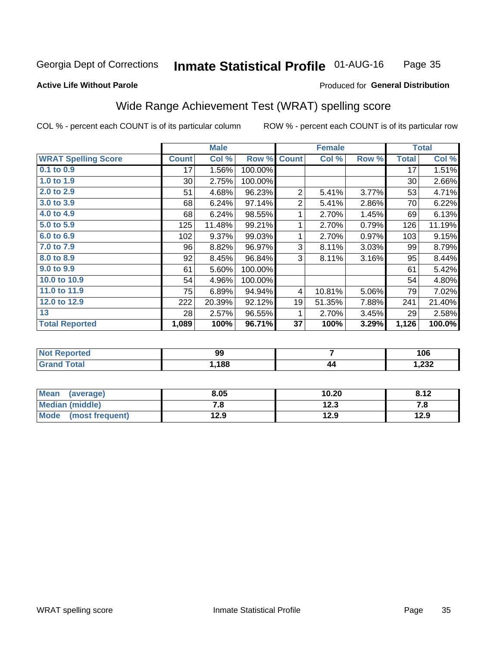#### **Inmate Statistical Profile 01-AUG-16** Page 35

#### **Active Life Without Parole**

#### **Produced for General Distribution**

### Wide Range Achievement Test (WRAT) spelling score

COL % - percent each COUNT is of its particular column

|                            |              | <b>Male</b> |         | <b>Female</b>  |        |       | <b>Total</b> |        |
|----------------------------|--------------|-------------|---------|----------------|--------|-------|--------------|--------|
| <b>WRAT Spelling Score</b> | <b>Count</b> | Col %       | Row %   | <b>Count</b>   | Col %  | Row % | <b>Total</b> | Col %  |
| $0.1$ to $0.9$             | 17           | 1.56%       | 100.00% |                |        |       | 17           | 1.51%  |
| 1.0 to 1.9                 | $30$         | 2.75%       | 100.00% |                |        |       | 30           | 2.66%  |
| 2.0 to 2.9                 | 51           | 4.68%       | 96.23%  | $\overline{2}$ | 5.41%  | 3.77% | 53           | 4.71%  |
| 3.0 to 3.9                 | 68           | 6.24%       | 97.14%  | $\overline{2}$ | 5.41%  | 2.86% | 70           | 6.22%  |
| 4.0 to 4.9                 | 68           | 6.24%       | 98.55%  | 1              | 2.70%  | 1.45% | 69           | 6.13%  |
| 5.0 to 5.9                 | 125          | 11.48%      | 99.21%  | 1              | 2.70%  | 0.79% | 126          | 11.19% |
| 6.0 to 6.9                 | 102          | 9.37%       | 99.03%  | 1              | 2.70%  | 0.97% | 103          | 9.15%  |
| 7.0 to 7.9                 | 96           | 8.82%       | 96.97%  | 3              | 8.11%  | 3.03% | 99           | 8.79%  |
| 8.0 to 8.9                 | 92           | 8.45%       | 96.84%  | 3              | 8.11%  | 3.16% | 95           | 8.44%  |
| 9.0 to 9.9                 | 61           | 5.60%       | 100.00% |                |        |       | 61           | 5.42%  |
| 10.0 to 10.9               | 54           | 4.96%       | 100.00% |                |        |       | 54           | 4.80%  |
| 11.0 to 11.9               | 75           | 6.89%       | 94.94%  | 4              | 10.81% | 5.06% | 79           | 7.02%  |
| 12.0 to 12.9               | 222          | 20.39%      | 92.12%  | 19             | 51.35% | 7.88% | 241          | 21.40% |
| 13                         | 28           | 2.57%       | 96.55%  | 1              | 2.70%  | 3.45% | 29           | 2.58%  |
| <b>Total Reported</b>      | 1,089        | 100%        | 96.71%  | 37             | 100%   | 3.29% | 1,126        | 100.0% |
|                            |              |             |         |                |        |       |              |        |

| <b>Not Reported</b>          | 99   |    | 106   |
|------------------------------|------|----|-------|
| <b>Total</b><br><b>Grand</b> | ,188 | 44 | 1,232 |

| Mean (average)         | 8.05      | 10.20 | 8.12 |
|------------------------|-----------|-------|------|
| <b>Median (middle)</b> | 70<br>. о | 12.3  | 7.a  |
| Mode (most frequent)   | 12.9      | 12.9  | 12.9 |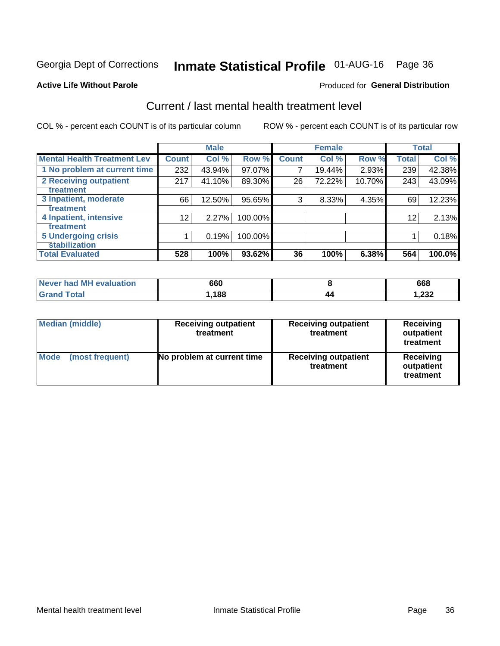## Inmate Statistical Profile 01-AUG-16 Page 36

#### **Active Life Without Parole**

#### Produced for General Distribution

## Current / last mental health treatment level

COL % - percent each COUNT is of its particular column

|                                    |              | <b>Male</b> |         |              | <b>Female</b> |        |                 | <b>Total</b> |
|------------------------------------|--------------|-------------|---------|--------------|---------------|--------|-----------------|--------------|
| <b>Mental Health Treatment Lev</b> | <b>Count</b> | Col %       | Row %   | <b>Count</b> | Col%          | Row %  | <b>Total</b>    | Col %        |
| 1 No problem at current time       | 232          | 43.94%      | 97.07%  | 7            | 19.44%        | 2.93%  | 239             | 42.38%       |
| 2 Receiving outpatient             | 217          | 41.10%      | 89.30%  | 26           | 72.22%        | 10.70% | 243             | 43.09%       |
| <b>Treatment</b>                   |              |             |         |              |               |        |                 |              |
| 3 Inpatient, moderate              | 66           | 12.50%      | 95.65%  | 3            | 8.33%         | 4.35%  | 69              | 12.23%       |
| Treatment                          |              |             |         |              |               |        |                 |              |
| 4 Inpatient, intensive             | 12           | 2.27%       | 100.00% |              |               |        | 12 <sup>2</sup> | 2.13%        |
| Treatment                          |              |             |         |              |               |        |                 |              |
| <b>5 Undergoing crisis</b>         |              | 0.19%       | 100.00% |              |               |        |                 | 0.18%        |
| <b>stabilization</b>               |              |             |         |              |               |        |                 |              |
| <b>Total Evaluated</b>             | 528          | 100%        | 93.62%  | 36           | 100%          | 6.38%  | 564             | 100.0%       |

| Never had MH evaluation | 660  | 668         |
|-------------------------|------|-------------|
| <b>otal</b>             | ,188 | າາາ<br>.232 |

| <b>Median (middle)</b>  | <b>Receiving outpatient</b><br>treatment | <b>Receiving outpatient</b><br>treatment | <b>Receiving</b><br>outpatient<br>treatment |  |  |
|-------------------------|------------------------------------------|------------------------------------------|---------------------------------------------|--|--|
| Mode<br>(most frequent) | No problem at current time               | <b>Receiving outpatient</b><br>treatment | <b>Receiving</b><br>outpatient<br>treatment |  |  |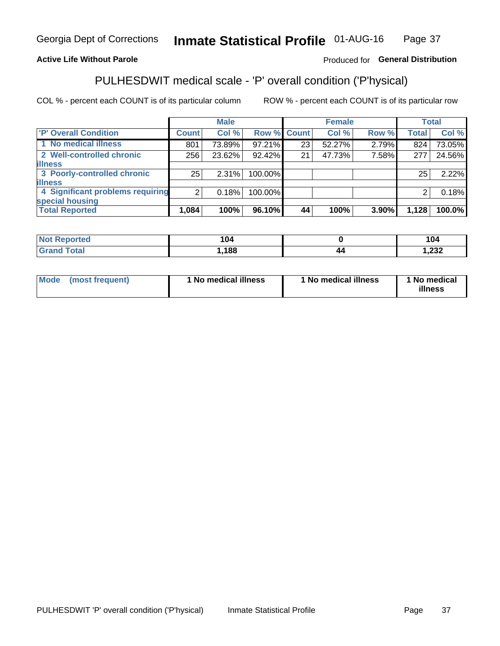#### **Inmate Statistical Profile 01-AUG-16** Page 37

#### **Active Life Without Parole**

#### Produced for General Distribution

## PULHESDWIT medical scale - 'P' overall condition ('P'hysical)

COL % - percent each COUNT is of its particular column

|                                  |         | <b>Male</b> |             |    | <b>Female</b> |       |              | <b>Total</b> |
|----------------------------------|---------|-------------|-------------|----|---------------|-------|--------------|--------------|
| 'P' Overall Condition            | Count l | Col %       | Row % Count |    | Col %         | Row % | <b>Total</b> | Col %        |
| 1 No medical illness             | 801     | 73.89%      | $97.21\%$   | 23 | 52.27%        | 2.79% | 824          | 73.05%       |
| 2 Well-controlled chronic        | 256     | 23.62%      | 92.42%      | 21 | 47.73%        | 7.58% | 277          | 24.56%       |
| <b>illness</b>                   |         |             |             |    |               |       |              |              |
| 3 Poorly-controlled chronic      | 25      | $2.31\%$    | 100.00%     |    |               |       | 25           | 2.22%        |
| <b>illness</b>                   |         |             |             |    |               |       |              |              |
| 4 Significant problems requiring | ົ       | 0.18%       | 100.00%     |    |               |       | 2            | 0.18%        |
| special housing                  |         |             |             |    |               |       |              |              |
| <b>Total Reported</b>            | 1,084   | 100%        | 96.10%      | 44 | 100%          | 3.90% | 1,128        | 100.0%       |

| I 04<br>___ |           | 104            |
|-------------|-----------|----------------|
| ,188        | 44<br>. . | ົດລຸດ<br>∡د∡,⊧ |

| <b>Mode</b> | (most frequent) | 1 No medical illness | 1 No medical illness | 1 No medical<br>illness |
|-------------|-----------------|----------------------|----------------------|-------------------------|
|-------------|-----------------|----------------------|----------------------|-------------------------|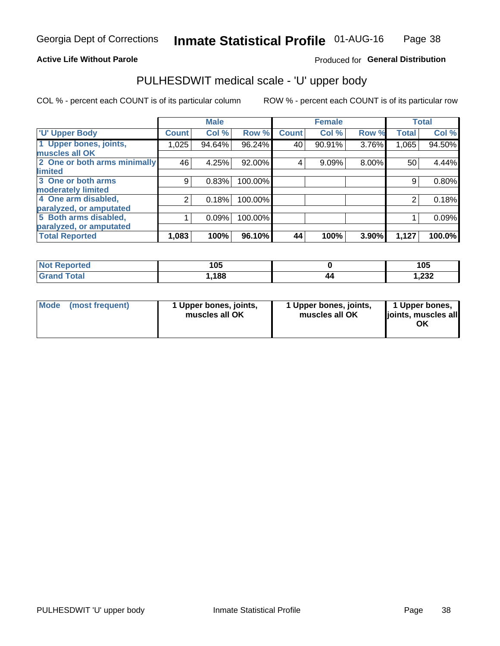#### **Active Life Without Parole**

#### Produced for General Distribution

## PULHESDWIT medical scale - 'U' upper body

COL % - percent each COUNT is of its particular column

|                              |               | <b>Male</b> |         |              | <b>Female</b> |       |              | <b>Total</b> |
|------------------------------|---------------|-------------|---------|--------------|---------------|-------|--------------|--------------|
| <b>U' Upper Body</b>         | <b>Count!</b> | Col %       | Row %   | <b>Count</b> | Col %         | Row % | <b>Total</b> | Col %        |
| 1 Upper bones, joints,       | 1,025         | 94.64%      | 96.24%  | 40           | 90.91%        | 3.76% | 1,065        | 94.50%       |
| muscles all OK               |               |             |         |              |               |       |              |              |
| 2 One or both arms minimally | 46            | 4.25%       | 92.00%  | 4            | 9.09%         | 8.00% | 50           | 4.44%        |
| limited                      |               |             |         |              |               |       |              |              |
| 3 One or both arms           | 9             | 0.83%       | 100.00% |              |               |       | 9            | 0.80%        |
| <b>moderately limited</b>    |               |             |         |              |               |       |              |              |
| 4 One arm disabled,          | 2             | 0.18%       | 100.00% |              |               |       | 2            | 0.18%        |
| paralyzed, or amputated      |               |             |         |              |               |       |              |              |
| 5 Both arms disabled,        |               | 0.09%       | 100.00% |              |               |       |              | 0.09%        |
| paralyzed, or amputated      |               |             |         |              |               |       |              |              |
| <b>Total Reported</b>        | 1,083         | 100%        | 96.10%  | 44           | 100%          | 3.90% | 1,127        | 100.0%       |

| <b>Not Reported</b> | 1 N 5<br>טע |    | 105   |
|---------------------|-------------|----|-------|
| <b>Grand Total</b>  | 188،،       | 40 | 1,232 |

| Mode (most frequent) | 1 Upper bones, joints,<br>muscles all OK | 1 Upper bones, joints,<br>muscles all OK | 1 Upper bones,<br>joints, muscles all<br>ΟK |
|----------------------|------------------------------------------|------------------------------------------|---------------------------------------------|
|----------------------|------------------------------------------|------------------------------------------|---------------------------------------------|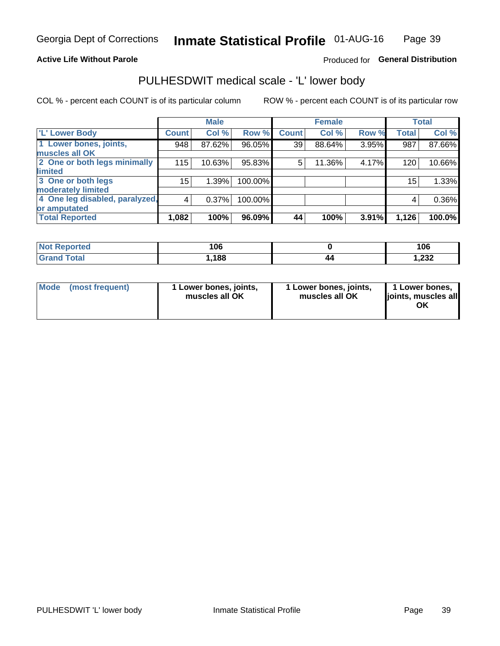#### **Active Life Without Parole**

#### Produced for General Distribution

### PULHESDWIT medical scale - 'L' lower body

COL % - percent each COUNT is of its particular column

|                                     | <b>Male</b> |              | <b>Female</b>                                             |       |              | <b>Total</b> |
|-------------------------------------|-------------|--------------|-----------------------------------------------------------|-------|--------------|--------------|
| Count!                              | Col %       | <b>Count</b> | Col %                                                     | Row % | <b>Total</b> | Col %        |
| 948                                 | 87.62%      | 39           | 88.64%                                                    |       | 987          | 87.66%       |
|                                     |             |              |                                                           |       |              |              |
| 2 One or both legs minimally<br>115 | 10.63%      | 5            | 11.36%                                                    | 4.17% | 120          | 10.66%       |
|                                     |             |              |                                                           |       |              |              |
| 15                                  | 1.39%       |              |                                                           |       | 15           | 1.33%        |
|                                     |             |              |                                                           |       |              |              |
| 4 One leg disabled, paralyzed,<br>4 | 0.37%       |              |                                                           |       | 4            | 0.36%        |
|                                     |             |              |                                                           |       |              |              |
| 1,082                               | 100%        | 44           | 100%                                                      | 3.91% | 1,126        | 100.0%       |
|                                     |             |              | Row %<br>96.05%<br>95.83%<br>100.00%<br>100.00%<br>96.09% |       |              | 3.95%        |

| <b>Not Reported</b> | 106  |    | 106   |
|---------------------|------|----|-------|
| <b>Grand Total</b>  | ,188 | 44 | 1,232 |

|  | Mode (most frequent) | 1 Lower bones, joints,<br>muscles all OK | 1 Lower bones, joints,<br>muscles all OK | 1 Lower bones,<br>ljoints, muscles all<br>ΟK |
|--|----------------------|------------------------------------------|------------------------------------------|----------------------------------------------|
|--|----------------------|------------------------------------------|------------------------------------------|----------------------------------------------|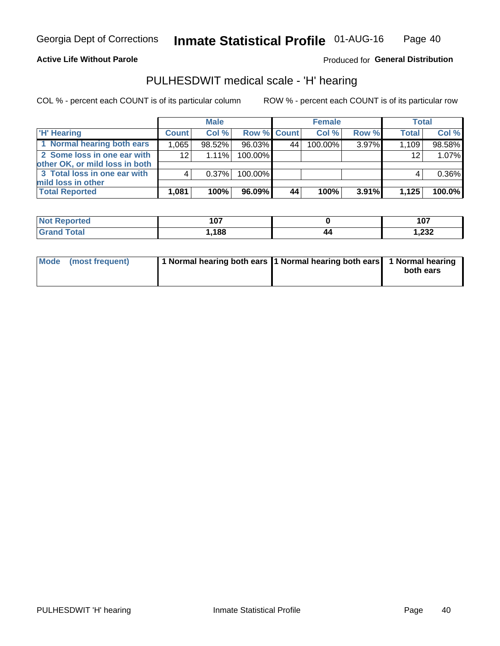#### **Active Life Without Parole**

Produced for General Distribution

### PULHESDWIT medical scale - 'H' hearing

COL % - percent each COUNT is of its particular column

|                                                               |              | <b>Male</b> |                    |    | <b>Female</b> |          | <b>Total</b> |        |
|---------------------------------------------------------------|--------------|-------------|--------------------|----|---------------|----------|--------------|--------|
| <b>H'</b> Hearing                                             | <b>Count</b> | Col%        | <b>Row % Count</b> |    | Col%          | Row %    | <b>Total</b> | Col %  |
| 1 Normal hearing both ears                                    | 1,065        | 98.52%      | 96.03%             | 44 | $100.00\%$    | 3.97%    | 1,109        | 98.58% |
| 2 Some loss in one ear with<br>other OK, or mild loss in both | 12           | $1.11\%$    | 100.00%            |    |               |          | 12           | 1.07%  |
| 3 Total loss in one ear with<br>mild loss in other            | 4            | 0.37%       | 100.00%            |    |               |          | 4            | 0.36%  |
| <b>Total Reported</b>                                         | 1,081        | 100%        | $96.09\%$          | 44 | 100%          | $3.91\%$ | 1,125        | 100.0% |

| <b>Not</b><br>Reported | 107  |    | 107            |
|------------------------|------|----|----------------|
| <b>otal</b>            | ,188 | 40 | ົດດດ<br>∡د∡, ا |

| Mode (most frequent) | 1 Normal hearing both ears 1 Normal hearing both ears 1 Normal hearing | both ears |
|----------------------|------------------------------------------------------------------------|-----------|
|                      |                                                                        |           |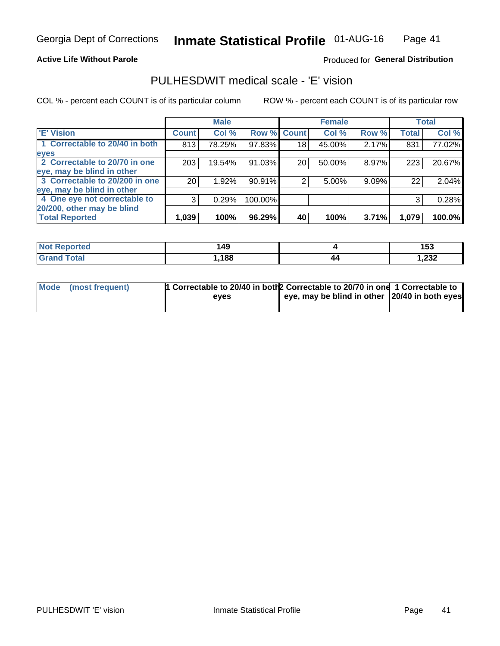#### **Active Life Without Parole**

#### Produced for General Distribution

### PULHESDWIT medical scale - 'E' vision

COL % - percent each COUNT is of its particular column

|                                |              | <b>Male</b> |             |    | <b>Female</b> |       |              | <b>Total</b> |
|--------------------------------|--------------|-------------|-------------|----|---------------|-------|--------------|--------------|
| <b>E' Vision</b>               | <b>Count</b> | Col %       | Row % Count |    | Col %         | Row % | <b>Total</b> | Col %        |
| 1 Correctable to 20/40 in both | 813          | 78.25%      | 97.83%      | 18 | 45.00%        | 2.17% | 831          | 77.02%       |
| eyes                           |              |             |             |    |               |       |              |              |
| 2 Correctable to 20/70 in one  | 203          | 19.54%      | 91.03%      | 20 | 50.00%        | 8.97% | 223          | 20.67%       |
| eye, may be blind in other     |              |             |             |    |               |       |              |              |
| 3 Correctable to 20/200 in one | 201          | 1.92%       | 90.91%      |    | 5.00%         | 9.09% | 22           | 2.04%        |
| eye, may be blind in other     |              |             |             |    |               |       |              |              |
| 4 One eye not correctable to   | 3            | 0.29%       | 100.00%     |    |               |       | 3            | 0.28%        |
| 20/200, other may be blind     |              |             |             |    |               |       |              |              |
| <b>Total Reported</b>          | 1,039        | 100%        | 96.29%      | 40 | 100%          | 3.71% | 1,079        | 100.0%       |

| <b>Not Reported</b>          | 149  |    | 153   |
|------------------------------|------|----|-------|
| <b>Total</b><br><b>Grand</b> | ,188 | 44 | 1,232 |

| Mode (most frequent) | 1 Correctable to 20/40 in both 2 Correctable to 20/70 in one 1 Correctable to<br>eves | eye, may be blind in other 20/40 in both eyes |  |
|----------------------|---------------------------------------------------------------------------------------|-----------------------------------------------|--|
|                      |                                                                                       |                                               |  |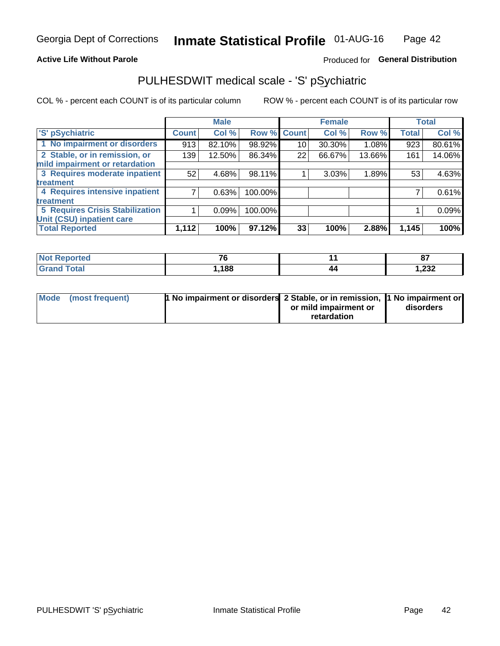#### **Active Life Without Parole**

#### Produced for General Distribution

## PULHESDWIT medical scale - 'S' pSychiatric

COL % - percent each COUNT is of its particular column

|                                        |              | <b>Male</b> |         |             | <b>Female</b> |        |              | <b>Total</b> |
|----------------------------------------|--------------|-------------|---------|-------------|---------------|--------|--------------|--------------|
| 'S' pSychiatric                        | <b>Count</b> | Col %       |         | Row % Count | Col %         | Row %  | <b>Total</b> | Col %        |
| 1 No impairment or disorders           | 913          | 82.10%      | 98.92%  | 10          | 30.30%        | 1.08%  | 923          | 80.61%       |
| 2 Stable, or in remission, or          | 139          | 12.50%      | 86.34%  | 22          | 66.67%        | 13.66% | 161          | 14.06%       |
| mild impairment or retardation         |              |             |         |             |               |        |              |              |
| 3 Requires moderate inpatient          | 52           | 4.68%       | 98.11%  |             | 3.03%         | 1.89%  | 53           | 4.63%        |
| treatment                              |              |             |         |             |               |        |              |              |
| 4 Requires intensive inpatient         |              | 0.63%       | 100.00% |             |               |        |              | 0.61%        |
| treatment                              |              |             |         |             |               |        |              |              |
| <b>5 Requires Crisis Stabilization</b> |              | 0.09%       | 100.00% |             |               |        |              | 0.09%        |
| Unit (CSU) inpatient care              |              |             |         |             |               |        |              |              |
| <b>Total Reported</b>                  | 1,112        | 100%        | 97.12%  | 33          | 100%          | 2.88%  | 1,145        | 100%         |

| <b>Not Reported</b> | $\overline{\phantom{a}}$ |    | $\sim$<br>01   |
|---------------------|--------------------------|----|----------------|
| <b>Total</b>        | ,188                     | 44 | ົດລາ<br>∠د∡, ا |

| Mode (most frequent) | <b>1 No impairment or disorders 2 Stable, or in remission, 1 No impairment or</b> |                       |           |
|----------------------|-----------------------------------------------------------------------------------|-----------------------|-----------|
|                      |                                                                                   | or mild impairment or | disorders |
|                      |                                                                                   | retardation           |           |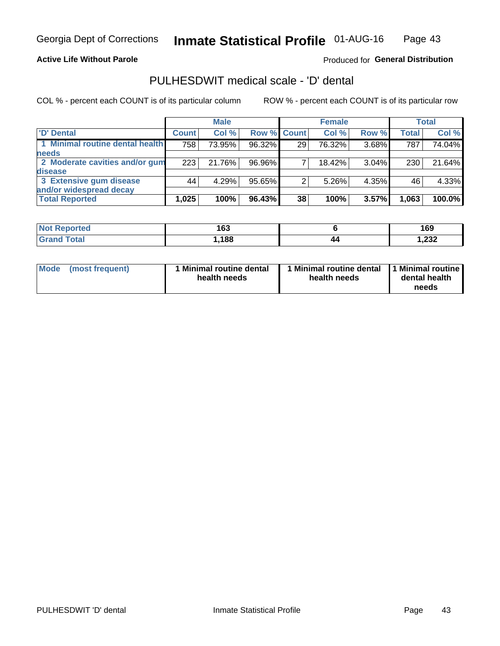**Active Life Without Parole** 

Produced for General Distribution

### PULHESDWIT medical scale - 'D' dental

COL % - percent each COUNT is of its particular column

|                                 | <b>Male</b>  |        | <b>Female</b> |    |        | <b>Total</b> |              |        |
|---------------------------------|--------------|--------|---------------|----|--------|--------------|--------------|--------|
| 'D' Dental                      | <b>Count</b> | Col %  | Row % Count   |    | Col %  | Row %        | <b>Total</b> | Col %  |
| 1 Minimal routine dental health | 758          | 73.95% | 96.32%        | 29 | 76.32% | 3.68%        | 787          | 74.04% |
| <b>needs</b>                    |              |        |               |    |        |              |              |        |
| 2 Moderate cavities and/or gum  | 223          | 21.76% | 96.96%        |    | 18.42% | $3.04\%$     | 230          | 21.64% |
| disease                         |              |        |               |    |        |              |              |        |
| 3 Extensive gum disease         | 44           | 4.29%  | 95.65%        |    | 5.26%  | 4.35%        | 46           | 4.33%  |
| and/or widespread decay         |              |        |               |    |        |              |              |        |
| <b>Total Reported</b>           | 1,025        | 100%   | 96.43%        | 38 | 100%   | 3.57%        | 1,063        | 100.0% |

| rted<br><b>NOT</b><br>. | 163 |    | 169             |
|-------------------------|-----|----|-----------------|
| int                     | 188 | 44 | רכר ו<br>∠د∡, ا |

| <b>Mode</b><br><b>Minimal routine dental</b><br>(most frequent)<br>health needs | Minimal routine dental<br>health needs | 1 Minimal routine<br>dental health<br>needs |
|---------------------------------------------------------------------------------|----------------------------------------|---------------------------------------------|
|---------------------------------------------------------------------------------|----------------------------------------|---------------------------------------------|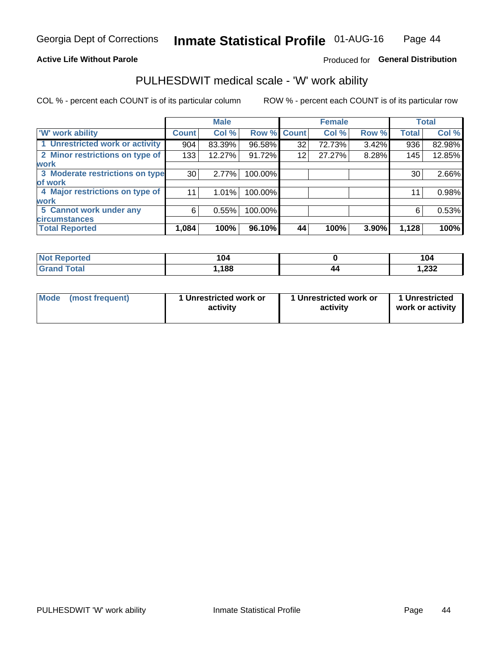#### **Active Life Without Parole**

#### Produced for General Distribution

### PULHESDWIT medical scale - 'W' work ability

COL % - percent each COUNT is of its particular column

|                                 |              | <b>Male</b> |         |             | <b>Female</b> |       |              | <b>Total</b> |
|---------------------------------|--------------|-------------|---------|-------------|---------------|-------|--------------|--------------|
| <b>W' work ability</b>          | <b>Count</b> | Col %       |         | Row % Count | Col %         | Row % | <b>Total</b> | Col %        |
| 1 Unrestricted work or activity | 904          | 83.39%      | 96.58%  | 32          | 72.73%        | 3.42% | 936          | 82.98%       |
| 2 Minor restrictions on type of | 133          | 12.27%      | 91.72%  | 12          | 27.27%        | 8.28% | 145          | 12.85%       |
| <b>work</b>                     |              |             |         |             |               |       |              |              |
| 3 Moderate restrictions on type | 30           | 2.77%       | 100.00% |             |               |       | 30           | 2.66%        |
| lof work                        |              |             |         |             |               |       |              |              |
| 4 Major restrictions on type of | 11           | $1.01\%$    | 100.00% |             |               |       | 11           | 0.98%        |
| <b>work</b>                     |              |             |         |             |               |       |              |              |
| 5 Cannot work under any         | 6            | 0.55%       | 100.00% |             |               |       | 6            | 0.53%        |
| <b>circumstances</b>            |              |             |         |             |               |       |              |              |
| <b>Total Reported</b>           | 1,084        | 100%        | 96.10%  | 44          | 100%          | 3.90% | 1,128        | 100%         |

| <b>Not Reported</b>  | 104  |    | 104   |
|----------------------|------|----|-------|
| <b>Total</b><br>Cron | ,188 | 44 | 1,232 |

| Mode (most frequent) | 1 Unrestricted work or | 1 Unrestricted work or | 1 Unrestricted   |
|----------------------|------------------------|------------------------|------------------|
|                      | activity               | activity               | work or activity |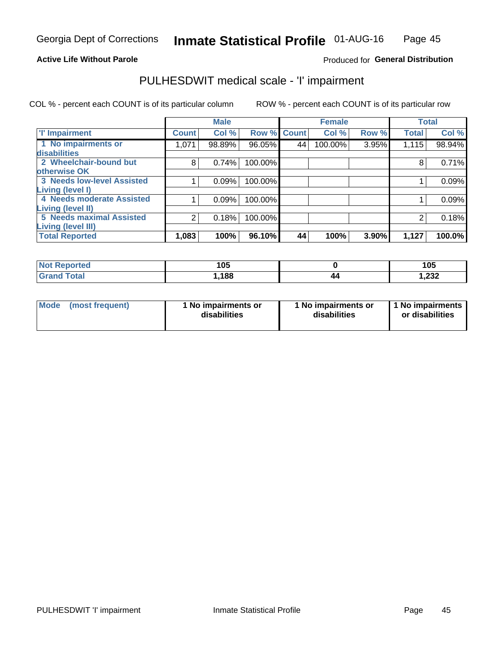#### **Active Life Without Parole**

#### Produced for General Distribution

## PULHESDWIT medical scale - 'I' impairment

COL % - percent each COUNT is of its particular column ROW % - percent each COUNT is of its particular row

|                                                       |              | <b>Male</b> |             |    | <b>Female</b> |       |              | <b>Total</b> |
|-------------------------------------------------------|--------------|-------------|-------------|----|---------------|-------|--------------|--------------|
| <b>T' Impairment</b>                                  | <b>Count</b> | Col %       | Row % Count |    | Col %         | Row % | <b>Total</b> | Col %        |
| 1 No impairments or<br>disabilities                   | 1,071        | 98.89%      | 96.05%      | 44 | 100.00%       | 3.95% | 1,115        | 98.94%       |
| 2 Wheelchair-bound but<br>otherwise OK                | 8            | 0.74%       | 100.00%     |    |               |       | 8            | 0.71%        |
| <b>3 Needs low-level Assisted</b><br>Living (level I) |              | 0.09%       | 100.00%     |    |               |       |              | 0.09%        |
| 4 Needs moderate Assisted<br>Living (level II)        |              | 0.09%       | 100.00%     |    |               |       |              | 0.09%        |
| <b>5 Needs maximal Assisted</b><br>Living (level III) | 2            | 0.18%       | 100.00%     |    |               |       |              | 0.18%        |
| <b>Total Reported</b>                                 | 1,083        | 100%        | 96.10%      | 44 | 100%          | 3.90% | 1,127        | 100.0%       |

| <b>orted</b> | 105  |    | 105            |
|--------------|------|----|----------------|
| <b>otal</b>  | ,188 | 14 | ່າາາ<br>∠د∠, ا |

| <b>Mode</b> | (most frequent) | <b>No impairments or</b><br>disabilities | 1 No impairments or<br>disabilities | 1 No impairments<br>or disabilities |
|-------------|-----------------|------------------------------------------|-------------------------------------|-------------------------------------|
|-------------|-----------------|------------------------------------------|-------------------------------------|-------------------------------------|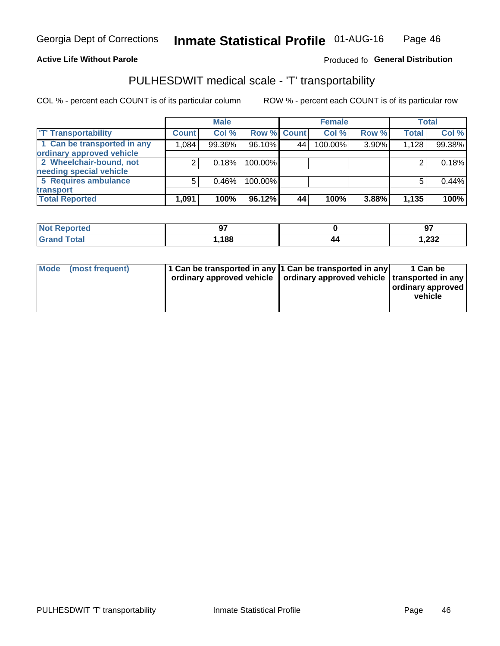#### **Active Life Without Parole**

#### Produced fo General Distribution

## PULHESDWIT medical scale - 'T' transportability

COL % - percent each COUNT is of its particular column

|                             |              | <b>Male</b> |             |    | <b>Female</b> |       |              | <b>Total</b> |
|-----------------------------|--------------|-------------|-------------|----|---------------|-------|--------------|--------------|
| <b>T' Transportability</b>  | <b>Count</b> | Col %       | Row % Count |    | Col %         | Row % | <b>Total</b> | Col %        |
| 1 Can be transported in any | 1,084        | 99.36%      | 96.10%      | 44 | 100.00%       | 3.90% | 1,128        | 99.38%       |
| ordinary approved vehicle   |              |             |             |    |               |       |              |              |
| 2 Wheelchair-bound, not     |              | 0.18%       | 100.00%     |    |               |       |              | 0.18%        |
| needing special vehicle     |              |             |             |    |               |       |              |              |
| 5 Requires ambulance        |              | 0.46%       | 100.00%     |    |               |       |              | 0.44%        |
| transport                   |              |             |             |    |               |       |              |              |
| <b>Total Reported</b>       | 1,091        | 100%        | 96.12%      | 44 | 100%          | 3.88% | 1,135        | 100%         |

| Reported     | ^7<br>◡ |    | ഹ-<br>J. |
|--------------|---------|----|----------|
| <b>Total</b> | ,188    | 40 | 1,232    |

| Mode (most frequent) | 1 Can be transported in any 1 Can be transported in any | ordinary approved vehicle   ordinary approved vehicle   transported in any | 1 Can be<br>ordinary approved<br>vehicle |
|----------------------|---------------------------------------------------------|----------------------------------------------------------------------------|------------------------------------------|
|                      |                                                         |                                                                            |                                          |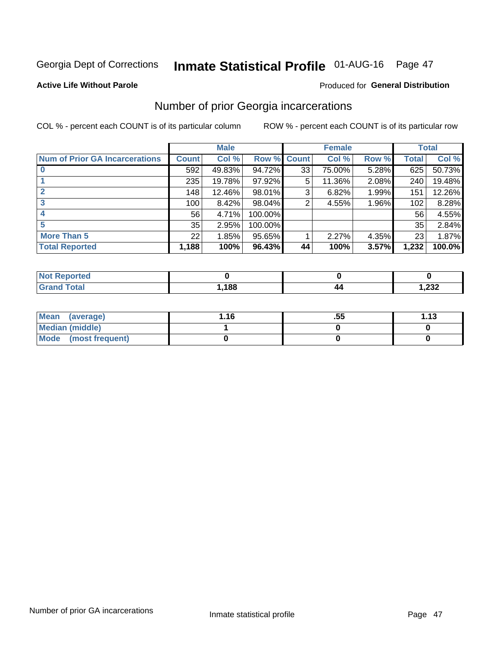## Inmate Statistical Profile 01-AUG-16 Page 47

#### **Active Life Without Parole**

#### **Produced for General Distribution**

### Number of prior Georgia incarcerations

COL % - percent each COUNT is of its particular column

|                                       |              | <b>Male</b> |             |    | <b>Female</b> |          |       | <b>Total</b> |
|---------------------------------------|--------------|-------------|-------------|----|---------------|----------|-------|--------------|
| <b>Num of Prior GA Incarcerations</b> | <b>Count</b> | Col %       | Row % Count |    | Col %         | Row %    | Total | Col %        |
|                                       | 592          | 49.83%      | 94.72%      | 33 | 75.00%        | 5.28%    | 625   | 50.73%       |
|                                       | 235          | 19.78%      | 97.92%      | 5  | 11.36%        | 2.08%    | 240   | 19.48%       |
|                                       | 148          | 12.46%      | 98.01%      | 3  | 6.82%         | 1.99%    | 151   | 12.26%       |
| 3                                     | 100          | 8.42%       | 98.04%      | 2  | 4.55%         | $1.96\%$ | 102   | 8.28%        |
| 4                                     | 56           | 4.71%       | 100.00%     |    |               |          | 56    | 4.55%        |
| 5                                     | 35           | 2.95%       | 100.00%     |    |               |          | 35    | 2.84%        |
| <b>More Than 5</b>                    | 22           | 1.85%       | $95.65\%$   |    | 2.27%         | 4.35%    | 23    | 1.87%        |
| <b>Total Reported</b>                 | 1,188        | 100%        | 96.43%      | 44 | 100%          | 3.57%    | 1,232 | 100.0%       |

| <b>orted</b><br>N               |       |                    |                 |
|---------------------------------|-------|--------------------|-----------------|
| <b>otal</b><br>$\mathbf{v}$ and | 1,188 | $\boldsymbol{\mu}$ | $\sim$<br>52. ا |

| Mean (average)       | 1.16 | .55 | 1.13 |
|----------------------|------|-----|------|
| Median (middle)      |      |     |      |
| Mode (most frequent) |      |     |      |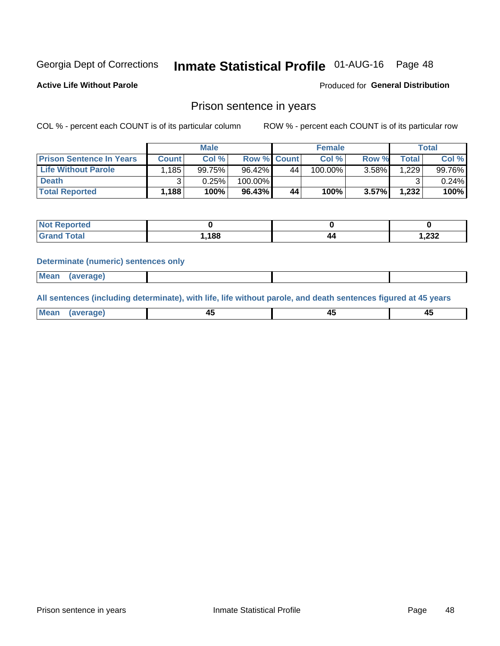## Inmate Statistical Profile 01-AUG-16 Page 48

**Active Life Without Parole** 

Produced for General Distribution

### Prison sentence in years

COL % - percent each COUNT is of its particular column

ROW % - percent each COUNT is of its particular row

|                                 |              | <b>Male</b> |                    |    | <b>Female</b> |          |             | Total  |
|---------------------------------|--------------|-------------|--------------------|----|---------------|----------|-------------|--------|
| <b>Prison Sentence In Years</b> | <b>Count</b> | Col %       | <b>Row % Count</b> |    | $Col \%$      | Row %    | $\tau$ otal | Col %  |
| <b>Life Without Parole</b>      | .185         | 99.75%      | 96.42%             | 44 | 100.00%       | $3.58\%$ | 1,229       | 99.76% |
| <b>Death</b>                    | າ            | 0.25%       | 100.00%            |    |               |          |             | 0.24%  |
| <b>Total Reported</b>           | 1,188        | 100%        | 96.43%             | 44 | 100%          | $3.57\%$ | 1,232       | 100%   |

| <b>Reported</b><br>NOT. |      |     |       |
|-------------------------|------|-----|-------|
| <b>Total</b>            | .188 | ,,, | 1,232 |

#### **Determinate (numeric) sentences only**

| ' Mea<br><b>Service</b> A<br>ЯМА. |  |  |  |
|-----------------------------------|--|--|--|
|                                   |  |  |  |

All sentences (including determinate), with life, life without parole, and death sentences figured at 45 years

| МG<br>a r -<br>-- |         |  |  |
|-------------------|---------|--|--|
|                   | ------- |  |  |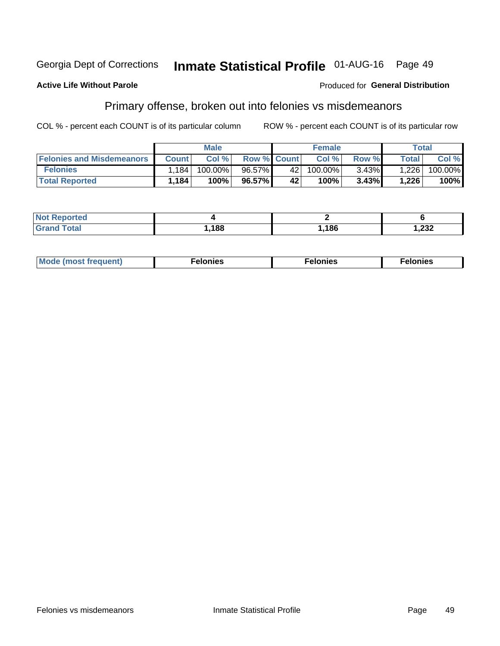#### Inmate Statistical Profile 01-AUG-16 Page 49 Georgia Dept of Corrections

#### **Active Life Without Parole**

#### Produced for General Distribution

### Primary offense, broken out into felonies vs misdemeanors

COL % - percent each COUNT is of its particular column

|                                  |              | <b>Male</b> |                    |     | <b>Female</b> |          | Total        |         |
|----------------------------------|--------------|-------------|--------------------|-----|---------------|----------|--------------|---------|
| <b>Felonies and Misdemeanors</b> | <b>Count</b> | Col%        | <b>Row % Count</b> |     | Col%          | Row %    | <b>Total</b> | Col %   |
| <b>Felonies</b>                  | .184         | 100.00%     | 96.57%             | 42  | 100.00%       | $3.43\%$ | 1,226        | 100.00% |
| <b>Total Reported</b>            | 1,184        | 100%        | 96.57%             | 42' | 100%          | 3.43%    | 1,226        | 100%    |

| <b>Not Reported</b>   |      |      |       |
|-----------------------|------|------|-------|
| Total<br><b>Grand</b> | ,188 | ,186 | 1,232 |

| <b>Mode</b><br>frequent)<br>nies<br>≧ (most tr.<br>. | onies<br>. | lonies<br>ею<br>____ |
|------------------------------------------------------|------------|----------------------|
|------------------------------------------------------|------------|----------------------|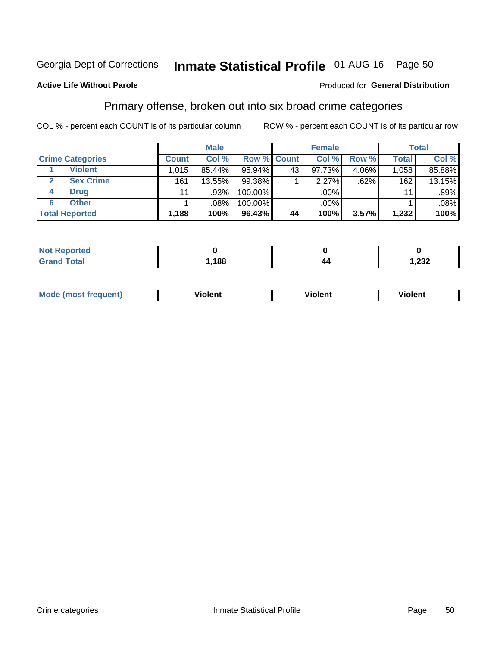## Inmate Statistical Profile 01-AUG-16 Page 50

#### **Active Life Without Parole**

#### Produced for General Distribution

### Primary offense, broken out into six broad crime categories

COL % - percent each COUNT is of its particular column

|                         |              | <b>Male</b> |         |                    | <b>Female</b> |       |              | Total  |
|-------------------------|--------------|-------------|---------|--------------------|---------------|-------|--------------|--------|
| <b>Crime Categories</b> | <b>Count</b> | Col %       |         | <b>Row % Count</b> | Col %         | Row % | <b>Total</b> | Col %  |
| <b>Violent</b>          | 1,015        | 85.44%      | 95.94%  | 43                 | 97.73%        | 4.06% | 1,058        | 85.88% |
| <b>Sex Crime</b>        | 161          | 13.55%      | 99.38%  |                    | 2.27%         | .62%  | 162          | 13.15% |
| <b>Drug</b><br>4        | 11           | .93%        | 100.00% |                    | .00%          |       | 11           | .89%   |
| <b>Other</b><br>6       |              | $.08\%$     | 100.00% |                    | .00%          |       |              | .08%   |
| <b>Total Reported</b>   | 1,188        | 100%        | 96.43%  | 44                 | 100%          | 3.57% | 1,232        | 100%   |

| <b>Not Reported</b><br>$\sim$ |      |    |                        |  |  |
|-------------------------------|------|----|------------------------|--|--|
| $T0+0'$                       | ,188 | 44 | ົດດດ<br><i>ےد</i> ے, ו |  |  |

| <b>Mode (most frequent)</b> |         |                | --             |
|-----------------------------|---------|----------------|----------------|
|                             | violent | <b>Violent</b> | <b>Violent</b> |
|                             |         |                |                |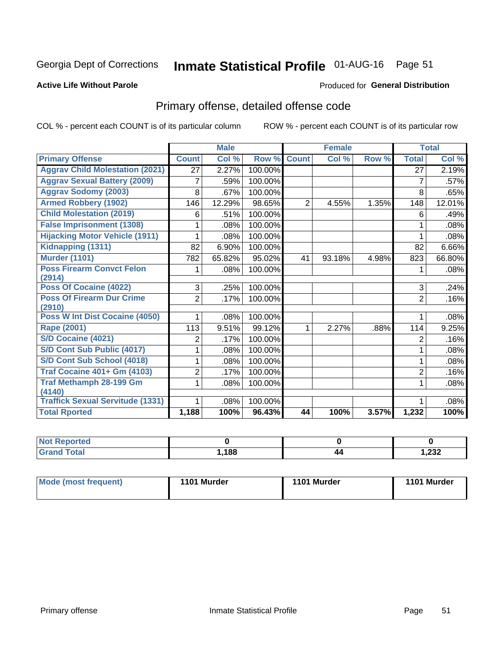## Inmate Statistical Profile 01-AUG-16 Page 51

#### **Active Life Without Parole**

#### Produced for General Distribution

## Primary offense, detailed offense code

COL % - percent each COUNT is of its particular column

|                                            |                | <b>Male</b>                |         |                | <b>Female</b> |       |                | <b>Total</b> |
|--------------------------------------------|----------------|----------------------------|---------|----------------|---------------|-------|----------------|--------------|
| <b>Primary Offense</b>                     | <b>Count</b>   | $\overline{\text{Col }^9}$ | Row %   | <b>Count</b>   | Col %         | Row % | <b>Total</b>   | Col %        |
| <b>Aggrav Child Molestation (2021)</b>     | 27             | 2.27%                      | 100.00% |                |               |       | 27             | 2.19%        |
| <b>Aggrav Sexual Battery (2009)</b>        | 7              | .59%                       | 100.00% |                |               |       | 7              | .57%         |
| <b>Aggrav Sodomy (2003)</b>                | 8              | .67%                       | 100.00% |                |               |       | 8              | .65%         |
| <b>Armed Robbery (1902)</b>                | 146            | 12.29%                     | 98.65%  | $\overline{2}$ | 4.55%         | 1.35% | 148            | 12.01%       |
| <b>Child Molestation (2019)</b>            | 6              | .51%                       | 100.00% |                |               |       | 6              | .49%         |
| <b>False Imprisonment (1308)</b>           |                | .08%                       | 100.00% |                |               |       |                | .08%         |
| <b>Hijacking Motor Vehicle (1911)</b>      |                | .08%                       | 100.00% |                |               |       |                | .08%         |
| Kidnapping (1311)                          | 82             | 6.90%                      | 100.00% |                |               |       | 82             | 6.66%        |
| <b>Murder (1101)</b>                       | 782            | 65.82%                     | 95.02%  | 41             | 93.18%        | 4.98% | 823            | 66.80%       |
| <b>Poss Firearm Convct Felon</b>           |                | .08%                       | 100.00% |                |               |       | 1              | .08%         |
| (2914)                                     |                |                            |         |                |               |       |                |              |
| Poss Of Cocaine (4022)                     | 3              | .25%                       | 100.00% |                |               |       | 3              | .24%         |
| <b>Poss Of Firearm Dur Crime</b><br>(2910) | $\overline{2}$ | .17%                       | 100.00% |                |               |       | $\overline{2}$ | .16%         |
| Poss W Int Dist Cocaine (4050)             |                | .08%                       | 100.00% |                |               |       |                | .08%         |
| Rape (2001)                                | 113            | 9.51%                      | 99.12%  |                | 2.27%         | .88%  | 114            | 9.25%        |
| S/D Cocaine (4021)                         | 2              | .17%                       | 100.00% |                |               |       | $\overline{2}$ | .16%         |
| S/D Cont Sub Public (4017)                 |                | .08%                       | 100.00% |                |               |       | 1              | .08%         |
| S/D Cont Sub School (4018)                 |                | .08%                       | 100.00% |                |               |       | 1              | .08%         |
| <b>Traf Cocaine 401+ Gm (4103)</b>         | 2              | .17%                       | 100.00% |                |               |       | $\overline{2}$ | .16%         |
| <b>Traf Methamph 28-199 Gm</b>             | 1              | .08%                       | 100.00% |                |               |       | 1              | .08%         |
| (4140)                                     |                |                            |         |                |               |       |                |              |
| <b>Traffick Sexual Servitude (1331)</b>    | 1              | .08%                       | 100.00% |                |               |       | 1              | .08%         |
| <b>Total Rported</b>                       | 1,188          | 100%                       | 96.43%  | 44             | 100%          | 3.57% | 1,232          | 100%         |

| энес |     |    |                 |
|------|-----|----|-----------------|
|      | 188 | 44 | າາາ<br>ـ ∠ت∠, ا |

| Mode (most frequent) | 1101 Murder | 1101 Murder | 1101 Murder |
|----------------------|-------------|-------------|-------------|
|                      |             |             |             |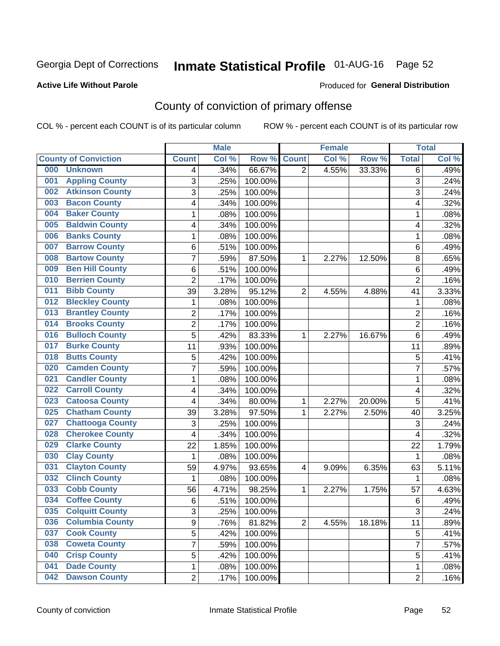## Inmate Statistical Profile 01-AUG-16 Page 52

#### **Active Life Without Parole**

#### Produced for General Distribution

## County of conviction of primary offense

COL % - percent each COUNT is of its particular column

|                                |                | <b>Male</b> |         |                | <b>Female</b> |        |                         | <b>Total</b> |
|--------------------------------|----------------|-------------|---------|----------------|---------------|--------|-------------------------|--------------|
| <b>County of Conviction</b>    | <b>Count</b>   | Col %       | Row %   | <b>Count</b>   | Col %         | Row %  | <b>Total</b>            | Col %        |
| 000<br><b>Unknown</b>          | 4              | .34%        | 66.67%  | $\overline{2}$ | 4.55%         | 33.33% | 6                       | .49%         |
| <b>Appling County</b><br>001   | 3              | .25%        | 100.00% |                |               |        | 3                       | .24%         |
| <b>Atkinson County</b><br>002  | 3              | .25%        | 100.00% |                |               |        | 3                       | .24%         |
| <b>Bacon County</b><br>003     | 4              | .34%        | 100.00% |                |               |        | 4                       | .32%         |
| <b>Baker County</b><br>004     | 1              | .08%        | 100.00% |                |               |        | 1                       | .08%         |
| <b>Baldwin County</b><br>005   | 4              | .34%        | 100.00% |                |               |        | 4                       | .32%         |
| <b>Banks County</b><br>006     | 1              | .08%        | 100.00% |                |               |        | $\mathbf{1}$            | .08%         |
| <b>Barrow County</b><br>007    | $\,6$          | .51%        | 100.00% |                |               |        | 6                       | .49%         |
| <b>Bartow County</b><br>008    | $\overline{7}$ | .59%        | 87.50%  | 1              | 2.27%         | 12.50% | 8                       | .65%         |
| <b>Ben Hill County</b><br>009  | $\,6$          | .51%        | 100.00% |                |               |        | 6                       | .49%         |
| <b>Berrien County</b><br>010   | $\overline{2}$ | .17%        | 100.00% |                |               |        | $\overline{2}$          | .16%         |
| <b>Bibb County</b><br>011      | 39             | 3.28%       | 95.12%  | $\overline{2}$ | 4.55%         | 4.88%  | 41                      | 3.33%        |
| <b>Bleckley County</b><br>012  | 1              | .08%        | 100.00% |                |               |        | $\mathbf 1$             | .08%         |
| <b>Brantley County</b><br>013  | $\overline{2}$ | .17%        | 100.00% |                |               |        | $\overline{2}$          | .16%         |
| <b>Brooks County</b><br>014    | $\overline{c}$ | .17%        | 100.00% |                |               |        | $\overline{2}$          | .16%         |
| <b>Bulloch County</b><br>016   | 5              | .42%        | 83.33%  | 1              | 2.27%         | 16.67% | 6                       | .49%         |
| <b>Burke County</b><br>017     | 11             | .93%        | 100.00% |                |               |        | 11                      | .89%         |
| <b>Butts County</b><br>018     | 5              | .42%        | 100.00% |                |               |        | 5                       | .41%         |
| <b>Camden County</b><br>020    | $\overline{7}$ | .59%        | 100.00% |                |               |        | $\overline{7}$          | .57%         |
| <b>Candler County</b><br>021   | 1              | .08%        | 100.00% |                |               |        | 1                       | .08%         |
| <b>Carroll County</b><br>022   | 4              | .34%        | 100.00% |                |               |        | 4                       | .32%         |
| <b>Catoosa County</b><br>023   | 4              | .34%        | 80.00%  | $\mathbf{1}$   | 2.27%         | 20.00% | 5                       | .41%         |
| <b>Chatham County</b><br>025   | 39             | 3.28%       | 97.50%  | 1              | 2.27%         | 2.50%  | 40                      | 3.25%        |
| <b>Chattooga County</b><br>027 | 3              | .25%        | 100.00% |                |               |        | 3                       | .24%         |
| <b>Cherokee County</b><br>028  | 4              | .34%        | 100.00% |                |               |        | $\overline{\mathbf{4}}$ | .32%         |
| <b>Clarke County</b><br>029    | 22             | 1.85%       | 100.00% |                |               |        | 22                      | 1.79%        |
| <b>Clay County</b><br>030      | 1              | .08%        | 100.00% |                |               |        | 1                       | .08%         |
| <b>Clayton County</b><br>031   | 59             | 4.97%       | 93.65%  | 4              | 9.09%         | 6.35%  | 63                      | 5.11%        |
| <b>Clinch County</b><br>032    | $\mathbf 1$    | .08%        | 100.00% |                |               |        | 1                       | .08%         |
| <b>Cobb County</b><br>033      | 56             | 4.71%       | 98.25%  | 1              | 2.27%         | 1.75%  | 57                      | 4.63%        |
| <b>Coffee County</b><br>034    | $\,6$          | .51%        | 100.00% |                |               |        | $6\phantom{1}6$         | .49%         |
| 035<br><b>Colquitt County</b>  | 3              | .25%        | 100.00% |                |               |        | 3                       | .24%         |
| <b>Columbia County</b><br>036  | 9              | .76%        | 81.82%  | $\overline{2}$ | 4.55%         | 18.18% | 11                      | .89%         |
| 037<br><b>Cook County</b>      | 5              | .42%        | 100.00% |                |               |        | 5                       | .41%         |
| <b>Coweta County</b><br>038    | 7              | .59%        | 100.00% |                |               |        | $\overline{7}$          | .57%         |
| <b>Crisp County</b><br>040     | 5              | .42%        | 100.00% |                |               |        | 5                       | .41%         |
| <b>Dade County</b><br>041      | 1              | .08%        | 100.00% |                |               |        | 1                       | .08%         |
| <b>Dawson County</b><br>042    | $\overline{2}$ | .17%        | 100.00% |                |               |        | $\overline{2}$          | .16%         |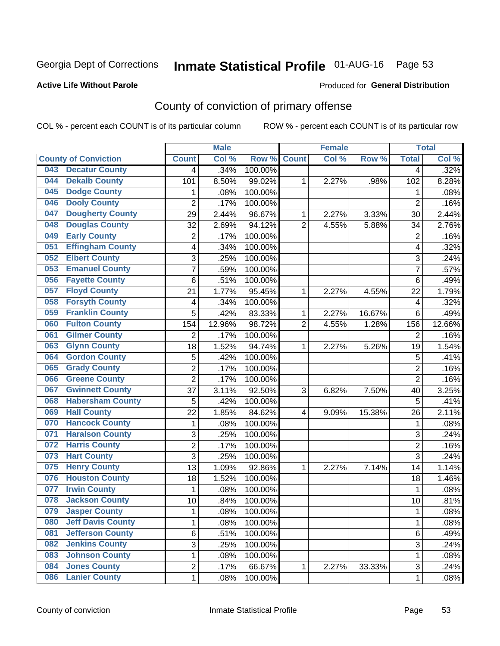## Inmate Statistical Profile 01-AUG-16 Page 53

#### **Active Life Without Parole**

#### Produced for General Distribution

## County of conviction of primary offense

COL % - percent each COUNT is of its particular column

|     |                             |                | <b>Male</b> |         |                | <b>Female</b> |        |                | <b>Total</b> |
|-----|-----------------------------|----------------|-------------|---------|----------------|---------------|--------|----------------|--------------|
|     | <b>County of Conviction</b> | <b>Count</b>   | Col %       | Row %   | <b>Count</b>   | Col %         | Row %  | <b>Total</b>   | Col %        |
| 043 | <b>Decatur County</b>       | 4              | .34%        | 100.00% |                |               |        | 4              | .32%         |
| 044 | <b>Dekalb County</b>        | 101            | 8.50%       | 99.02%  | 1              | 2.27%         | .98%   | 102            | 8.28%        |
| 045 | <b>Dodge County</b>         | 1              | .08%        | 100.00% |                |               |        | 1              | .08%         |
| 046 | <b>Dooly County</b>         | $\overline{2}$ | .17%        | 100.00% |                |               |        | $\overline{2}$ | .16%         |
| 047 | <b>Dougherty County</b>     | 29             | 2.44%       | 96.67%  | 1              | 2.27%         | 3.33%  | 30             | 2.44%        |
| 048 | <b>Douglas County</b>       | 32             | 2.69%       | 94.12%  | $\overline{2}$ | 4.55%         | 5.88%  | 34             | 2.76%        |
| 049 | <b>Early County</b>         | $\overline{c}$ | .17%        | 100.00% |                |               |        | $\overline{2}$ | .16%         |
| 051 | <b>Effingham County</b>     | 4              | .34%        | 100.00% |                |               |        | 4              | .32%         |
| 052 | <b>Elbert County</b>        | 3              | .25%        | 100.00% |                |               |        | 3              | .24%         |
| 053 | <b>Emanuel County</b>       | $\overline{7}$ | .59%        | 100.00% |                |               |        | 7              | .57%         |
| 056 | <b>Fayette County</b>       | 6              | .51%        | 100.00% |                |               |        | 6              | .49%         |
| 057 | <b>Floyd County</b>         | 21             | 1.77%       | 95.45%  | 1              | 2.27%         | 4.55%  | 22             | 1.79%        |
| 058 | <b>Forsyth County</b>       | 4              | .34%        | 100.00% |                |               |        | 4              | .32%         |
| 059 | <b>Franklin County</b>      | 5              | .42%        | 83.33%  | 1              | 2.27%         | 16.67% | 6              | .49%         |
| 060 | <b>Fulton County</b>        | 154            | 12.96%      | 98.72%  | $\overline{2}$ | 4.55%         | 1.28%  | 156            | 12.66%       |
| 061 | <b>Gilmer County</b>        | $\overline{2}$ | .17%        | 100.00% |                |               |        | 2              | .16%         |
| 063 | <b>Glynn County</b>         | 18             | 1.52%       | 94.74%  | 1              | 2.27%         | 5.26%  | 19             | 1.54%        |
| 064 | <b>Gordon County</b>        | 5              | .42%        | 100.00% |                |               |        | 5              | .41%         |
| 065 | <b>Grady County</b>         | $\overline{2}$ | .17%        | 100.00% |                |               |        | $\overline{2}$ | .16%         |
| 066 | <b>Greene County</b>        | $\overline{2}$ | .17%        | 100.00% |                |               |        | $\overline{2}$ | .16%         |
| 067 | <b>Gwinnett County</b>      | 37             | 3.11%       | 92.50%  | 3              | 6.82%         | 7.50%  | 40             | 3.25%        |
| 068 | <b>Habersham County</b>     | 5              | .42%        | 100.00% |                |               |        | 5              | .41%         |
| 069 | <b>Hall County</b>          | 22             | 1.85%       | 84.62%  | 4              | 9.09%         | 15.38% | 26             | 2.11%        |
| 070 | <b>Hancock County</b>       | 1              | .08%        | 100.00% |                |               |        | 1              | .08%         |
| 071 | <b>Haralson County</b>      | 3              | .25%        | 100.00% |                |               |        | 3              | .24%         |
| 072 | <b>Harris County</b>        | $\overline{2}$ | .17%        | 100.00% |                |               |        | $\overline{2}$ | .16%         |
| 073 | <b>Hart County</b>          | 3              | .25%        | 100.00% |                |               |        | 3              | .24%         |
| 075 | <b>Henry County</b>         | 13             | 1.09%       | 92.86%  | 1              | 2.27%         | 7.14%  | 14             | 1.14%        |
| 076 | <b>Houston County</b>       | 18             | 1.52%       | 100.00% |                |               |        | 18             | 1.46%        |
| 077 | <b>Irwin County</b>         | $\mathbf{1}$   | .08%        | 100.00% |                |               |        | $\mathbf{1}$   | .08%         |
| 078 | <b>Jackson County</b>       | 10             | .84%        | 100.00% |                |               |        | 10             | .81%         |
| 079 | <b>Jasper County</b>        | 1              | .08%        | 100.00% |                |               |        | 1              | .08%         |
| 080 | <b>Jeff Davis County</b>    | 1              | .08%        | 100.00% |                |               |        | $\mathbf{1}$   | .08%         |
| 081 | <b>Jefferson County</b>     | 6              | .51%        | 100.00% |                |               |        | 6              | .49%         |
| 082 | <b>Jenkins County</b>       | $\overline{3}$ | .25%        | 100.00% |                |               |        | $\overline{3}$ | .24%         |
| 083 | <b>Johnson County</b>       | 1              | .08%        | 100.00% |                |               |        | 1              | .08%         |
| 084 | <b>Jones County</b>         | 2              | .17%        | 66.67%  | $\mathbf{1}$   | 2.27%         | 33.33% | 3              | .24%         |
| 086 | <b>Lanier County</b>        | $\mathbf 1$    | .08%        | 100.00% |                |               |        | $\mathbf 1$    | .08%         |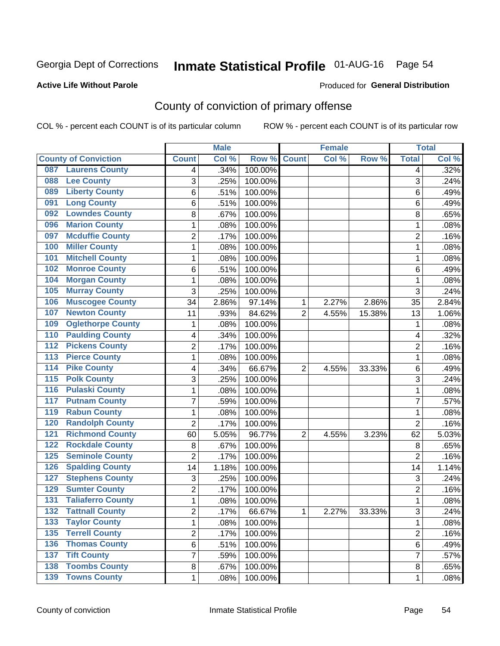## Inmate Statistical Profile 01-AUG-16 Page 54

#### **Active Life Without Parole**

#### Produced for General Distribution

## County of conviction of primary offense

COL % - percent each COUNT is of its particular column

|                                           |                | <b>Male</b> |         |                | <b>Female</b> |        |                | <b>Total</b> |
|-------------------------------------------|----------------|-------------|---------|----------------|---------------|--------|----------------|--------------|
| <b>County of Conviction</b>               | <b>Count</b>   | Col %       | Row %   | <b>Count</b>   | Col %         | Row %  | <b>Total</b>   | Col %        |
| <b>Laurens County</b><br>087              | 4              | .34%        | 100.00% |                |               |        | 4              | .32%         |
| <b>Lee County</b><br>088                  | 3              | .25%        | 100.00% |                |               |        | 3              | .24%         |
| <b>Liberty County</b><br>089              | 6              | .51%        | 100.00% |                |               |        | 6              | .49%         |
| <b>Long County</b><br>091                 | 6              | .51%        | 100.00% |                |               |        | 6              | .49%         |
| <b>Lowndes County</b><br>092              | 8              | .67%        | 100.00% |                |               |        | 8              | .65%         |
| <b>Marion County</b><br>096               | 1              | .08%        | 100.00% |                |               |        | 1              | .08%         |
| <b>Mcduffie County</b><br>097             | $\overline{2}$ | .17%        | 100.00% |                |               |        | $\overline{2}$ | .16%         |
| <b>Miller County</b><br>100               | $\mathbf{1}$   | .08%        | 100.00% |                |               |        | $\mathbf{1}$   | .08%         |
| <b>Mitchell County</b><br>101             | 1              | .08%        | 100.00% |                |               |        | 1              | .08%         |
| <b>Monroe County</b><br>102               | 6              | .51%        | 100.00% |                |               |        | 6              | .49%         |
| <b>Morgan County</b><br>104               | 1              | .08%        | 100.00% |                |               |        | 1              | .08%         |
| <b>Murray County</b><br>105               | $\overline{3}$ | .25%        | 100.00% |                |               |        | 3              | .24%         |
| <b>Muscogee County</b><br>106             | 34             | 2.86%       | 97.14%  | 1              | 2.27%         | 2.86%  | 35             | 2.84%        |
| <b>Newton County</b><br>107               | 11             | .93%        | 84.62%  | $\overline{2}$ | 4.55%         | 15.38% | 13             | 1.06%        |
| <b>Oglethorpe County</b><br>109           | 1              | .08%        | 100.00% |                |               |        | 1              | .08%         |
| <b>Paulding County</b><br>110             | 4              | .34%        | 100.00% |                |               |        | 4              | .32%         |
| <b>Pickens County</b><br>112              | $\overline{2}$ | .17%        | 100.00% |                |               |        | 2              | .16%         |
| <b>Pierce County</b><br>113               | 1              | .08%        | 100.00% |                |               |        | 1              | .08%         |
| <b>Pike County</b><br>114                 | 4              | .34%        | 66.67%  | 2              | 4.55%         | 33.33% | 6              | .49%         |
| <b>Polk County</b><br>115                 | 3              | .25%        | 100.00% |                |               |        | $\overline{3}$ | .24%         |
| <b>Pulaski County</b><br>116              | 1              | .08%        | 100.00% |                |               |        | 1              | .08%         |
| <b>Putnam County</b><br>117               | $\overline{7}$ | .59%        | 100.00% |                |               |        | $\overline{7}$ | .57%         |
| <b>Rabun County</b><br>119                | $\mathbf{1}$   | .08%        | 100.00% |                |               |        | 1              | .08%         |
| <b>Randolph County</b><br>120             | $\overline{2}$ | .17%        | 100.00% |                |               |        | $\overline{2}$ | .16%         |
| <b>Richmond County</b><br>121             | 60             | 5.05%       | 96.77%  | $\overline{2}$ | 4.55%         | 3.23%  | 62             | 5.03%        |
| <b>Rockdale County</b><br>122             | 8              | .67%        | 100.00% |                |               |        | 8              | .65%         |
| <b>Seminole County</b><br>125             | $\overline{2}$ | .17%        | 100.00% |                |               |        | $\overline{2}$ | .16%         |
| <b>Spalding County</b><br>126             | 14             | 1.18%       | 100.00% |                |               |        | 14             | 1.14%        |
| <b>Stephens County</b><br>127             | 3              | .25%        | 100.00% |                |               |        | 3              | .24%         |
| <b>Sumter County</b><br>129               | 2              | .17%        | 100.00% |                |               |        | $\overline{2}$ | .16%         |
| <b>Taliaferro County</b><br>131           | 1              | .08%        | 100.00% |                |               |        | 1              | .08%         |
| <b>Tattnall County</b><br>132             | 2              | .17%        | 66.67%  | 1              | 2.27%         | 33.33% | 3              | .24%         |
| <b>Taylor County</b><br>133               | 1              | .08%        | 100.00% |                |               |        | 1              | .08%         |
| <b>Terrell County</b><br>$\overline{135}$ | 2              | .17%        | 100.00% |                |               |        | $\overline{2}$ | .16%         |
| <b>Thomas County</b><br>136               | 6              | .51%        | 100.00% |                |               |        | 6              | .49%         |
| <b>Tift County</b><br>137                 | $\overline{7}$ | .59%        | 100.00% |                |               |        | $\overline{7}$ | .57%         |
| <b>Toombs County</b><br>138               | 8              | .67%        | 100.00% |                |               |        | 8              | .65%         |
| <b>139 Towns County</b>                   | $\mathbf 1$    | .08%        | 100.00% |                |               |        | 1              | .08%         |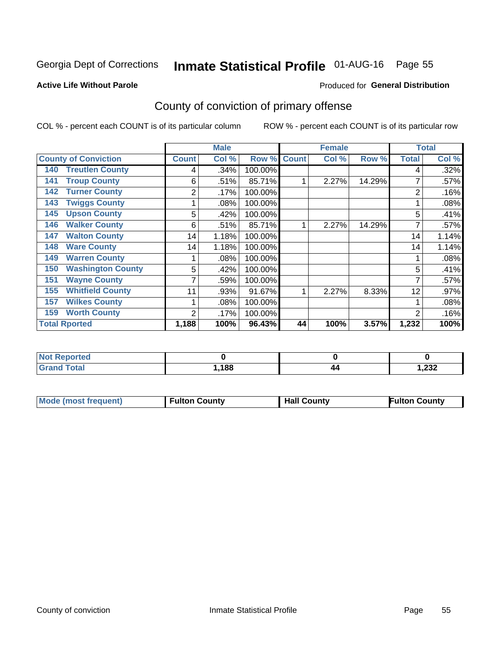## Inmate Statistical Profile 01-AUG-16 Page 55

#### **Active Life Without Parole**

#### Produced for General Distribution

## County of conviction of primary offense

COL % - percent each COUNT is of its particular column

|                                 |              | <b>Male</b> |         |              | <b>Female</b> |        | <b>Total</b> |       |
|---------------------------------|--------------|-------------|---------|--------------|---------------|--------|--------------|-------|
| <b>County of Conviction</b>     | <b>Count</b> | Col %       | Row %   | <b>Count</b> | Col %         | Row %  | <b>Total</b> | Col % |
| <b>Treutlen County</b><br>140   | 4            | .34%        | 100.00% |              |               |        | 4            | .32%  |
| <b>Troup County</b><br>141      | 6            | .51%        | 85.71%  |              | 2.27%         | 14.29% |              | .57%  |
| <b>Turner County</b><br>142     | 2            | .17%        | 100.00% |              |               |        | 2            | .16%  |
| <b>Twiggs County</b><br>143     |              | .08%        | 100.00% |              |               |        |              | .08%  |
| <b>Upson County</b><br>145      | 5            | .42%        | 100.00% |              |               |        | 5            | .41%  |
| <b>Walker County</b><br>146     | 6            | .51%        | 85.71%  | 1            | 2.27%         | 14.29% | 7            | .57%  |
| <b>Walton County</b><br>147     | 14           | 1.18%       | 100.00% |              |               |        | 14           | 1.14% |
| <b>Ware County</b><br>148       | 14           | 1.18%       | 100.00% |              |               |        | 14           | 1.14% |
| <b>Warren County</b><br>149     |              | .08%        | 100.00% |              |               |        |              | .08%  |
| <b>Washington County</b><br>150 | 5            | .42%        | 100.00% |              |               |        | 5            | .41%  |
| <b>Wayne County</b><br>151      | 7            | .59%        | 100.00% |              |               |        | 7            | .57%  |
| <b>Whitfield County</b><br>155  | 11           | .93%        | 91.67%  |              | 2.27%         | 8.33%  | 12           | .97%  |
| <b>Wilkes County</b><br>157     |              | .08%        | 100.00% |              |               |        |              | .08%  |
| <b>Worth County</b><br>159      | 2            | .17%        | 100.00% |              |               |        | 2            | .16%  |
| <b>Total Rported</b>            | 1,188        | 100%        | 96.43%  | 44           | 100%          | 3.57%  | 1,232        | 100%  |

| <b>ported</b><br>NO.          |      |    |       |
|-------------------------------|------|----|-------|
| <b>c</b> otal<br><b>Grand</b> | ,188 | 44 | 1,232 |

|  | <b>Mode (most frequent)</b> | <b>Fulton County</b> | <b>Hall County</b> | <b>Fulton County</b> |
|--|-----------------------------|----------------------|--------------------|----------------------|
|--|-----------------------------|----------------------|--------------------|----------------------|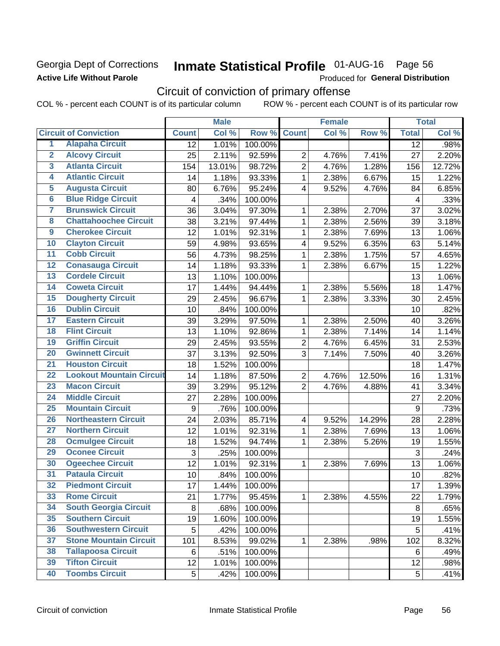### Georgia Dept of Corrections **Active Life Without Parole**

## Inmate Statistical Profile 01-AUG-16 Page 56

Produced for General Distribution

## Circuit of conviction of primary offense

COL % - percent each COUNT is of its particular column ROW % - percent each COUNT is of its particular row

|                         |                                 |                 | <b>Male</b> |         |                | <b>Female</b> |        |              | <b>Total</b> |
|-------------------------|---------------------------------|-----------------|-------------|---------|----------------|---------------|--------|--------------|--------------|
|                         | <b>Circuit of Conviction</b>    | <b>Count</b>    | Col %       | Row %   | <b>Count</b>   | Col %         | Row %  | <b>Total</b> | Col %        |
| 1                       | <b>Alapaha Circuit</b>          | $\overline{12}$ | 1.01%       | 100.00% |                |               |        | 12           | .98%         |
| $\overline{2}$          | <b>Alcovy Circuit</b>           | 25              | 2.11%       | 92.59%  | $\overline{2}$ | 4.76%         | 7.41%  | 27           | 2.20%        |
| $\overline{3}$          | <b>Atlanta Circuit</b>          | 154             | 13.01%      | 98.72%  | $\overline{2}$ | 4.76%         | 1.28%  | 156          | 12.72%       |
| 4                       | <b>Atlantic Circuit</b>         | 14              | 1.18%       | 93.33%  | 1              | 2.38%         | 6.67%  | 15           | 1.22%        |
| $\overline{5}$          | <b>Augusta Circuit</b>          | 80              | 6.76%       | 95.24%  | 4              | 9.52%         | 4.76%  | 84           | 6.85%        |
| $\overline{\bf{6}}$     | <b>Blue Ridge Circuit</b>       | 4               | .34%        | 100.00% |                |               |        | 4            | .33%         |
| 7                       | <b>Brunswick Circuit</b>        | 36              | 3.04%       | 97.30%  | 1              | 2.38%         | 2.70%  | 37           | 3.02%        |
| $\overline{\mathbf{8}}$ | <b>Chattahoochee Circuit</b>    | 38              | 3.21%       | 97.44%  | 1              | 2.38%         | 2.56%  | 39           | 3.18%        |
| $\overline{9}$          | <b>Cherokee Circuit</b>         | 12              | 1.01%       | 92.31%  | 1              | 2.38%         | 7.69%  | 13           | 1.06%        |
| 10                      | <b>Clayton Circuit</b>          | 59              | 4.98%       | 93.65%  | 4              | 9.52%         | 6.35%  | 63           | 5.14%        |
| $\overline{11}$         | <b>Cobb Circuit</b>             | 56              | 4.73%       | 98.25%  | $\mathbf{1}$   | 2.38%         | 1.75%  | 57           | 4.65%        |
| $\overline{12}$         | <b>Conasauga Circuit</b>        | 14              | 1.18%       | 93.33%  | 1              | 2.38%         | 6.67%  | 15           | 1.22%        |
| 13                      | <b>Cordele Circuit</b>          | 13              | 1.10%       | 100.00% |                |               |        | 13           | 1.06%        |
| $\overline{14}$         | <b>Coweta Circuit</b>           | 17              | 1.44%       | 94.44%  | 1              | 2.38%         | 5.56%  | 18           | 1.47%        |
| $\overline{15}$         | <b>Dougherty Circuit</b>        | 29              | 2.45%       | 96.67%  | 1              | 2.38%         | 3.33%  | 30           | 2.45%        |
| 16                      | <b>Dublin Circuit</b>           | 10              | .84%        | 100.00% |                |               |        | 10           | .82%         |
| 17                      | <b>Eastern Circuit</b>          | 39              | 3.29%       | 97.50%  | 1              | 2.38%         | 2.50%  | 40           | 3.26%        |
| $\overline{18}$         | <b>Flint Circuit</b>            | 13              | 1.10%       | 92.86%  | 1              | 2.38%         | 7.14%  | 14           | 1.14%        |
| 19                      | <b>Griffin Circuit</b>          | 29              | 2.45%       | 93.55%  | $\overline{2}$ | 4.76%         | 6.45%  | 31           | 2.53%        |
| $\overline{20}$         | <b>Gwinnett Circuit</b>         | 37              | 3.13%       | 92.50%  | 3              | 7.14%         | 7.50%  | 40           | 3.26%        |
| $\overline{21}$         | <b>Houston Circuit</b>          | 18              | 1.52%       | 100.00% |                |               |        | 18           | 1.47%        |
| $\overline{22}$         | <b>Lookout Mountain Circuit</b> | 14              | 1.18%       | 87.50%  | $\overline{2}$ | 4.76%         | 12.50% | 16           | 1.31%        |
| 23                      | <b>Macon Circuit</b>            | 39              | 3.29%       | 95.12%  | $\overline{2}$ | 4.76%         | 4.88%  | 41           | 3.34%        |
| $\overline{24}$         | <b>Middle Circuit</b>           | 27              | 2.28%       | 100.00% |                |               |        | 27           | 2.20%        |
| $\overline{25}$         | <b>Mountain Circuit</b>         | 9               | .76%        | 100.00% |                |               |        | 9            | .73%         |
| 26                      | <b>Northeastern Circuit</b>     | 24              | 2.03%       | 85.71%  | $\overline{4}$ | 9.52%         | 14.29% | 28           | 2.28%        |
| $\overline{27}$         | <b>Northern Circuit</b>         | 12              | 1.01%       | 92.31%  | 1              | 2.38%         | 7.69%  | 13           | 1.06%        |
| 28                      | <b>Ocmulgee Circuit</b>         | 18              | 1.52%       | 94.74%  | 1              | 2.38%         | 5.26%  | 19           | 1.55%        |
| 29                      | <b>Oconee Circuit</b>           | 3               | .25%        | 100.00% |                |               |        | 3            | .24%         |
| 30                      | <b>Ogeechee Circuit</b>         | 12              | 1.01%       | 92.31%  | 1              | 2.38%         | 7.69%  | 13           | 1.06%        |
| $\overline{31}$         | <b>Pataula Circuit</b>          | 10              | .84%        | 100.00% |                |               |        | 10           | .82%         |
| 32                      | <b>Piedmont Circuit</b>         | 17              | 1.44%       | 100.00% |                |               |        | 17           | 1.39%        |
| 33                      | <b>Rome Circuit</b>             | 21              | 1.77%       | 95.45%  | $\mathbf{1}$   | 2.38%         | 4.55%  | 22           | 1.79%        |
| 34                      | <b>South Georgia Circuit</b>    | 8               | .68%        | 100.00% |                |               |        | 8            | .65%         |
| 35                      | <b>Southern Circuit</b>         | 19              | 1.60%       | 100.00% |                |               |        | 19           | 1.55%        |
| 36                      | <b>Southwestern Circuit</b>     | 5               | .42%        | 100.00% |                |               |        | 5            | .41%         |
| 37                      | <b>Stone Mountain Circuit</b>   | 101             | 8.53%       | 99.02%  | 1              | 2.38%         | .98%   | 102          | 8.32%        |
| 38                      | <b>Tallapoosa Circuit</b>       | 6               | .51%        | 100.00% |                |               |        | 6            | .49%         |
| 39                      | <b>Tifton Circuit</b>           | 12              | 1.01%       | 100.00% |                |               |        | 12           | .98%         |
| 40                      | <b>Toombs Circuit</b>           | 5               | .42%        | 100.00% |                |               |        | 5            | .41%         |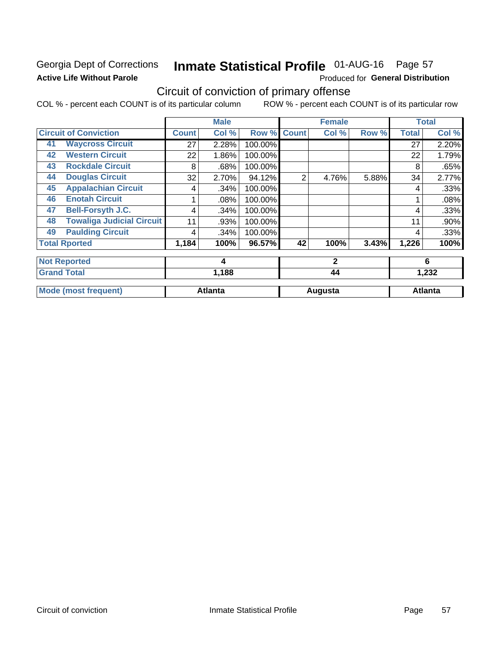### Georgia Dept of Corrections **Active Life Without Parole**

## Inmate Statistical Profile 01-AUG-16 Page 57

Produced for General Distribution

## Circuit of conviction of primary offense

COL % - percent each COUNT is of its particular column ROW % - percent each COUNT is of its particular row

|    |                                  |              | <b>Male</b>    |         |                | <b>Female</b> |       | <b>Total</b> |                |
|----|----------------------------------|--------------|----------------|---------|----------------|---------------|-------|--------------|----------------|
|    | <b>Circuit of Conviction</b>     | <b>Count</b> | Col %          | Row %   | <b>Count</b>   | Col %         | Row % | <b>Total</b> | Col %          |
| 41 | <b>Waycross Circuit</b>          | 27           | 2.28%          | 100.00% |                |               |       | 27           | 2.20%          |
| 42 | <b>Western Circuit</b>           | 22           | 1.86%          | 100.00% |                |               |       | 22           | 1.79%          |
| 43 | <b>Rockdale Circuit</b>          | 8            | .68%           | 100.00% |                |               |       | 8            | .65%           |
| 44 | <b>Douglas Circuit</b>           | 32           | 2.70%          | 94.12%  | $\overline{2}$ | 4.76%         | 5.88% | 34           | 2.77%          |
| 45 | <b>Appalachian Circuit</b>       | 4            | .34%           | 100.00% |                |               |       | 4            | .33%           |
| 46 | <b>Enotah Circuit</b>            |              | .08%           | 100.00% |                |               |       |              | .08%           |
| 47 | <b>Bell-Forsyth J.C.</b>         | 4            | .34%           | 100.00% |                |               |       | 4            | .33%           |
| 48 | <b>Towaliga Judicial Circuit</b> | 11           | .93%           | 100.00% |                |               |       | 11           | .90%           |
| 49 | <b>Paulding Circuit</b>          | 4            | .34%           | 100.00% |                |               |       | 4            | .33%           |
|    | <b>Total Rported</b>             | 1,184        | 100%           | 96.57%  | 42             | 100%          | 3.43% | 1,226        | 100%           |
|    | <b>Not Reported</b>              |              | 4              |         |                | $\mathbf{2}$  |       |              | 6              |
|    | <b>Grand Total</b>               |              | 1,188          |         |                | 44            |       | 1,232        |                |
|    | <b>Mode (most frequent)</b>      |              | <b>Atlanta</b> |         |                | Augusta       |       |              | <b>Atlanta</b> |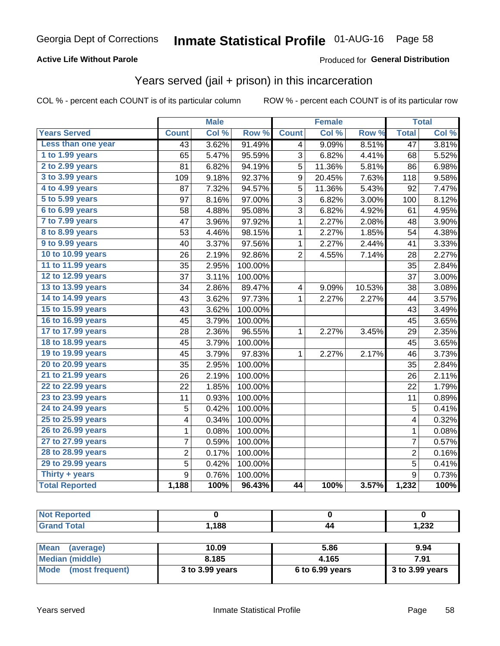#### **Active Life Without Parole**

#### Produced for General Distribution

### Years served (jail + prison) in this incarceration

COL % - percent each COUNT is of its particular column

|                       |                | <b>Male</b> |         |                 | <b>Female</b> |        |                 | <b>Total</b> |
|-----------------------|----------------|-------------|---------|-----------------|---------------|--------|-----------------|--------------|
| <b>Years Served</b>   | <b>Count</b>   | Col %       | Row %   | <b>Count</b>    | Col %         | Row %  | <b>Total</b>    | Col %        |
| Less than one year    | 43             | 3.62%       | 91.49%  | 4               | 9.09%         | 8.51%  | $\overline{47}$ | 3.81%        |
| 1 to 1.99 years       | 65             | 5.47%       | 95.59%  | 3               | 6.82%         | 4.41%  | 68              | 5.52%        |
| 2 to 2.99 years       | 81             | 6.82%       | 94.19%  | 5               | 11.36%        | 5.81%  | 86              | 6.98%        |
| 3 to 3.99 years       | 109            | 9.18%       | 92.37%  | 9               | 20.45%        | 7.63%  | 118             | 9.58%        |
| 4 to 4.99 years       | 87             | 7.32%       | 94.57%  | 5               | 11.36%        | 5.43%  | 92              | 7.47%        |
| 5 to 5.99 years       | 97             | 8.16%       | 97.00%  | 3               | 6.82%         | 3.00%  | 100             | 8.12%        |
| 6 to 6.99 years       | 58             | 4.88%       | 95.08%  | 3               | 6.82%         | 4.92%  | 61              | 4.95%        |
| 7 to 7.99 years       | 47             | 3.96%       | 97.92%  | $\mathbf 1$     | 2.27%         | 2.08%  | 48              | 3.90%        |
| 8 to 8.99 years       | 53             | 4.46%       | 98.15%  | $\mathbf 1$     | 2.27%         | 1.85%  | 54              | 4.38%        |
| 9 to 9.99 years       | 40             | 3.37%       | 97.56%  | 1               | 2.27%         | 2.44%  | 41              | 3.33%        |
| 10 to 10.99 years     | 26             | 2.19%       | 92.86%  | $\overline{2}$  | 4.55%         | 7.14%  | 28              | 2.27%        |
| 11 to 11.99 years     | 35             | 2.95%       | 100.00% |                 |               |        | 35              | 2.84%        |
| 12 to 12.99 years     | 37             | 3.11%       | 100.00% |                 |               |        | 37              | 3.00%        |
| 13 to 13.99 years     | 34             | 2.86%       | 89.47%  | 4               | 9.09%         | 10.53% | 38              | 3.08%        |
| 14 to 14.99 years     | 43             | 3.62%       | 97.73%  | $\mathbf 1$     | 2.27%         | 2.27%  | 44              | 3.57%        |
| 15 to 15.99 years     | 43             | 3.62%       | 100.00% |                 |               |        | 43              | 3.49%        |
| 16 to 16.99 years     | 45             | 3.79%       | 100.00% |                 |               |        | 45              | 3.65%        |
| 17 to 17.99 years     | 28             | 2.36%       | 96.55%  | $\mathbf 1$     | 2.27%         | 3.45%  | 29              | 2.35%        |
| 18 to 18.99 years     | 45             | 3.79%       | 100.00% |                 |               |        | 45              | 3.65%        |
| 19 to 19.99 years     | 45             | 3.79%       | 97.83%  | $\mathbf 1$     | 2.27%         | 2.17%  | 46              | 3.73%        |
| 20 to 20.99 years     | 35             | 2.95%       | 100.00% |                 |               |        | 35              | 2.84%        |
| 21 to 21.99 years     | 26             | 2.19%       | 100.00% |                 |               |        | 26              | 2.11%        |
| 22 to 22.99 years     | 22             | 1.85%       | 100.00% |                 |               |        | 22              | 1.79%        |
| 23 to 23.99 years     | 11             | 0.93%       | 100.00% |                 |               |        | 11              | 0.89%        |
| 24 to 24.99 years     | 5              | 0.42%       | 100.00% |                 |               |        | 5               | 0.41%        |
| 25 to 25.99 years     | 4              | 0.34%       | 100.00% |                 |               |        | 4               | 0.32%        |
| 26 to 26.99 years     | $\mathbf 1$    | 0.08%       | 100.00% |                 |               |        | $\mathbf 1$     | 0.08%        |
| 27 to 27.99 years     | 7              | 0.59%       | 100.00% |                 |               |        | 7               | 0.57%        |
| 28 to 28.99 years     | $\overline{c}$ | 0.17%       | 100.00% |                 |               |        | $\overline{c}$  | 0.16%        |
| 29 to 29.99 years     | 5              | 0.42%       | 100.00% |                 |               |        | 5               | 0.41%        |
| Thirty + years        | $\overline{9}$ | 0.76%       | 100.00% |                 |               |        | $\overline{9}$  | 0.73%        |
| <b>Total Reported</b> | 1,188          | 100%        | 96.43%  | $\overline{44}$ | 100%          | 3.57%  | 1,232           | 100%         |

| A (20 |      |                 |
|-------|------|-----------------|
|       | ,188 | ר פר<br>ـ∠ت∠, ا |

| <b>Mean</b><br>(average) | 10.09           | 5.86              | 9.94              |
|--------------------------|-----------------|-------------------|-------------------|
| Median (middle)          | 8.185           | 4.165             | 7.91              |
| Mode (most frequent)     | 3 to 3.99 years | $6$ to 6.99 years | $3$ to 3.99 years |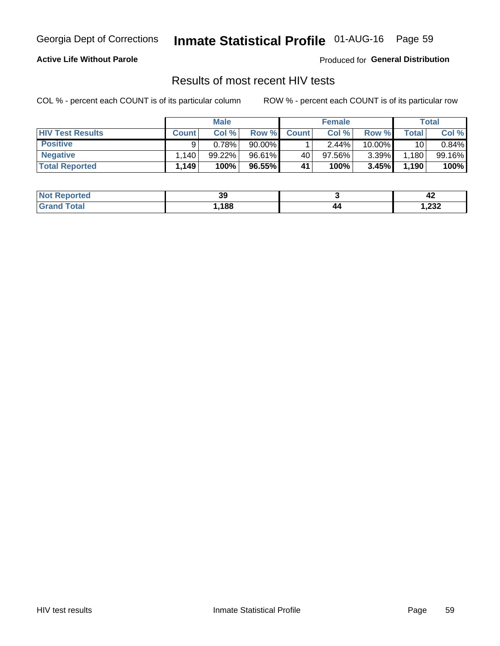## Inmate Statistical Profile 01-AUG-16 Page 59

#### **Active Life Without Parole**

Produced for General Distribution

### Results of most recent HIV tests

COL % - percent each COUNT is of its particular column

|                         |              | <b>Male</b> |        |              | <b>Female</b> |          |               | Total  |
|-------------------------|--------------|-------------|--------|--------------|---------------|----------|---------------|--------|
| <b>HIV Test Results</b> | <b>Count</b> | Col%        | Row %I | <b>Count</b> | Col %         | Row %    | $\tau$ otal i | Col %  |
| <b>Positive</b>         | a            | 0.78%       | 90.00% |              | 2.44%         | 10.00%   | 10            | 0.84%  |
| <b>Negative</b>         | .140         | 99.22%      | 96.61% | 40           | $97.56\%$     | $3.39\%$ | 1,180         | 99.16% |
| <b>Total Reported</b>   | .149'        | 100%        | 96.55% | 41           | 100%          | 3.45%    | 1,190         | 100%   |

| <b>Not Reported</b> | ״<br>აა |     | - 14        |
|---------------------|---------|-----|-------------|
| <b>Total</b>        | ,188    | / / | າາາ<br>702, |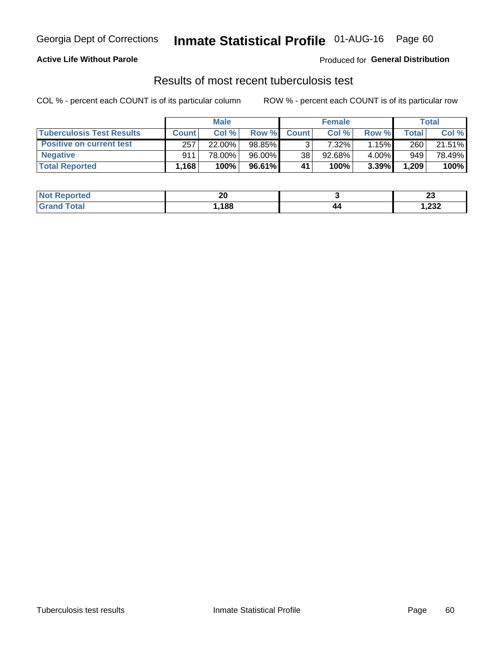## Georgia Dept of Corrections **Inmate Statistical Profile** 01-AUG-16 Page 60

#### **Active Life Without Parole**

Produced for **General Distribution**

### Results of most recent tuberculosis test

COL % - percent each COUNT is of its particular column ROW % - percent each COUNT is of its particular row

|                                  |              | <b>Male</b> |        |              | <b>Female</b> |       |       | Total  |
|----------------------------------|--------------|-------------|--------|--------------|---------------|-------|-------|--------|
| <b>Tuberculosis Test Results</b> | <b>Count</b> | Col%        | Row %I | <b>Count</b> | Col%          | Row % | Total | Col %  |
| <b>Positive on current test</b>  | 257          | 22.00%      | 98.85% |              | $7.32\%$      | 1.15% | 260   | 21.51% |
| <b>Negative</b>                  | 911          | 78.00%      | 96.00% | 38           | 92.68%        | 4.00% | 949   | 78.49% |
| <b>Total Reported</b>            | 1,168        | 100%        | 96.61% | 41           | 100%          | 3.39% | 1,209 | 100%   |

| <b>Not Reported</b> | ኅለ<br>ZV |     | n.<br>W     |
|---------------------|----------|-----|-------------|
| Total               | .188     | / / | າາາ<br>∡ت∡, |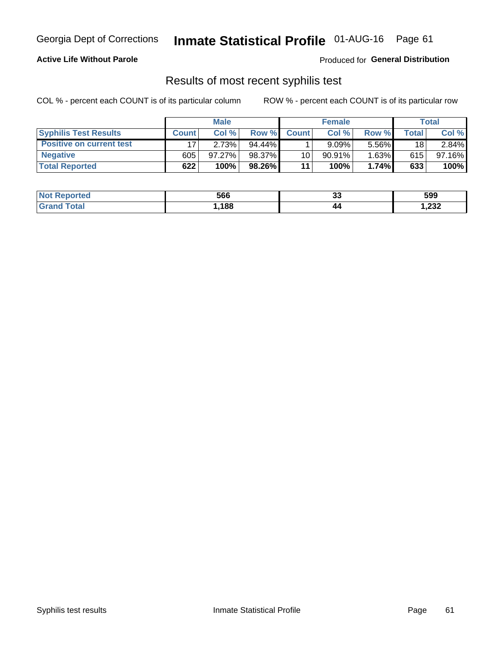## Georgia Dept of Corrections **Inmate Statistical Profile** 01-AUG-16 Page 61

#### **Active Life Without Parole**

Produced for **General Distribution**

### Results of most recent syphilis test

COL % - percent each COUNT is of its particular column ROW % - percent each COUNT is of its particular row

|                                 | <b>Male</b>  |           |           | <b>Female</b>   |           |          | Total |        |
|---------------------------------|--------------|-----------|-----------|-----------------|-----------|----------|-------|--------|
| <b>Syphilis Test Results</b>    | <b>Count</b> | Col%      | Row %I    | <b>Count</b>    | Col %     | Row %    | Total | Col %  |
| <b>Positive on current test</b> |              | 2.73%     | $94.44\%$ |                 | 9.09%     | $5.56\%$ | 18    | 2.84%  |
| <b>Negative</b>                 | 605          | $97.27\%$ | 98.37%    | 10 <sub>1</sub> | $90.91\%$ | $1.63\%$ | 615   | 97.16% |
| <b>Total Reported</b>           | 622          | 100%      | 98.26%    | 11              | 100%      | 1.74%    | 633   | 100%   |

| <b>Not Reported</b> | 566  | ^^<br>◡ | 599   |
|---------------------|------|---------|-------|
| <b>Grand Total</b>  | ,188 | 44      | 1,232 |